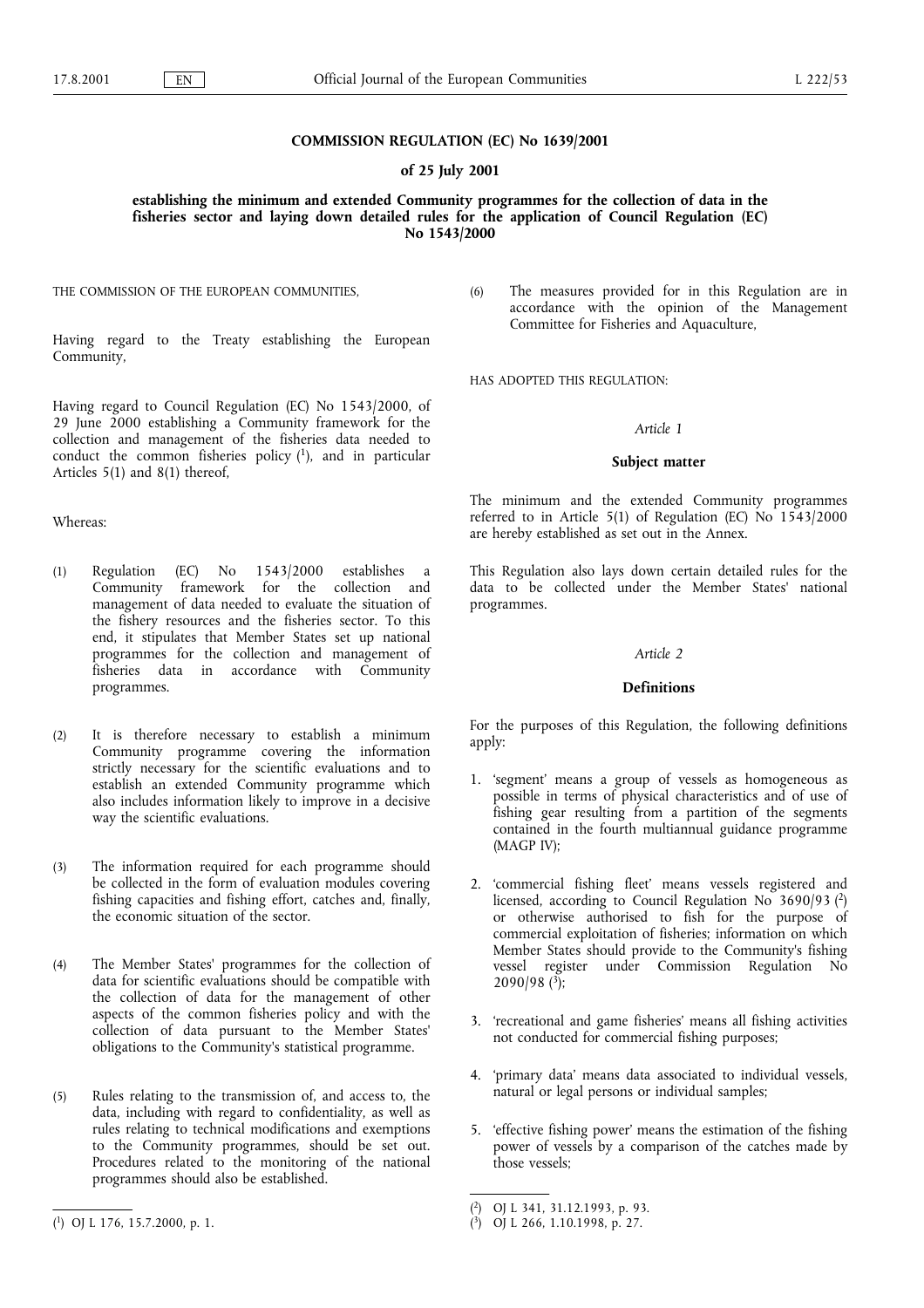#### COMMISSION REGULATION (EC) No 1639/2001

#### of 25 July 2001

establishing the minimum and extended Community programmes for the collection of data in the fisheries sector and laying down detailed rules for the application of Council Regulation (EC) No 1543/2000

THE COMMISSION OF THE EUROPEAN COMMUNITIES,

Having regard to the Treaty establishing the European Community,

Having regard to Council Regulation (EC) No 1543/2000, of 29 June 2000 establishing a Community framework for the collection and management of the fisheries data needed to conduct the common fisheries policy  $(1)$ , and in particular Articles 5(1) and 8(1) thereof,

#### Whereas:

- (1) Regulation  $(EC)$  No  $1543/2000$  establishes Community framework for the collection and management of data needed to evaluate the situation of the fishery resources and the fisheries sector. To this end, it stipulates that Member States set up national programmes for the collection and management of fisheries data in accordance with Community programmes.
- (2) It is therefore necessary to establish a minimum Community programme covering the information strictly necessary for the scientific evaluations and to establish an extended Community programme which also includes information likely to improve in a decisive way the scientific evaluations.
- (3) The information required for each programme should be collected in the form of evaluation modules covering fishing capacities and fishing effort, catches and, finally, the economic situation of the sector.
- (4) The Member States' programmes for the collection of data for scientific evaluations should be compatible with the collection of data for the management of other aspects of the common fisheries policy and with the collection of data pursuant to the Member States' obligations to the Community's statistical programme.
- (5) Rules relating to the transmission of, and access to, the data, including with regard to confidentiality, as well as rules relating to technical modifications and exemptions to the Community programmes, should be set out. Procedures related to the monitoring of the national programmes should also be established.

(6) The measures provided for in this Regulation are in accordance with the opinion of the Management Committee for Fisheries and Aquaculture,

#### HAS ADOPTED THIS REGULATION:

#### Article 1

#### Subject matter

The minimum and the extended Community programmes referred to in Article 5(1) of Regulation (EC) No 1543/2000 are hereby established as set out in the Annex.

This Regulation also lays down certain detailed rules for the data to be collected under the Member States' national programmes.

#### Article 2

#### **Definitions**

For the purposes of this Regulation, the following definitions apply:

- 1. 'segment' means a group of vessels as homogeneous as possible in terms of physical characteristics and of use of fishing gear resulting from a partition of the segments contained in the fourth multiannual guidance programme (MAGP IV);
- 2. 'commercial fishing fleet' means vessels registered and licensed, according to Council Regulation No 3690/93 (2) or otherwise authorised to fish for the purpose of commercial exploitation of fisheries; information on which Member States should provide to the Community's fishing vessel register under Commission Regulation No  $2090/98$  (<sup>3</sup>);
- 3. 'recreational and game fisheries' means all fishing activities not conducted for commercial fishing purposes;
- 4. 'primary data' means data associated to individual vessels, natural or legal persons or individual samples;
- 5. 'effective fishing power' means the estimation of the fishing power of vessels by a comparison of the catches made by those vessels;

<sup>(&</sup>lt;sup>1</sup>) OJ L 176, 15.7.2000, p. 1. (<sup>3</sup>) OJ L 266, 1.10.1998, p. 27.

<sup>(</sup> 2) OJ L 341, 31.12.1993, p. 93.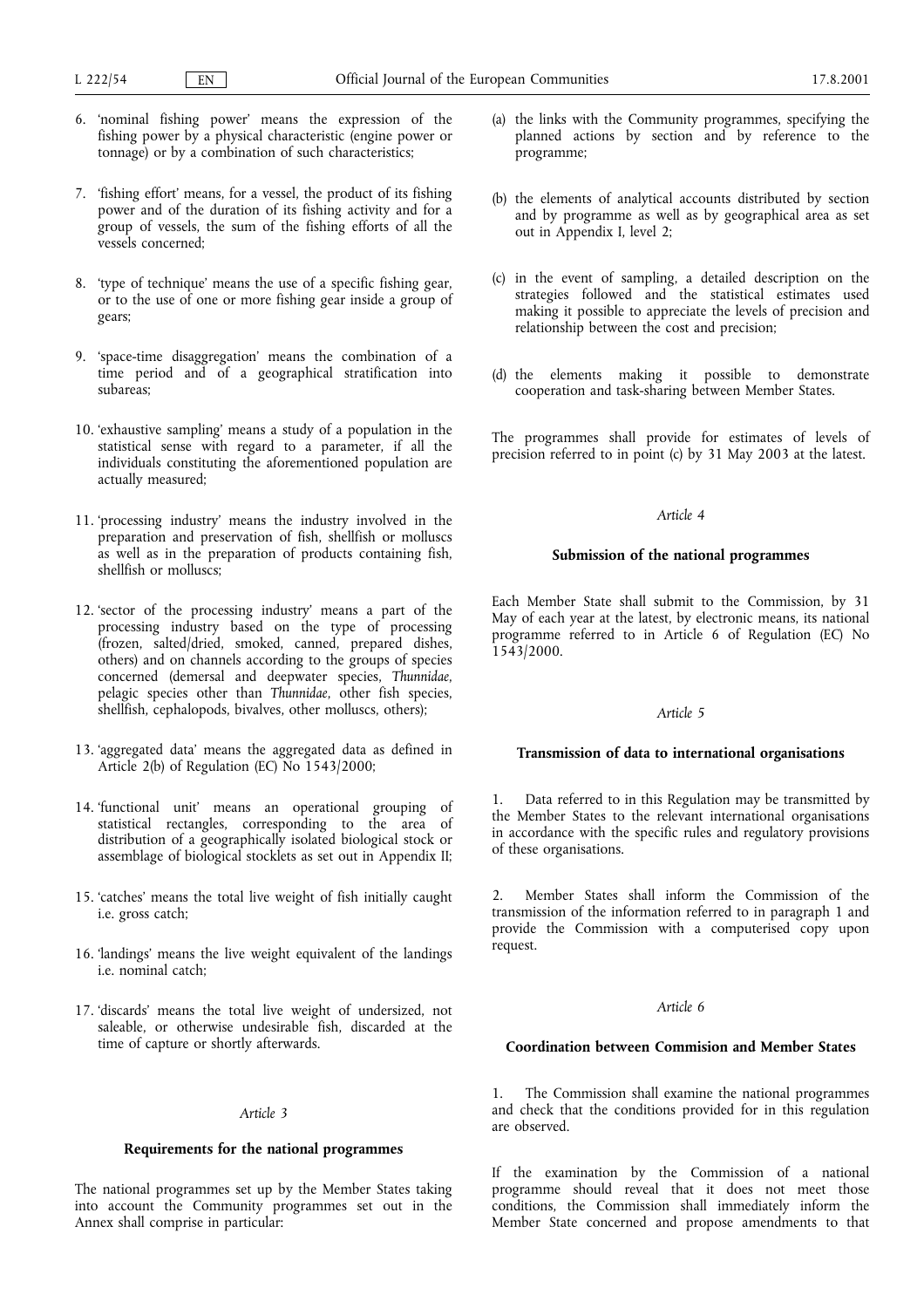- 6. nominal fishing power means the expression of the fishing power by a physical characteristic (engine power or tonnage) or by a combination of such characteristics;
- 7. 'fishing effort' means, for a vessel, the product of its fishing power and of the duration of its fishing activity and for a group of vessels, the sum of the fishing efforts of all the vessels concerned;
- 8. 'type of technique' means the use of a specific fishing gear, or to the use of one or more fishing gear inside a group of gears;
- 9. 'space-time disaggregation' means the combination of a time period and of a geographical stratification into subareas;
- 10. 'exhaustive sampling' means a study of a population in the statistical sense with regard to a parameter, if all the individuals constituting the aforementioned population are actually measured;
- 11. processing industry means the industry involved in the preparation and preservation of fish, shellfish or molluscs as well as in the preparation of products containing fish, shellfish or molluscs;
- 12. 'sector of the processing industry' means a part of the processing industry based on the type of processing (frozen, salted/dried, smoked, canned, prepared dishes, others) and on channels according to the groups of species concerned (demersal and deepwater species, Thunnidae, pelagic species other than Thunnidae, other fish species, shellfish, cephalopods, bivalves, other molluscs, others);
- 13. 'aggregated data' means the aggregated data as defined in Article 2(b) of Regulation (EC) No 1543/2000;
- 14. functional unit means an operational grouping of statistical rectangles, corresponding to the area of distribution of a geographically isolated biological stock or assemblage of biological stocklets as set out in Appendix II;
- 15. 'catches' means the total live weight of fish initially caught i.e. gross catch;
- 16. 'landings' means the live weight equivalent of the landings i.e. nominal catch;
- 17. 'discards' means the total live weight of undersized, not saleable, or otherwise undesirable fish, discarded at the time of capture or shortly afterwards.

#### Article 3

#### Requirements for the national programmes

The national programmes set up by the Member States taking into account the Community programmes set out in the Annex shall comprise in particular:

- (a) the links with the Community programmes, specifying the planned actions by section and by reference to the programme;
- (b) the elements of analytical accounts distributed by section and by programme as well as by geographical area as set out in Appendix I, level 2;
- (c) in the event of sampling, a detailed description on the strategies followed and the statistical estimates used making it possible to appreciate the levels of precision and relationship between the cost and precision;
- (d) the elements making it possible to demonstrate cooperation and task-sharing between Member States.

The programmes shall provide for estimates of levels of precision referred to in point (c) by 31 May 2003 at the latest.

#### Article 4

#### Submission of the national programmes

Each Member State shall submit to the Commission, by 31 May of each year at the latest, by electronic means, its national programme referred to in Article 6 of Regulation (EC) No 1543/2000.

#### Article 5

#### Transmission of data to international organisations

Data referred to in this Regulation may be transmitted by the Member States to the relevant international organisations in accordance with the specific rules and regulatory provisions of these organisations.

2. Member States shall inform the Commission of the transmission of the information referred to in paragraph 1 and provide the Commission with a computerised copy upon request.

#### Article 6

#### Coordination between Commision and Member States

The Commission shall examine the national programmes and check that the conditions provided for in this regulation are observed.

If the examination by the Commission of a national programme should reveal that it does not meet those conditions, the Commission shall immediately inform the Member State concerned and propose amendments to that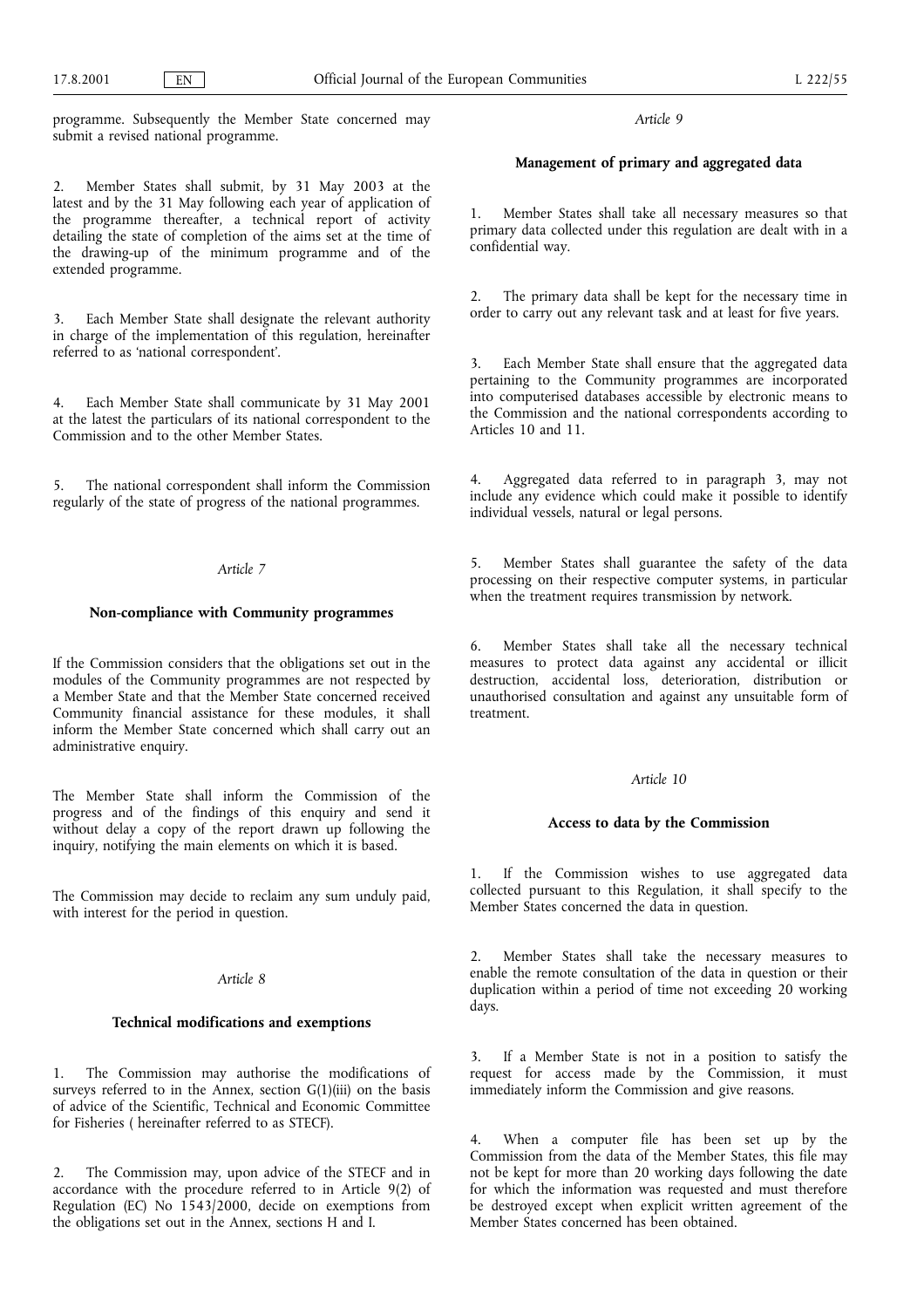programme. Subsequently the Member State concerned may submit a revised national programme.

#### 2. Member States shall submit, by 31 May 2003 at the latest and by the 31 May following each year of application of the programme thereafter, a technical report of activity detailing the state of completion of the aims set at the time of the drawing-up of the minimum programme and of the extended programme.

3. Each Member State shall designate the relevant authority in charge of the implementation of this regulation, hereinafter referred to as 'national correspondent'.

4. Each Member State shall communicate by 31 May 2001 at the latest the particulars of its national correspondent to the Commission and to the other Member States.

5. The national correspondent shall inform the Commission regularly of the state of progress of the national programmes.

#### Article 7

#### Non-compliance with Community programmes

If the Commission considers that the obligations set out in the modules of the Community programmes are not respected by a Member State and that the Member State concerned received Community financial assistance for these modules, it shall inform the Member State concerned which shall carry out an administrative enquiry.

The Member State shall inform the Commission of the progress and of the findings of this enquiry and send it without delay a copy of the report drawn up following the inquiry, notifying the main elements on which it is based.

The Commission may decide to reclaim any sum unduly paid, with interest for the period in question.

#### Article 8

#### Technical modifications and exemptions

1. The Commission may authorise the modifications of surveys referred to in the Annex, section  $G(1)(iii)$  on the basis of advice of the Scientific, Technical and Economic Committee for Fisheries ( hereinafter referred to as STECF).

2. The Commission may, upon advice of the STECF and in accordance with the procedure referred to in Article 9(2) of Regulation (EC) No 1543/2000, decide on exemptions from the obligations set out in the Annex, sections H and I.

Article 9

## Management of primary and aggregated data

Member States shall take all necessary measures so that primary data collected under this regulation are dealt with in a confidential way.

2. The primary data shall be kept for the necessary time in order to carry out any relevant task and at least for five years.

3. Each Member State shall ensure that the aggregated data pertaining to the Community programmes are incorporated into computerised databases accessible by electronic means to the Commission and the national correspondents according to Articles 10 and 11.

4. Aggregated data referred to in paragraph 3, may not include any evidence which could make it possible to identify individual vessels, natural or legal persons.

5. Member States shall guarantee the safety of the data processing on their respective computer systems, in particular when the treatment requires transmission by network.

6. Member States shall take all the necessary technical measures to protect data against any accidental or illicit destruction, accidental loss, deterioration, distribution or unauthorised consultation and against any unsuitable form of treatment.

#### Article 10

#### Access to data by the Commission

1. If the Commission wishes to use aggregated data collected pursuant to this Regulation, it shall specify to the Member States concerned the data in question.

2. Member States shall take the necessary measures to enable the remote consultation of the data in question or their duplication within a period of time not exceeding 20 working days.

3. If a Member State is not in a position to satisfy the request for access made by the Commission, it must immediately inform the Commission and give reasons.

When a computer file has been set up by the Commission from the data of the Member States, this file may not be kept for more than 20 working days following the date for which the information was requested and must therefore be destroyed except when explicit written agreement of the Member States concerned has been obtained.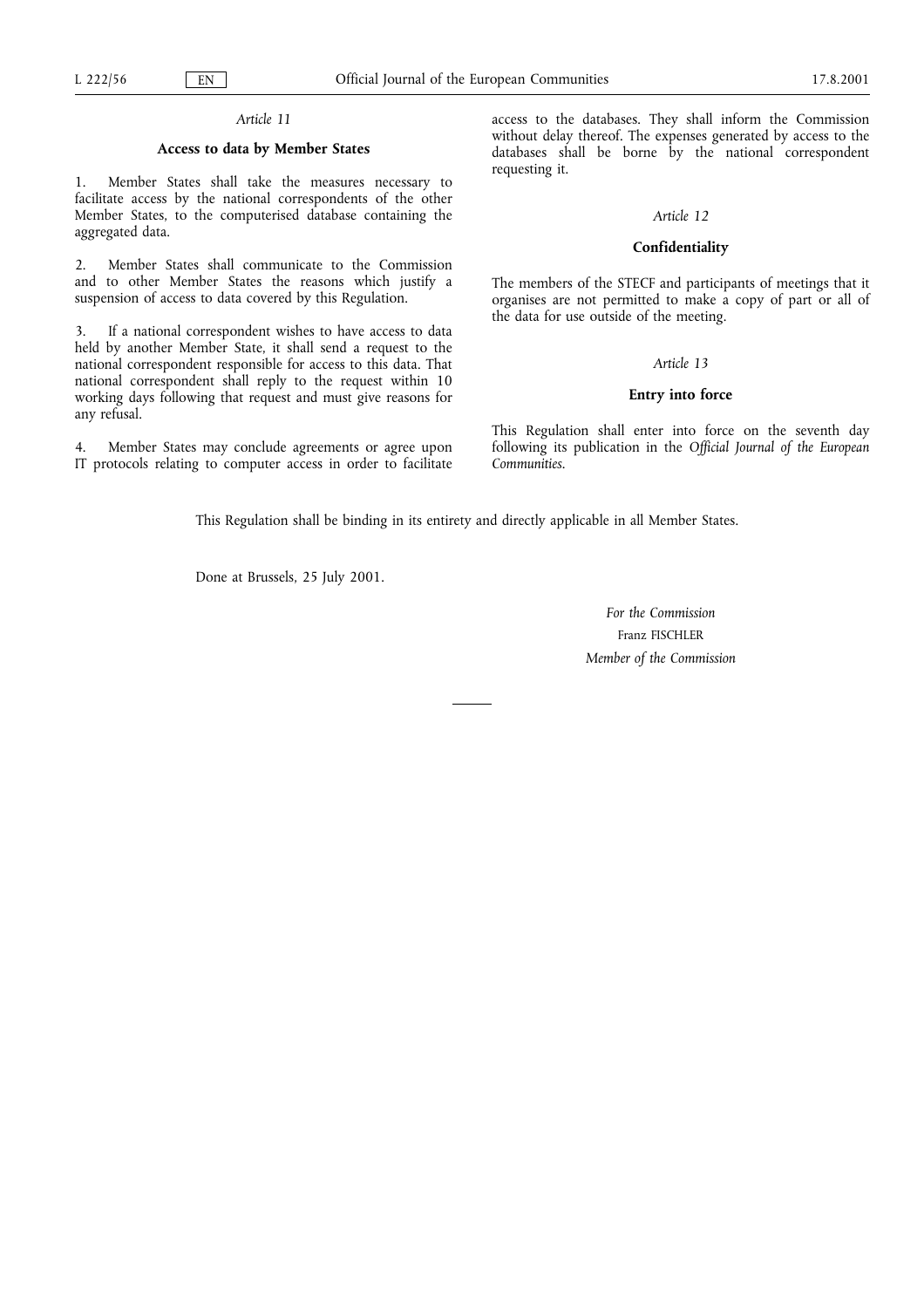## Article 11

## Access to data by Member States

1. Member States shall take the measures necessary to facilitate access by the national correspondents of the other Member States, to the computerised database containing the aggregated data.

2. Member States shall communicate to the Commission and to other Member States the reasons which justify a suspension of access to data covered by this Regulation.

3. If a national correspondent wishes to have access to data held by another Member State, it shall send a request to the national correspondent responsible for access to this data. That national correspondent shall reply to the request within 10 working days following that request and must give reasons for any refusal.

4. Member States may conclude agreements or agree upon IT protocols relating to computer access in order to facilitate

access to the databases. They shall inform the Commission without delay thereof. The expenses generated by access to the databases shall be borne by the national correspondent requesting it.

#### Article 12

#### Confidentiality

The members of the STECF and participants of meetings that it organises are not permitted to make a copy of part or all of the data for use outside of the meeting.

#### Article 13

#### Entry into force

This Regulation shall enter into force on the seventh day following its publication in the Official Journal of the European Communities.

This Regulation shall be binding in its entirety and directly applicable in all Member States.

Done at Brussels, 25 July 2001.

For the Commission Franz FISCHLER Member of the Commission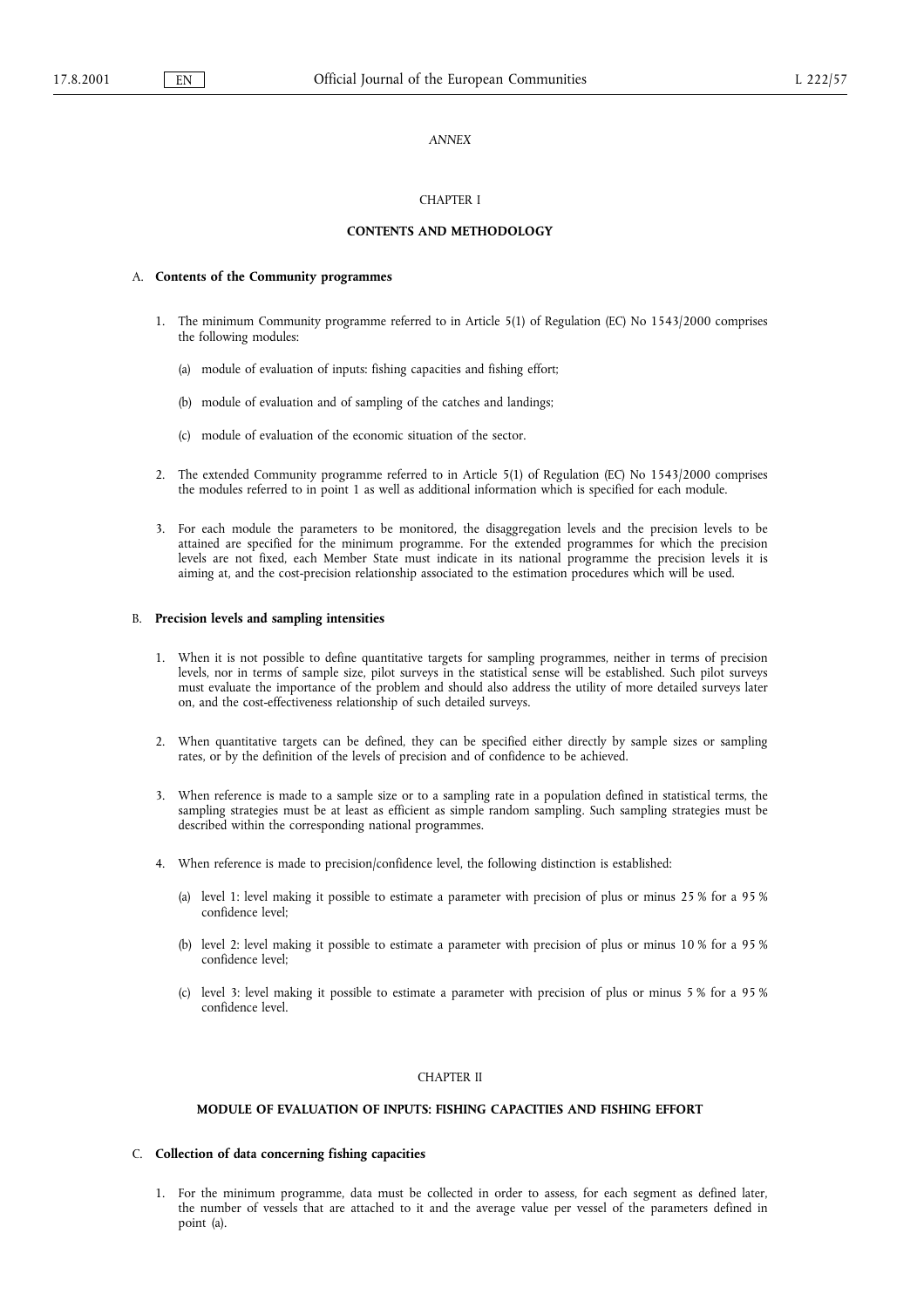#### **ANNEX**

#### CHAPTER I

#### CONTENTS AND METHODOLOGY

#### A. Contents of the Community programmes

- 1. The minimum Community programme referred to in Article 5(1) of Regulation (EC) No 1543/2000 comprises the following modules:
	- (a) module of evaluation of inputs: fishing capacities and fishing effort;
	- (b) module of evaluation and of sampling of the catches and landings;
	- (c) module of evaluation of the economic situation of the sector.
- 2. The extended Community programme referred to in Article 5(1) of Regulation (EC) No 1543/2000 comprises the modules referred to in point 1 as well as additional information which is specified for each module.
- 3. For each module the parameters to be monitored, the disaggregation levels and the precision levels to be attained are specified for the minimum programme. For the extended programmes for which the precision levels are not fixed, each Member State must indicate in its national programme the precision levels it is aiming at, and the cost-precision relationship associated to the estimation procedures which will be used.

#### B. Precision levels and sampling intensities

- 1. When it is not possible to define quantitative targets for sampling programmes, neither in terms of precision levels, nor in terms of sample size, pilot surveys in the statistical sense will be established. Such pilot surveys must evaluate the importance of the problem and should also address the utility of more detailed surveys later on, and the cost-effectiveness relationship of such detailed surveys.
- 2. When quantitative targets can be defined, they can be specified either directly by sample sizes or sampling rates, or by the definition of the levels of precision and of confidence to be achieved.
- 3. When reference is made to a sample size or to a sampling rate in a population defined in statistical terms, the sampling strategies must be at least as efficient as simple random sampling. Such sampling strategies must be described within the corresponding national programmes.
- 4. When reference is made to precision/confidence level, the following distinction is established:
	- (a) level 1: level making it possible to estimate a parameter with precision of plus or minus 25 % for a 95 % confidence level;
	- (b) level 2: level making it possible to estimate a parameter with precision of plus or minus 10 % for a 95 % confidence level;
	- (c) level 3: level making it possible to estimate a parameter with precision of plus or minus 5 % for a 95 % confidence level.

#### CHAPTER II

#### MODULE OF EVALUATION OF INPUTS: FISHING CAPACITIES AND FISHING EFFORT

#### C. Collection of data concerning fishing capacities

1. For the minimum programme, data must be collected in order to assess, for each segment as defined later, the number of vessels that are attached to it and the average value per vessel of the parameters defined in point (a).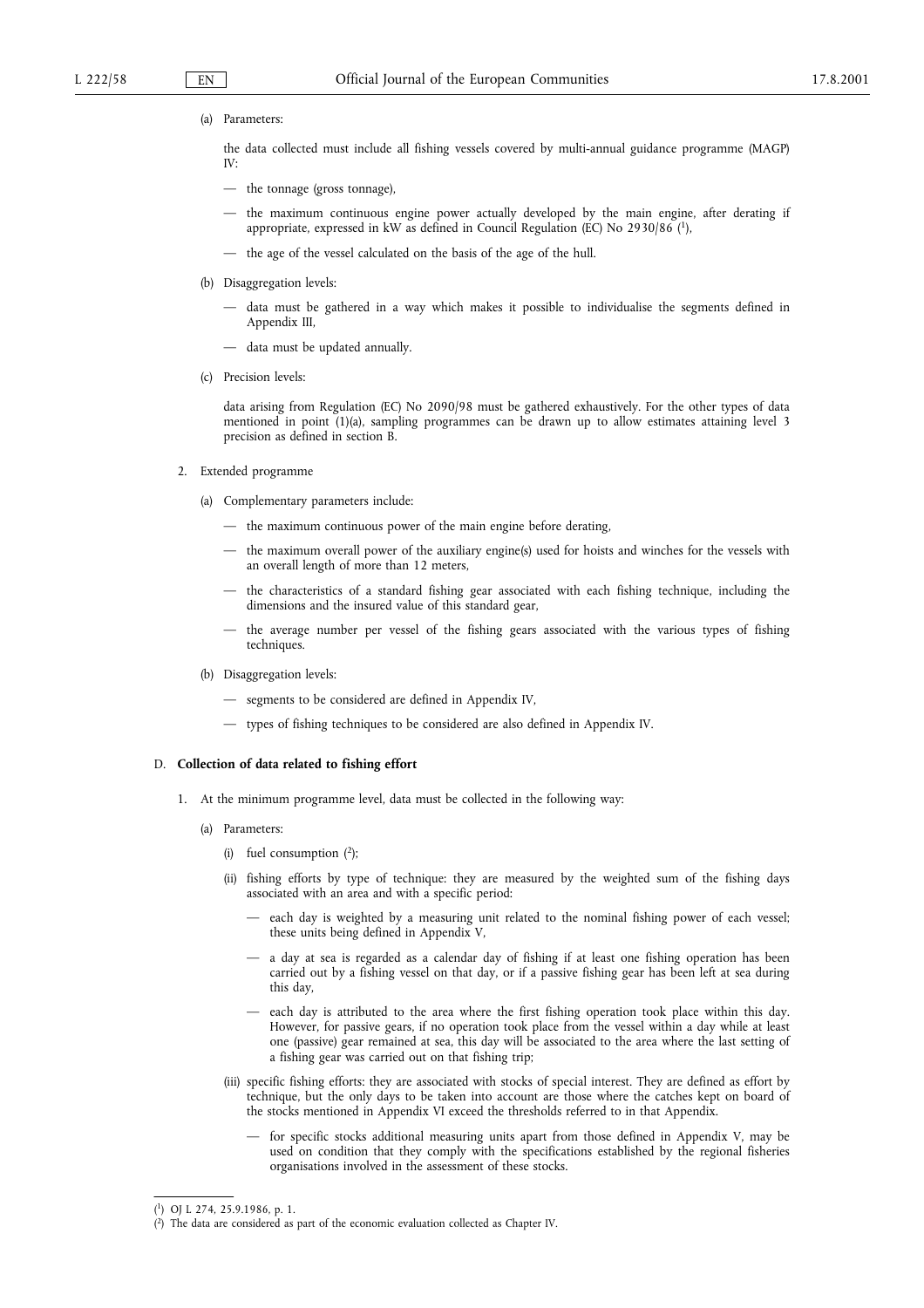(a) Parameters:

the data collected must include all fishing vessels covered by multi-annual guidance programme (MAGP) IV:

- the tonnage (gross tonnage),
- the maximum continuous engine power actually developed by the main engine, after derating if appropriate, expressed in kW as defined in Council Regulation (EC) No 2930/86 (1),
- the age of the vessel calculated on the basis of the age of the hull.
- (b) Disaggregation levels:
	- data must be gathered in a way which makes it possible to individualise the segments defined in Appendix III,
	- data must be updated annually.
- (c) Precision levels:

data arising from Regulation (EC) No 2090/98 must be gathered exhaustively. For the other types of data mentioned in point (1)(a), sampling programmes can be drawn up to allow estimates attaining level 3 precision as defined in section B.

- 2. Extended programme
	- (a) Complementary parameters include:
		- $-$  the maximum continuous power of the main engine before derating,
		- the maximum overall power of the auxiliary engine(s) used for hoists and winches for the vessels with an overall length of more than 12 meters,
		- the characteristics of a standard fishing gear associated with each fishing technique, including the dimensions and the insured value of this standard gear,
		- the average number per vessel of the fishing gears associated with the various types of fishing techniques.
	- (b) Disaggregation levels:
		- $-$  segments to be considered are defined in Appendix IV,
		- types of fishing techniques to be considered are also defined in Appendix IV.

#### D. Collection of data related to fishing effort

- 1. At the minimum programme level, data must be collected in the following way:
	- (a) Parameters:
		- (i) fuel consumption  $(2)$ ;
		- (ii) fishing efforts by type of technique: they are measured by the weighted sum of the fishing days associated with an area and with a specific period:
			- each day is weighted by a measuring unit related to the nominal fishing power of each vessel; these units being defined in Appendix V,
			- a day at sea is regarded as a calendar day of fishing if at least one fishing operation has been carried out by a fishing vessel on that day, or if a passive fishing gear has been left at sea during this day,
			- each day is attributed to the area where the first fishing operation took place within this day. However, for passive gears, if no operation took place from the vessel within a day while at least one (passive) gear remained at sea, this day will be associated to the area where the last setting of a fishing gear was carried out on that fishing trip;
		- (iii) specific fishing efforts: they are associated with stocks of special interest. They are defined as effort by technique, but the only days to be taken into account are those where the catches kept on board of the stocks mentioned in Appendix VI exceed the thresholds referred to in that Appendix.
			- for specific stocks additional measuring units apart from those defined in Appendix V, may be used on condition that they comply with the specifications established by the regional fisheries organisations involved in the assessment of these stocks.

<sup>(</sup> 1) OJ L 274, 25.9.1986, p. 1.

<sup>(</sup> 2) The data are considered as part of the economic evaluation collected as Chapter IV.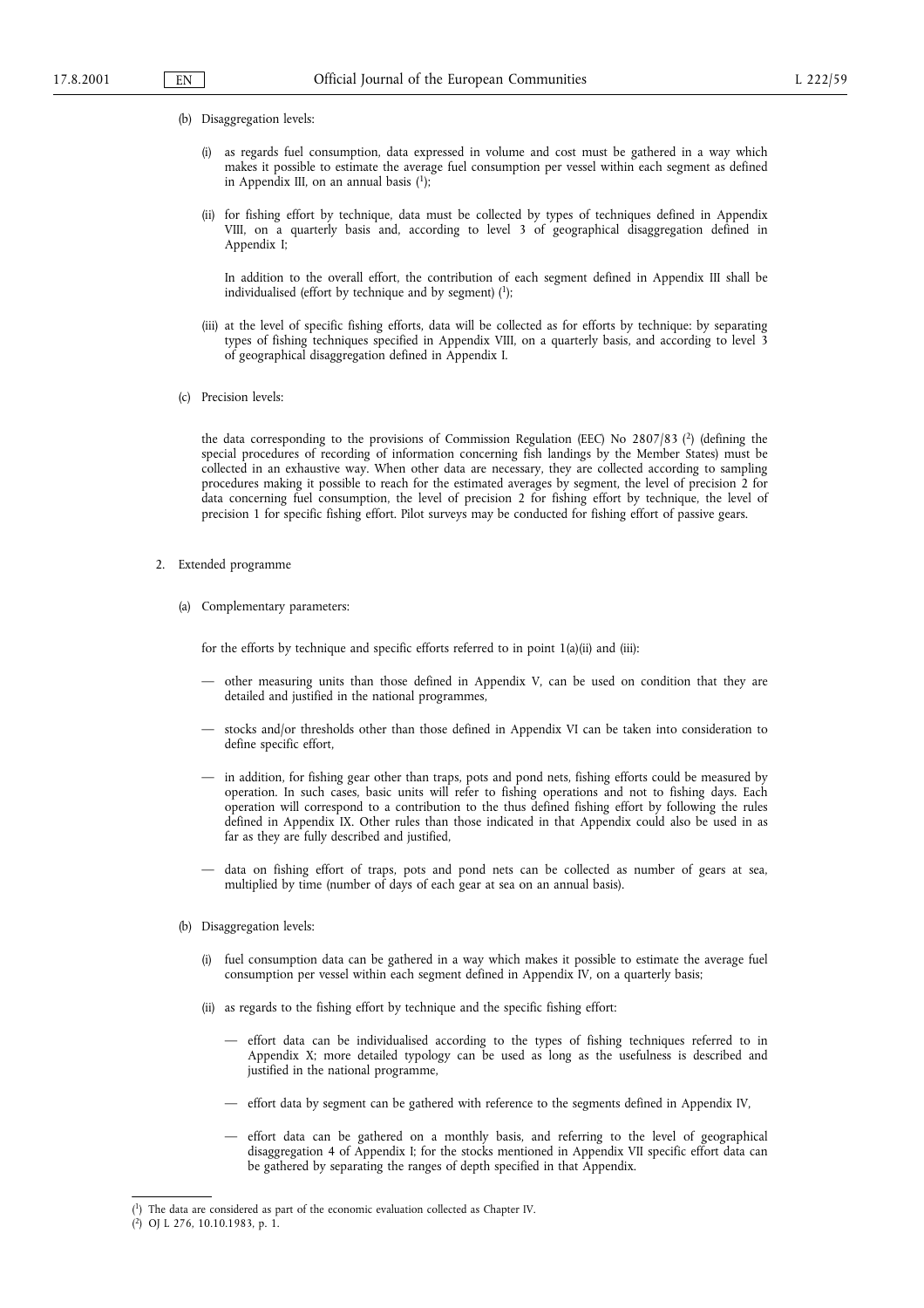- (b) Disaggregation levels:
	- (i) as regards fuel consumption, data expressed in volume and cost must be gathered in a way which makes it possible to estimate the average fuel consumption per vessel within each segment as defined in Appendix III, on an annual basis  $(1)$ ;
	- (ii) for fishing effort by technique, data must be collected by types of techniques defined in Appendix VIII, on a quarterly basis and, according to level 3 of geographical disaggregation defined in Appendix I;

In addition to the overall effort, the contribution of each segment defined in Appendix III shall be individualised (effort by technique and by segment)  $(1)$ ;

- (iii) at the level of specific fishing efforts, data will be collected as for efforts by technique: by separating types of fishing techniques specified in Appendix VIII, on a quarterly basis, and according to level 3 of geographical disaggregation defined in Appendix I.
- (c) Precision levels:

the data corresponding to the provisions of Commission Regulation (EEC) No  $2807/83$  (<sup>2</sup>) (defining the special procedures of recording of information concerning fish landings by the Member States) must be collected in an exhaustive way. When other data are necessary, they are collected according to sampling procedures making it possible to reach for the estimated averages by segment, the level of precision 2 for data concerning fuel consumption, the level of precision 2 for fishing effort by technique, the level of precision 1 for specific fishing effort. Pilot surveys may be conducted for fishing effort of passive gears.

- 2. Extended programme
	- (a) Complementary parameters:

for the efforts by technique and specific efforts referred to in point 1(a)(ii) and (iii):

- other measuring units than those defined in Appendix V, can be used on condition that they are detailed and justified in the national programmes,
- stocks and/or thresholds other than those defined in Appendix VI can be taken into consideration to define specific effort,
- $-$  in addition, for fishing gear other than traps, pots and pond nets, fishing efforts could be measured by operation. In such cases, basic units will refer to fishing operations and not to fishing days. Each operation will correspond to a contribution to the thus defined fishing effort by following the rules defined in Appendix IX. Other rules than those indicated in that Appendix could also be used in as far as they are fully described and justified,
- data on fishing effort of traps, pots and pond nets can be collected as number of gears at sea, multiplied by time (number of days of each gear at sea on an annual basis).
- (b) Disaggregation levels:
	- (i) fuel consumption data can be gathered in a way which makes it possible to estimate the average fuel consumption per vessel within each segment defined in Appendix IV, on a quarterly basis;
	- (ii) as regards to the fishing effort by technique and the specific fishing effort:
		- effort data can be individualised according to the types of fishing techniques referred to in Appendix X; more detailed typology can be used as long as the usefulness is described and justified in the national programme,
		- effort data by segment can be gathered with reference to the segments defined in Appendix IV,
		- effort data can be gathered on a monthly basis, and referring to the level of geographical disaggregation 4 of Appendix I; for the stocks mentioned in Appendix VII specific effort data can be gathered by separating the ranges of depth specified in that Appendix.

<sup>(</sup> 1) The data are considered as part of the economic evaluation collected as Chapter IV.

<sup>(</sup> 2) OJ L 276, 10.10.1983, p. 1.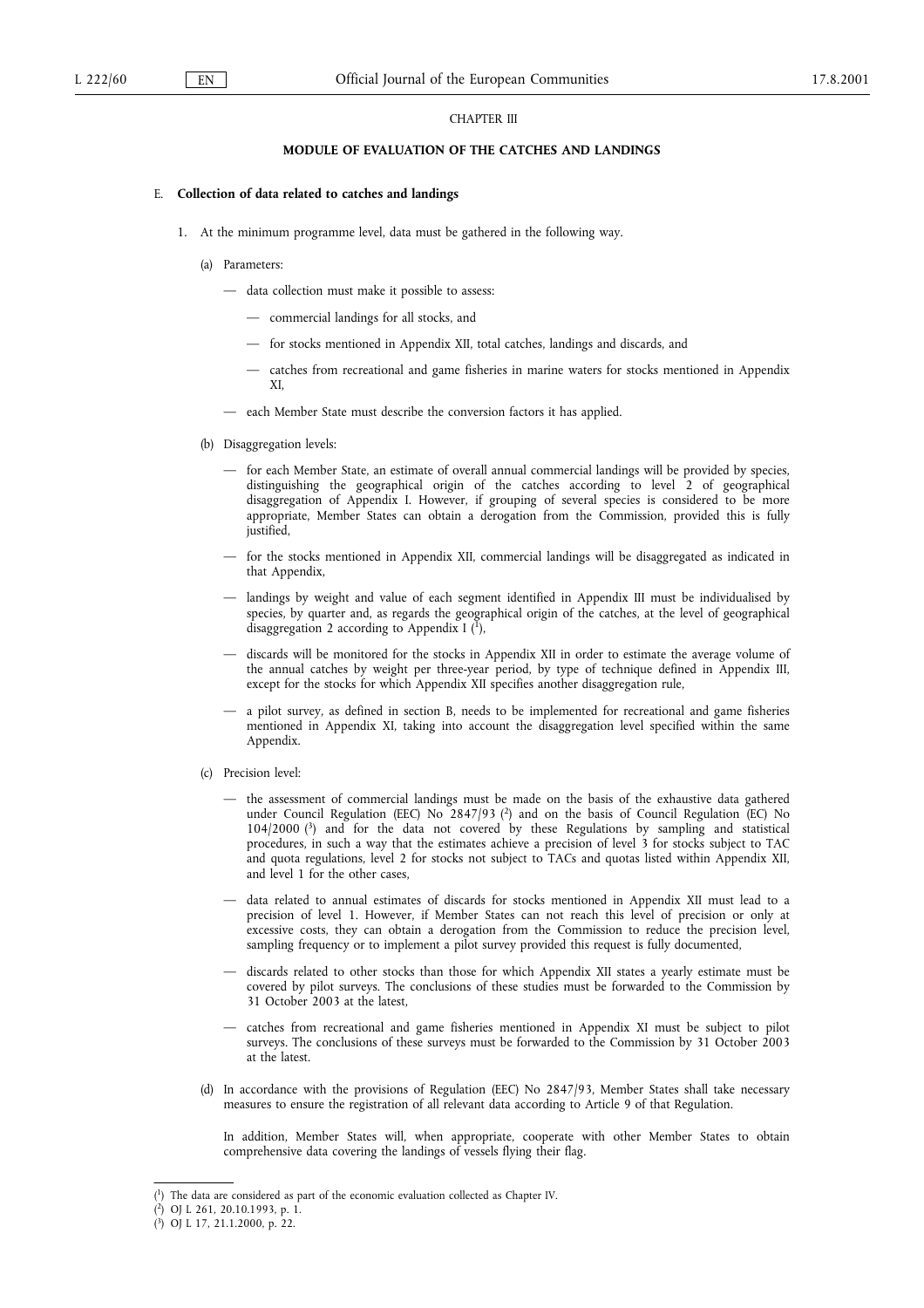#### CHAPTER III

#### MODULE OF EVALUATION OF THE CATCHES AND LANDINGS

#### E. Collection of data related to catches and landings

- 1. At the minimum programme level, data must be gathered in the following way.
	- (a) Parameters:
		- data collection must make it possible to assess:
			- commercial landings for all stocks, and
			- $-$  for stocks mentioned in Appendix XII, total catches, landings and discards, and
			- catches from recreational and game fisheries in marine waters for stocks mentioned in Appendix XI,
		- each Member State must describe the conversion factors it has applied.
	- (b) Disaggregation levels:
		- for each Member State, an estimate of overall annual commercial landings will be provided by species, distinguishing the geographical origin of the catches according to level 2 of geographical disaggregation of Appendix I. However, if grouping of several species is considered to be more appropriate, Member States can obtain a derogation from the Commission, provided this is fully justified,
		- for the stocks mentioned in Appendix XII, commercial landings will be disaggregated as indicated in that Appendix,
		- landings by weight and value of each segment identified in Appendix III must be individualised by species, by quarter and, as regards the geographical origin of the catches, at the level of geographical disaggregation 2 according to Appendix I  $(1)$ ,
		- discards will be monitored for the stocks in Appendix XII in order to estimate the average volume of the annual catches by weight per three-year period, by type of technique defined in Appendix III, except for the stocks for which Appendix XII specifies another disaggregation rule,
		- a pilot survey, as defined in section B, needs to be implemented for recreational and game fisheries mentioned in Appendix XI, taking into account the disaggregation level specified within the same Appendix.
	- (c) Precision level:
		- the assessment of commercial landings must be made on the basis of the exhaustive data gathered under Council Regulation (EEC) No 2847/93 (2) and on the basis of Council Regulation (EC) No 104/2000 (3) and for the data not covered by these Regulations by sampling and statistical procedures, in such a way that the estimates achieve a precision of level 3 for stocks subject to TAC and quota regulations, level 2 for stocks not subject to TACs and quotas listed within Appendix XII, and level 1 for the other cases,
		- data related to annual estimates of discards for stocks mentioned in Appendix XII must lead to a precision of level 1. However, if Member States can not reach this level of precision or only at excessive costs, they can obtain a derogation from the Commission to reduce the precision level, sampling frequency or to implement a pilot survey provided this request is fully documented,
		- discards related to other stocks than those for which Appendix XII states a yearly estimate must be covered by pilot surveys. The conclusions of these studies must be forwarded to the Commission by 31 October 2003 at the latest,
		- catches from recreational and game fisheries mentioned in Appendix XI must be subject to pilot surveys. The conclusions of these surveys must be forwarded to the Commission by 31 October 2003 at the latest.
	- (d) In accordance with the provisions of Regulation (EEC) No 2847/93, Member States shall take necessary measures to ensure the registration of all relevant data according to Article 9 of that Regulation.

In addition, Member States will, when appropriate, cooperate with other Member States to obtain comprehensive data covering the landings of vessels flying their flag.

<sup>(</sup> 1) The data are considered as part of the economic evaluation collected as Chapter IV.

<sup>(</sup> 2) OJ L 261, 20.10.1993, p. 1.

<sup>(</sup> 3) OJ L 17, 21.1.2000, p. 22.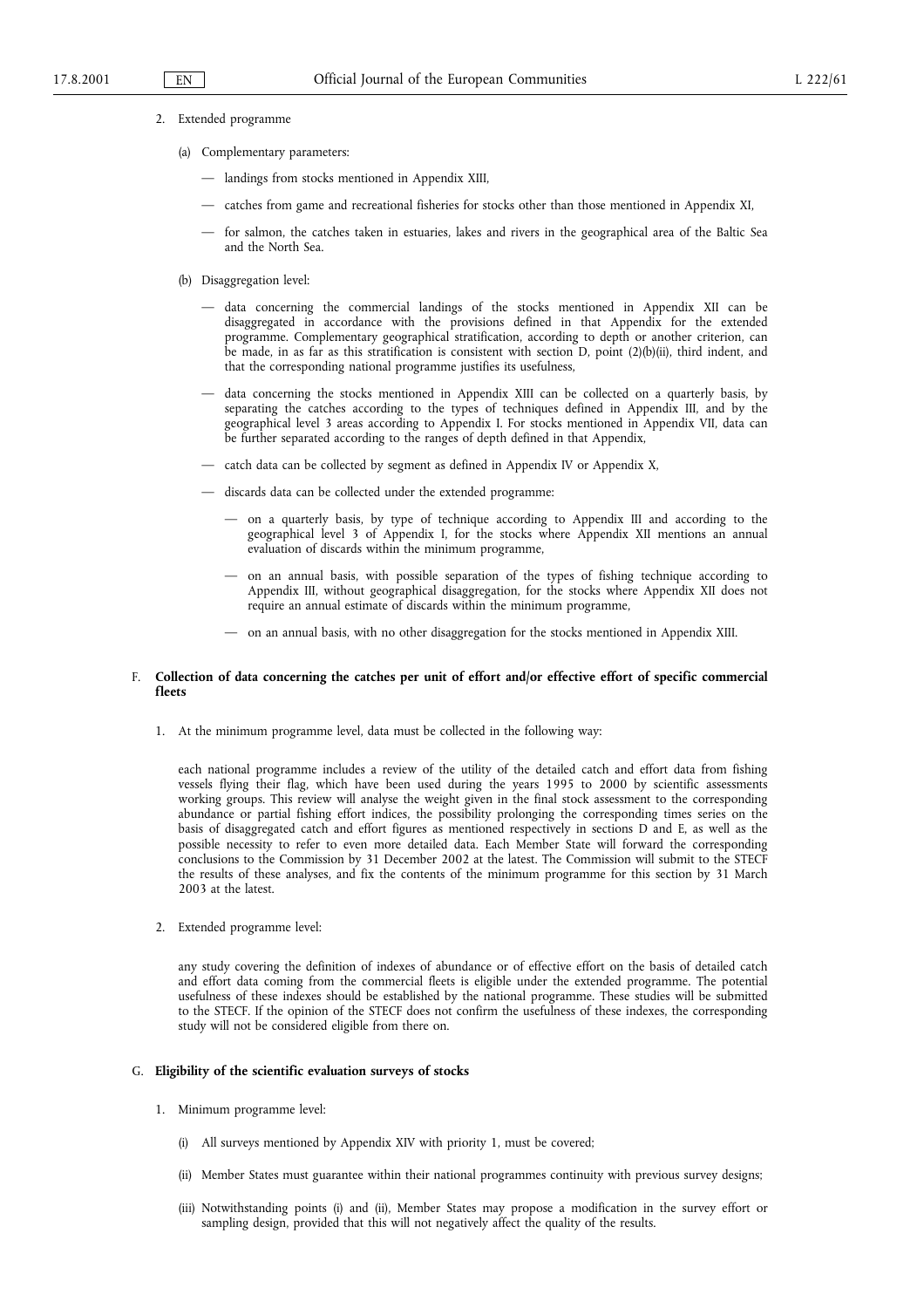- 2. Extended programme
	- (a) Complementary parameters:
		- landings from stocks mentioned in Appendix XIII,
		- catches from game and recreational fisheries for stocks other than those mentioned in Appendix XI,
		- for salmon, the catches taken in estuaries, lakes and rivers in the geographical area of the Baltic Sea and the North Sea.
	- (b) Disaggregation level:
		- data concerning the commercial landings of the stocks mentioned in Appendix XII can be disaggregated in accordance with the provisions defined in that Appendix for the extended programme. Complementary geographical stratification, according to depth or another criterion, can be made, in as far as this stratification is consistent with section D, point (2)(b)(ii), third indent, and that the corresponding national programme justifies its usefulness,
		- data concerning the stocks mentioned in Appendix XIII can be collected on a quarterly basis, by separating the catches according to the types of techniques defined in Appendix III, and by the geographical level 3 areas according to Appendix I. For stocks mentioned in Appendix VII, data can be further separated according to the ranges of depth defined in that Appendix,
		- catch data can be collected by segment as defined in Appendix IV or Appendix X,
		- $-$  discards data can be collected under the extended programme:
			- on a quarterly basis, by type of technique according to Appendix III and according to the geographical level 3 of Appendix I, for the stocks where Appendix XII mentions an annual evaluation of discards within the minimum programme,
			- on an annual basis, with possible separation of the types of fishing technique according to Appendix III, without geographical disaggregation, for the stocks where Appendix XII does not require an annual estimate of discards within the minimum programme,
			- on an annual basis, with no other disaggregation for the stocks mentioned in Appendix XIII.

#### F. Collection of data concerning the catches per unit of effort and/or effective effort of specific commercial fleets

1. At the minimum programme level, data must be collected in the following way:

each national programme includes a review of the utility of the detailed catch and effort data from fishing vessels flying their flag, which have been used during the years 1995 to 2000 by scientific assessments working groups. This review will analyse the weight given in the final stock assessment to the corresponding abundance or partial fishing effort indices, the possibility prolonging the corresponding times series on the basis of disaggregated catch and effort figures as mentioned respectively in sections D and E, as well as the possible necessity to refer to even more detailed data. Each Member State will forward the corresponding conclusions to the Commission by 31 December 2002 at the latest. The Commission will submit to the STECF the results of these analyses, and fix the contents of the minimum programme for this section by 31 March 2003 at the latest.

2. Extended programme level:

any study covering the definition of indexes of abundance or of effective effort on the basis of detailed catch and effort data coming from the commercial fleets is eligible under the extended programme. The potential usefulness of these indexes should be established by the national programme. These studies will be submitted to the STECF. If the opinion of the STECF does not confirm the usefulness of these indexes, the corresponding study will not be considered eligible from there on.

#### G. Eligibility of the scientific evaluation surveys of stocks

- 1. Minimum programme level:
	- (i) All surveys mentioned by Appendix XIV with priority 1, must be covered;
	- (ii) Member States must guarantee within their national programmes continuity with previous survey designs;
	- (iii) Notwithstanding points (i) and (ii), Member States may propose a modification in the survey effort or sampling design, provided that this will not negatively affect the quality of the results.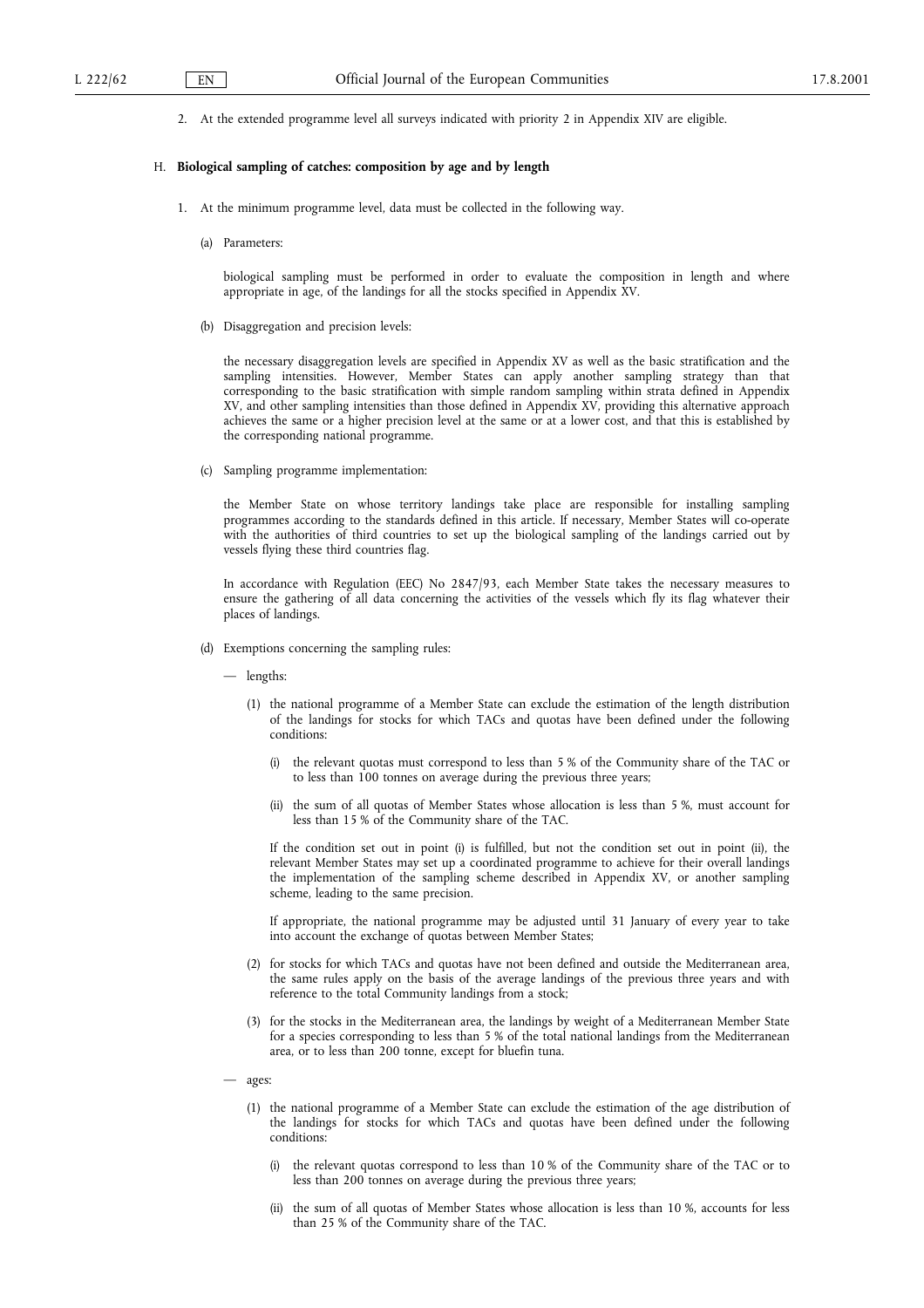2. At the extended programme level all surveys indicated with priority 2 in Appendix XIV are eligible.

#### H. Biological sampling of catches: composition by age and by length

- 1. At the minimum programme level, data must be collected in the following way.
	- (a) Parameters:

biological sampling must be performed in order to evaluate the composition in length and where appropriate in age, of the landings for all the stocks specified in Appendix XV.

(b) Disaggregation and precision levels:

the necessary disaggregation levels are specified in Appendix XV as well as the basic stratification and the sampling intensities. However, Member States can apply another sampling strategy than that corresponding to the basic stratification with simple random sampling within strata defined in Appendix XV, and other sampling intensities than those defined in Appendix XV, providing this alternative approach achieves the same or a higher precision level at the same or at a lower cost, and that this is established by the corresponding national programme.

(c) Sampling programme implementation:

the Member State on whose territory landings take place are responsible for installing sampling programmes according to the standards defined in this article. If necessary, Member States will co-operate with the authorities of third countries to set up the biological sampling of the landings carried out by vessels flying these third countries flag.

In accordance with Regulation (EEC) No 2847/93, each Member State takes the necessary measures to ensure the gathering of all data concerning the activities of the vessels which fly its flag whatever their places of landings.

- (d) Exemptions concerning the sampling rules:
	- lengths:
		- (1) the national programme of a Member State can exclude the estimation of the length distribution of the landings for stocks for which TACs and quotas have been defined under the following conditions:
			- the relevant quotas must correspond to less than 5 % of the Community share of the TAC or to less than 100 tonnes on average during the previous three years;
			- (ii) the sum of all quotas of Member States whose allocation is less than 5 %, must account for less than 15 % of the Community share of the TAC.

If the condition set out in point (i) is fulfilled, but not the condition set out in point (ii), the relevant Member States may set up a coordinated programme to achieve for their overall landings the implementation of the sampling scheme described in Appendix XV, or another sampling scheme, leading to the same precision.

If appropriate, the national programme may be adjusted until 31 January of every year to take into account the exchange of quotas between Member States;

- (2) for stocks for which TACs and quotas have not been defined and outside the Mediterranean area, the same rules apply on the basis of the average landings of the previous three years and with reference to the total Community landings from a stock;
- (3) for the stocks in the Mediterranean area, the landings by weight of a Mediterranean Member State for a species corresponding to less than 5 % of the total national landings from the Mediterranean area, or to less than 200 tonne, except for bluefin tuna.
- ages:
	- (1) the national programme of a Member State can exclude the estimation of the age distribution of the landings for stocks for which TACs and quotas have been defined under the following conditions:
		- (i) the relevant quotas correspond to less than 10 % of the Community share of the TAC or to less than 200 tonnes on average during the previous three years;
		- (ii) the sum of all quotas of Member States whose allocation is less than 10 %, accounts for less than 25 % of the Community share of the TAC.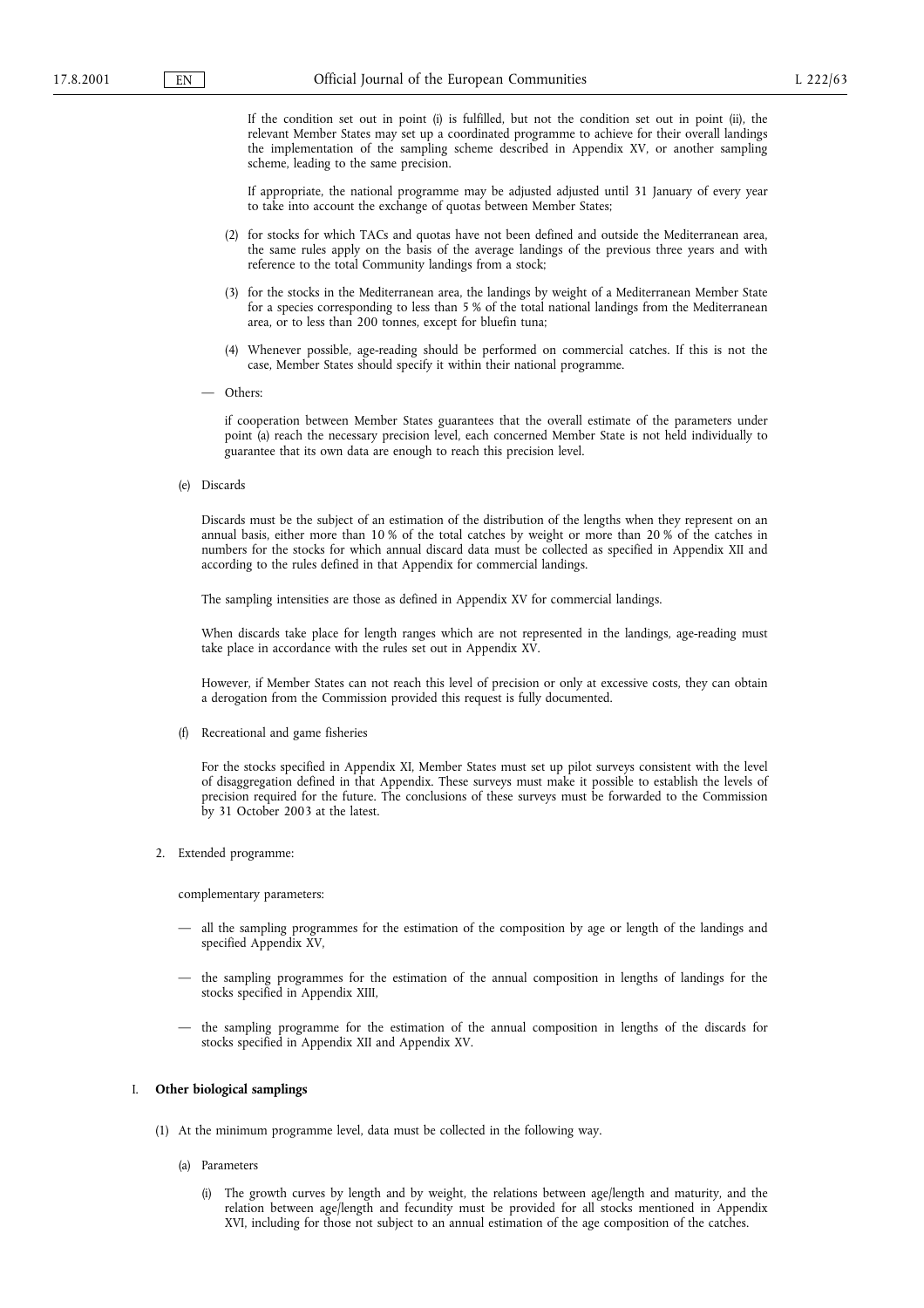If the condition set out in point (i) is fulfilled, but not the condition set out in point (ii), the relevant Member States may set up a coordinated programme to achieve for their overall landings the implementation of the sampling scheme described in Appendix XV, or another sampling scheme, leading to the same precision.

If appropriate, the national programme may be adjusted adjusted until 31 January of every year to take into account the exchange of quotas between Member States;

- (2) for stocks for which TACs and quotas have not been defined and outside the Mediterranean area, the same rules apply on the basis of the average landings of the previous three years and with reference to the total Community landings from a stock;
- (3) for the stocks in the Mediterranean area, the landings by weight of a Mediterranean Member State for a species corresponding to less than 5 % of the total national landings from the Mediterranean area, or to less than 200 tonnes, except for bluefin tuna;
- (4) Whenever possible, age-reading should be performed on commercial catches. If this is not the case, Member States should specify it within their national programme.
- Others:

if cooperation between Member States guarantees that the overall estimate of the parameters under point (a) reach the necessary precision level, each concerned Member State is not held individually to guarantee that its own data are enough to reach this precision level.

(e) Discards

Discards must be the subject of an estimation of the distribution of the lengths when they represent on an annual basis, either more than 10 % of the total catches by weight or more than 20 % of the catches in numbers for the stocks for which annual discard data must be collected as specified in Appendix XII and according to the rules defined in that Appendix for commercial landings.

The sampling intensities are those as defined in Appendix XV for commercial landings.

When discards take place for length ranges which are not represented in the landings, age-reading must take place in accordance with the rules set out in Appendix XV.

However, if Member States can not reach this level of precision or only at excessive costs, they can obtain a derogation from the Commission provided this request is fully documented.

(f) Recreational and game fisheries

For the stocks specified in Appendix XI, Member States must set up pilot surveys consistent with the level of disaggregation defined in that Appendix. These surveys must make it possible to establish the levels of precision required for the future. The conclusions of these surveys must be forwarded to the Commission by 31 October 2003 at the latest.

2. Extended programme:

complementary parameters:

- all the sampling programmes for the estimation of the composition by age or length of the landings and specified Appendix XV,
- $-$  the sampling programmes for the estimation of the annual composition in lengths of landings for the stocks specified in Appendix XIII,
- the sampling programme for the estimation of the annual composition in lengths of the discards for stocks specified in Appendix XII and Appendix XV.

#### I. Other biological samplings

- (1) At the minimum programme level, data must be collected in the following way.
	- (a) Parameters
		- (i) The growth curves by length and by weight, the relations between age/length and maturity, and the relation between age/length and fecundity must be provided for all stocks mentioned in Appendix XVI, including for those not subject to an annual estimation of the age composition of the catches.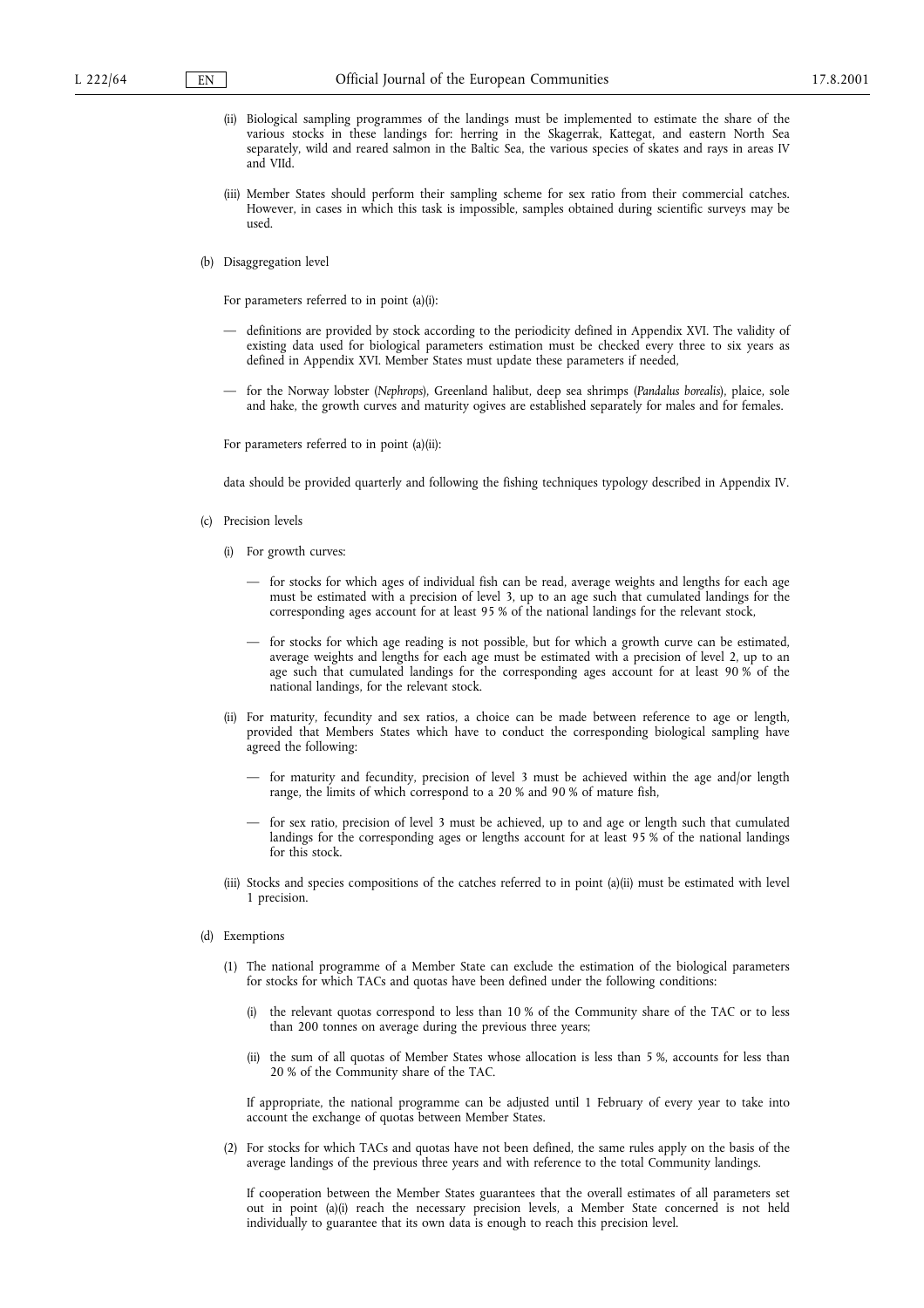- (ii) Biological sampling programmes of the landings must be implemented to estimate the share of the various stocks in these landings for: herring in the Skagerrak, Kattegat, and eastern North Sea separately, wild and reared salmon in the Baltic Sea, the various species of skates and rays in areas IV and VIId.
- (iii) Member States should perform their sampling scheme for sex ratio from their commercial catches. However, in cases in which this task is impossible, samples obtained during scientific surveys may be used.
- (b) Disaggregation level

For parameters referred to in point (a)(i):

- definitions are provided by stock according to the periodicity defined in Appendix XVI. The validity of existing data used for biological parameters estimation must be checked every three to six years as defined in Appendix XVI. Member States must update these parameters if needed,
- for the Norway lobster (Nephrops), Greenland halibut, deep sea shrimps (Pandalus borealis), plaice, sole and hake, the growth curves and maturity ogives are established separately for males and for females.

For parameters referred to in point (a)(ii):

data should be provided quarterly and following the fishing techniques typology described in Appendix IV.

- (c) Precision levels
	- (i) For growth curves:
		- for stocks for which ages of individual fish can be read, average weights and lengths for each age must be estimated with a precision of level 3, up to an age such that cumulated landings for the corresponding ages account for at least 95 % of the national landings for the relevant stock,
		- for stocks for which age reading is not possible, but for which a growth curve can be estimated, average weights and lengths for each age must be estimated with a precision of level 2, up to an age such that cumulated landings for the corresponding ages account for at least 90 % of the national landings, for the relevant stock.
	- (ii) For maturity, fecundity and sex ratios, a choice can be made between reference to age or length, provided that Members States which have to conduct the corresponding biological sampling have agreed the following:
		- $f$  for maturity and fecundity, precision of level 3 must be achieved within the age and/or length range, the limits of which correspond to a 20 % and 90 % of mature fish,
		- for sex ratio, precision of level 3 must be achieved, up to and age or length such that cumulated landings for the corresponding ages or lengths account for at least 95 % of the national landings for this stock.
	- (iii) Stocks and species compositions of the catches referred to in point (a)(ii) must be estimated with level 1 precision.

#### (d) Exemptions

- (1) The national programme of a Member State can exclude the estimation of the biological parameters for stocks for which TACs and quotas have been defined under the following conditions:
	- (i) the relevant quotas correspond to less than 10 % of the Community share of the TAC or to less than 200 tonnes on average during the previous three years;
	- (ii) the sum of all quotas of Member States whose allocation is less than 5 %, accounts for less than 20 % of the Community share of the TAC.

If appropriate, the national programme can be adjusted until 1 February of every year to take into account the exchange of quotas between Member States.

(2) For stocks for which TACs and quotas have not been defined, the same rules apply on the basis of the average landings of the previous three years and with reference to the total Community landings.

If cooperation between the Member States guarantees that the overall estimates of all parameters set out in point (a)(i) reach the necessary precision levels, a Member State concerned is not held individually to guarantee that its own data is enough to reach this precision level.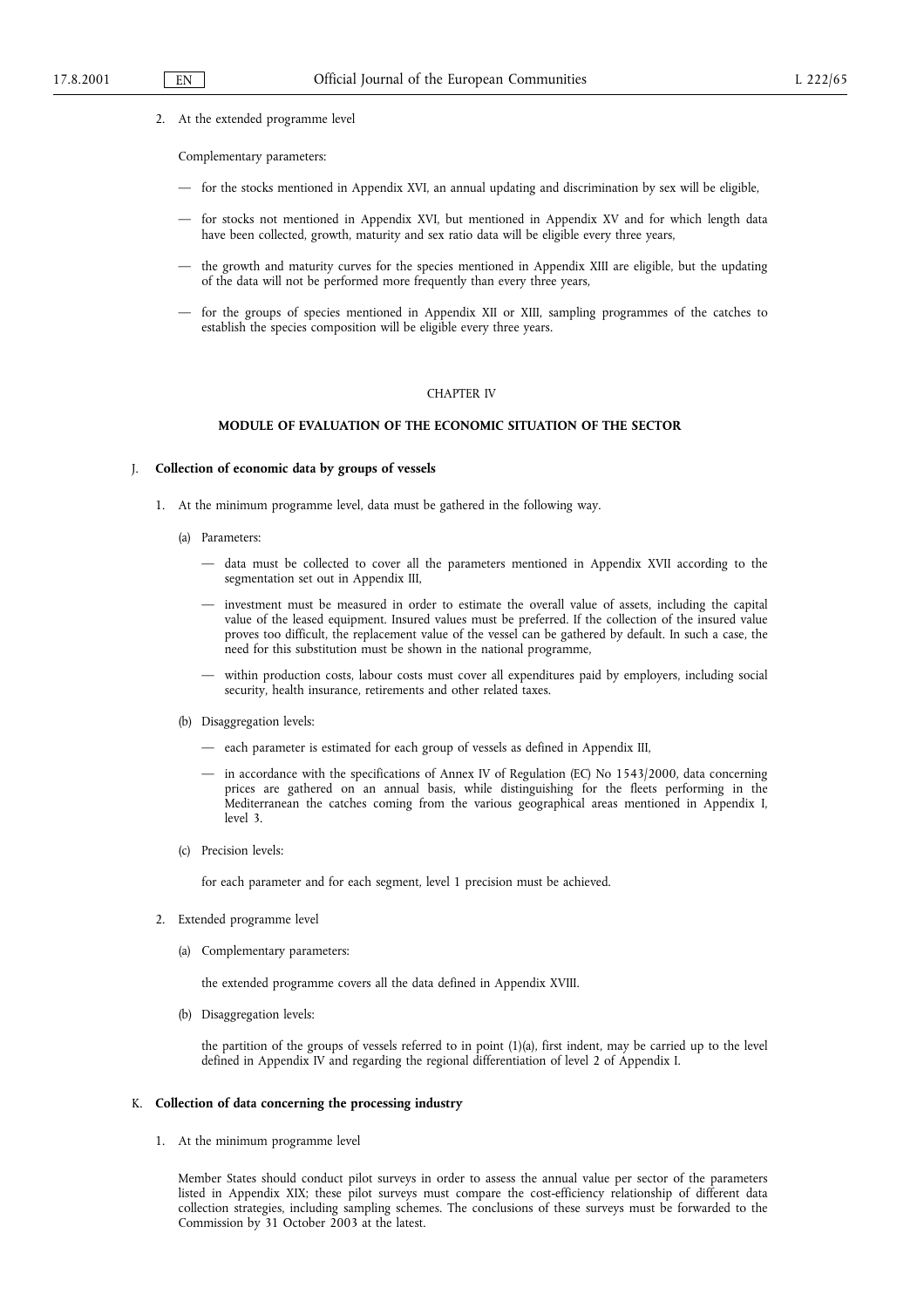2. At the extended programme level

Complementary parameters:

- for the stocks mentioned in Appendix XVI, an annual updating and discrimination by sex will be eligible,
- for stocks not mentioned in Appendix XVI, but mentioned in Appendix XV and for which length data have been collected, growth, maturity and sex ratio data will be eligible every three years,
- $-$  the growth and maturity curves for the species mentioned in Appendix XIII are eligible, but the updating of the data will not be performed more frequently than every three years,
- for the groups of species mentioned in Appendix XII or XIII, sampling programmes of the catches to establish the species composition will be eligible every three years.

#### CHAPTER IV

#### MODULE OF EVALUATION OF THE ECONOMIC SITUATION OF THE SECTOR

#### J. Collection of economic data by groups of vessels

- 1. At the minimum programme level, data must be gathered in the following way.
	- (a) Parameters:
		- data must be collected to cover all the parameters mentioned in Appendix XVII according to the segmentation set out in Appendix III,
		- investment must be measured in order to estimate the overall value of assets, including the capital value of the leased equipment. Insured values must be preferred. If the collection of the insured value proves too difficult, the replacement value of the vessel can be gathered by default. In such a case, the need for this substitution must be shown in the national programme,
		- within production costs, labour costs must cover all expenditures paid by employers, including social security, health insurance, retirements and other related taxes.
	- (b) Disaggregation levels:
		- each parameter is estimated for each group of vessels as defined in Appendix III,
		- in accordance with the specifications of Annex IV of Regulation (EC) No 1543/2000, data concerning prices are gathered on an annual basis, while distinguishing for the fleets performing in the Mediterranean the catches coming from the various geographical areas mentioned in Appendix I, level 3.
	- (c) Precision levels:

for each parameter and for each segment, level 1 precision must be achieved.

- 2. Extended programme level
	- (a) Complementary parameters:

the extended programme covers all the data defined in Appendix XVIII.

(b) Disaggregation levels:

the partition of the groups of vessels referred to in point (1)(a), first indent, may be carried up to the level defined in Appendix IV and regarding the regional differentiation of level 2 of Appendix I.

#### K. Collection of data concerning the processing industry

1. At the minimum programme level

Member States should conduct pilot surveys in order to assess the annual value per sector of the parameters listed in Appendix XIX; these pilot surveys must compare the cost-efficiency relationship of different data collection strategies, including sampling schemes. The conclusions of these surveys must be forwarded to the Commission by 31 October 2003 at the latest.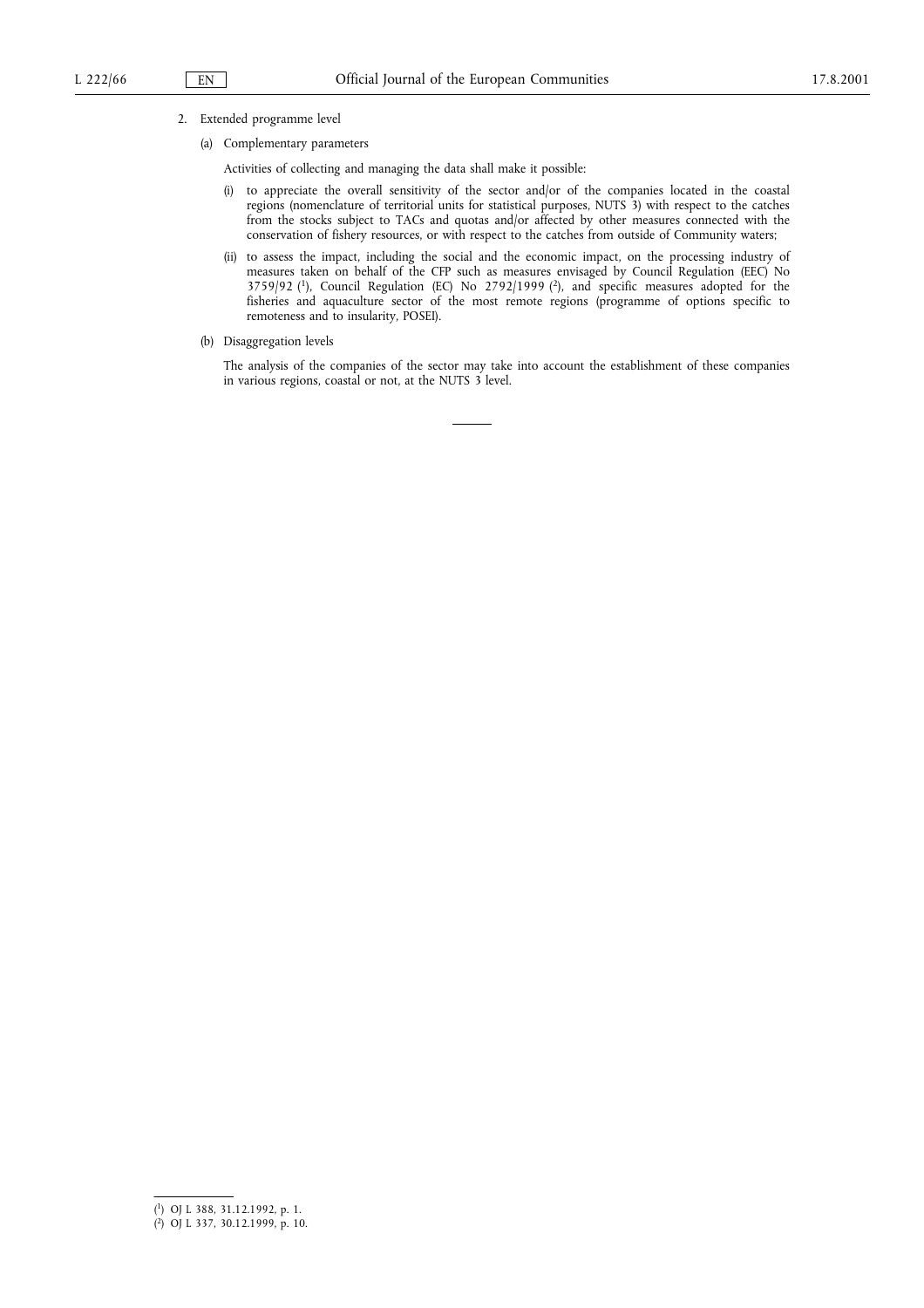#### 2. Extended programme level

(a) Complementary parameters

Activities of collecting and managing the data shall make it possible:

- (i) to appreciate the overall sensitivity of the sector and/or of the companies located in the coastal regions (nomenclature of territorial units for statistical purposes, NUTS 3) with respect to the catches from the stocks subject to TACs and quotas and/or affected by other measures connected with the conservation of fishery resources, or with respect to the catches from outside of Community waters;
- (ii) to assess the impact, including the social and the economic impact, on the processing industry of measures taken on behalf of the CFP such as measures envisaged by Council Regulation (EEC) No  $3759/92$  (<sup>1</sup>), Council Regulation (EC) No  $2792/1999$  (<sup>2</sup>), and specific measures adopted for the fisheries and aquaculture sector of the most remote regions (programme of options specific to remoteness and to insularity, POSEI).
- (b) Disaggregation levels

The analysis of the companies of the sector may take into account the establishment of these companies in various regions, coastal or not, at the NUTS 3 level.

<sup>(</sup> 1) OJ L 388, 31.12.1992, p. 1.

<sup>(</sup> 2) OJ L 337, 30.12.1999, p. 10.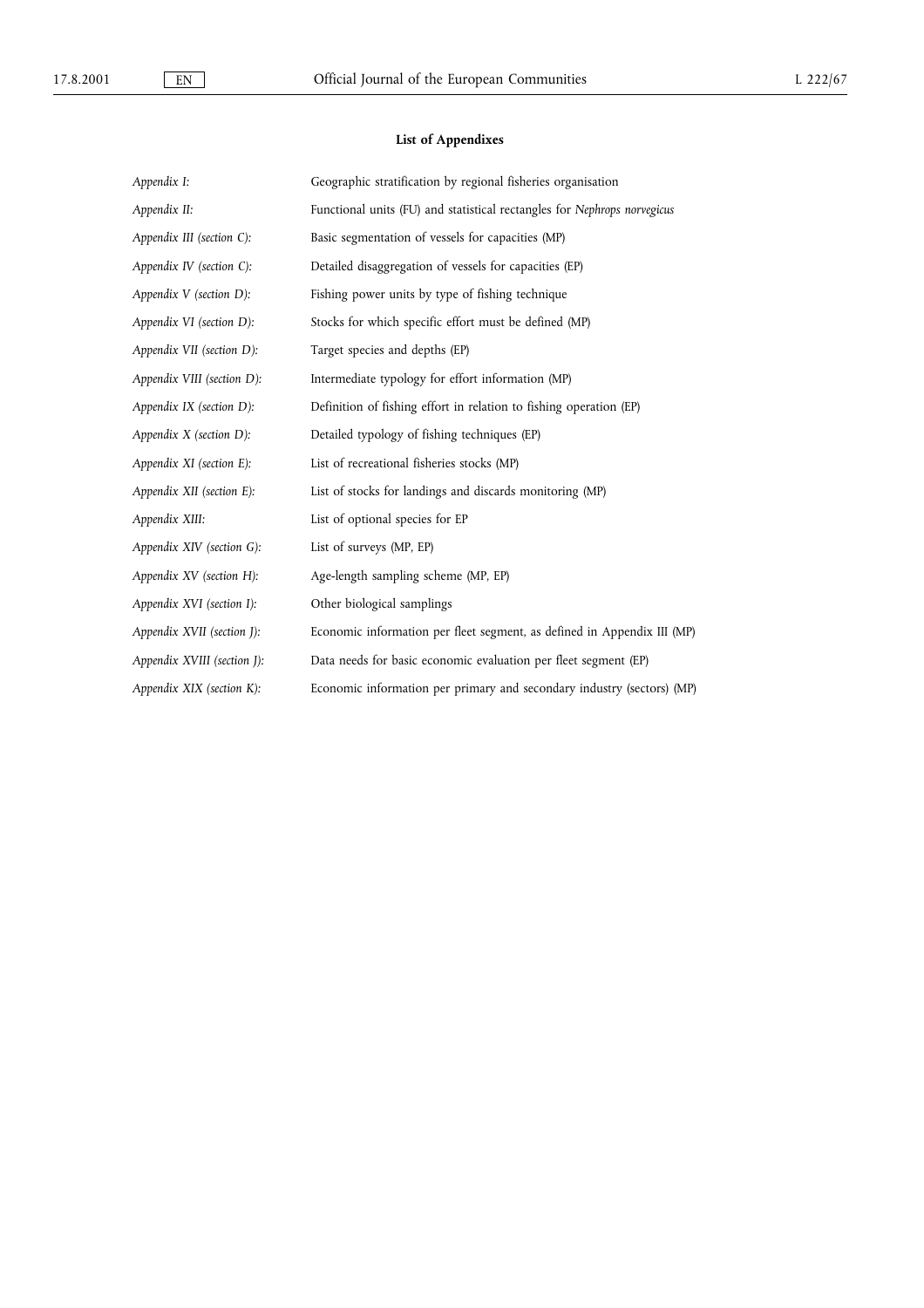## List of Appendixes

| Appendix I:                  | Geographic stratification by regional fisheries organisation             |
|------------------------------|--------------------------------------------------------------------------|
| Appendix II:                 | Functional units (FU) and statistical rectangles for Nephrops norvegicus |
| Appendix III (section C):    | Basic segmentation of vessels for capacities (MP)                        |
| Appendix IV (section C):     | Detailed disaggregation of vessels for capacities (EP)                   |
| Appendix V (section D):      | Fishing power units by type of fishing technique                         |
| Appendix VI (section D):     | Stocks for which specific effort must be defined (MP)                    |
| Appendix VII (section D):    | Target species and depths (EP)                                           |
| Appendix VIII (section D):   | Intermediate typology for effort information (MP)                        |
| Appendix IX (section D):     | Definition of fishing effort in relation to fishing operation (EP)       |
| Appendix $X$ (section $D$ ): | Detailed typology of fishing techniques (EP)                             |
| Appendix XI (section E):     | List of recreational fisheries stocks (MP)                               |
| Appendix XII (section E):    | List of stocks for landings and discards monitoring (MP)                 |
| Appendix XIII:               | List of optional species for EP                                          |
| Appendix XIV (section G):    | List of surveys (MP, EP)                                                 |
| Appendix XV (section H):     | Age-length sampling scheme (MP, EP)                                      |
| Appendix XVI (section I):    | Other biological samplings                                               |
| Appendix XVII (section J):   | Economic information per fleet segment, as defined in Appendix III (MP)  |
| Appendix XVIII (section J):  | Data needs for basic economic evaluation per fleet segment (EP)          |
| Appendix XIX (section K):    | Economic information per primary and secondary industry (sectors) (MP)   |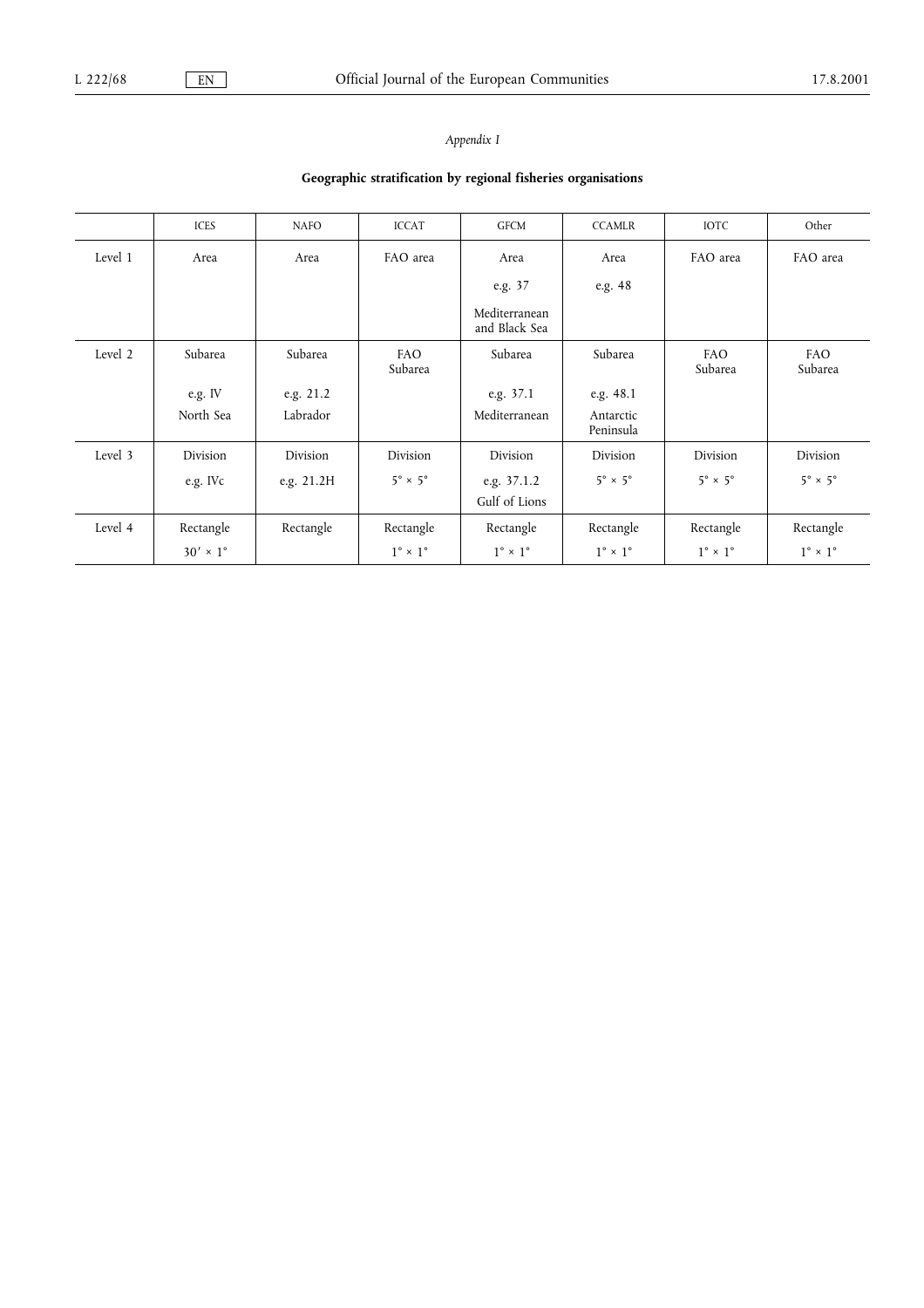## Appendix I

## Geographic stratification by regional fisheries organisations

|         | <b>ICES</b>            | <b>NAFO</b> | <b>ICCAT</b>                 | <b>GFCM</b>                    | <b>CCAMLR</b>                | <b>IOTC</b>                  | Other                        |
|---------|------------------------|-------------|------------------------------|--------------------------------|------------------------------|------------------------------|------------------------------|
| Level 1 | Area                   | Area        | FAO area                     | Area                           | Area                         | FAO area                     | FAO area                     |
|         |                        |             |                              | e.g. 37                        | e.g. 48                      |                              |                              |
|         |                        |             |                              | Mediterranean<br>and Black Sea |                              |                              |                              |
| Level 2 | Subarea                | Subarea     | <b>FAO</b><br>Subarea        | Subarea                        | Subarea                      | FAO<br>Subarea               | <b>FAO</b><br>Subarea        |
|         | e.g. IV                | e.g. 21.2   |                              | e.g. 37.1                      | e.g. 48.1                    |                              |                              |
|         | North Sea              | Labrador    |                              | Mediterranean                  | Antarctic<br>Peninsula       |                              |                              |
| Level 3 | Division               | Division    | Division                     | Division                       | Division                     | Division                     | Division                     |
|         | e.g. IVc               | e.g. 21.2H  | $5^\circ \times 5^\circ$     | e.g. 37.1.2                    | $5^\circ \times 5^\circ$     | $5^\circ \times 5^\circ$     | $5^\circ \times 5^\circ$     |
|         |                        |             |                              | Gulf of Lions                  |                              |                              |                              |
| Level 4 | Rectangle              | Rectangle   | Rectangle                    | Rectangle                      | Rectangle                    | Rectangle                    | Rectangle                    |
|         | $30' \times 1^{\circ}$ |             | $1^{\circ} \times 1^{\circ}$ | $1^{\circ} \times 1^{\circ}$   | $1^{\circ} \times 1^{\circ}$ | $1^{\circ} \times 1^{\circ}$ | $1^{\circ} \times 1^{\circ}$ |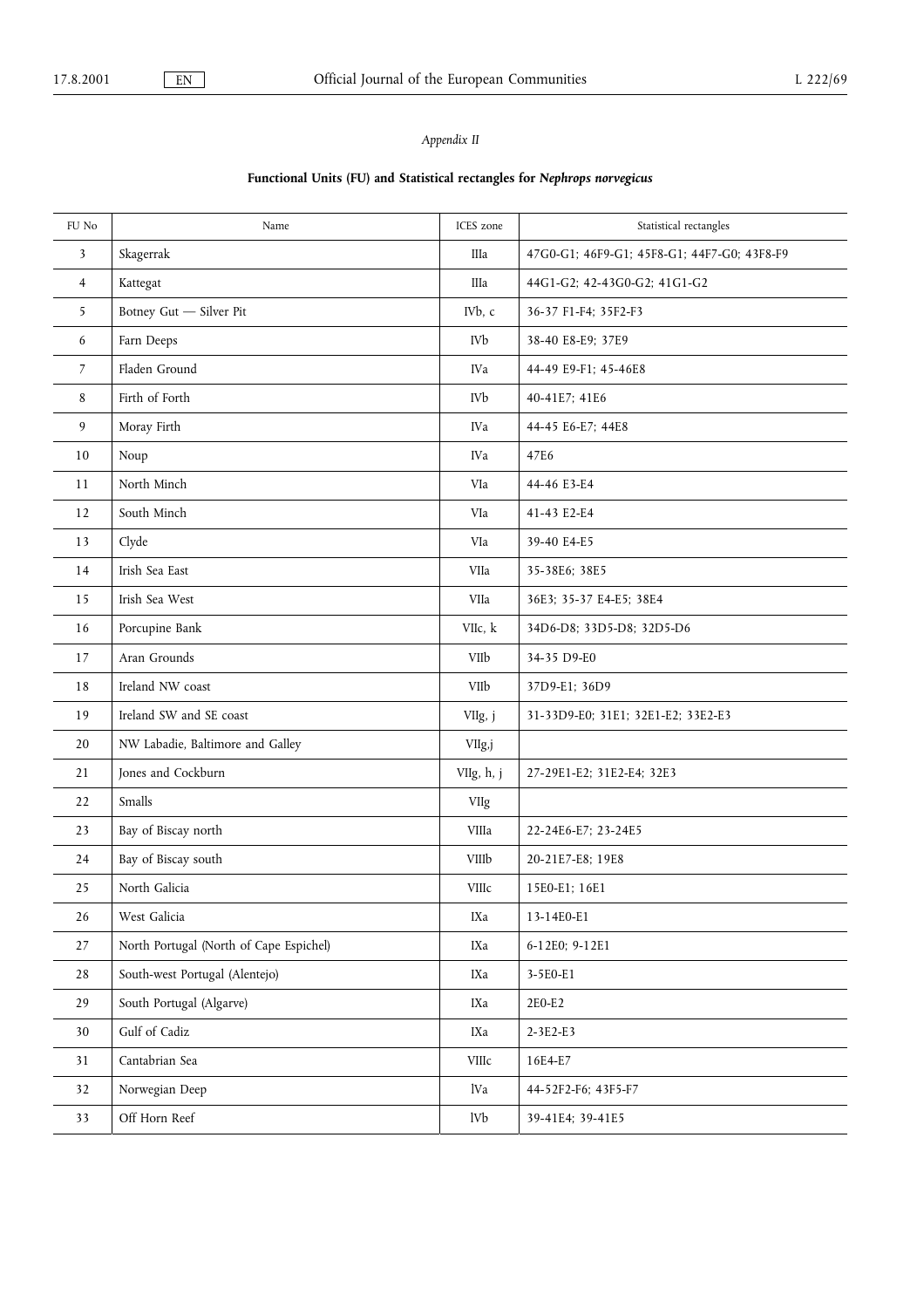## Appendix II

## Functional Units (FU) and Statistical rectangles for Nephrops norvegicus

| FU No  | Name                                    | ICES zone  | Statistical rectangles                      |
|--------|-----------------------------------------|------------|---------------------------------------------|
| 3      | Skagerrak                               | IIIa       | 47G0-G1; 46F9-G1; 45F8-G1; 44F7-G0; 43F8-F9 |
| 4      | Kattegat                                | IIIa       | 44G1-G2; 42-43G0-G2; 41G1-G2                |
| 5      | Botney Gut - Silver Pit                 | IVb, c     | 36-37 F1-F4; 35F2-F3                        |
| 6      | Farn Deeps                              | IVb        | 38-40 E8-E9; 37E9                           |
| 7      | Fladen Ground                           | IVa        | 44-49 E9-F1; 45-46E8                        |
| 8      | Firth of Forth                          | IVb        | 40-41E7; 41E6                               |
| 9      | Moray Firth                             | <b>IVa</b> | 44-45 E6-E7; 44E8                           |
| 10     | Noup                                    | IVa        | 47E6                                        |
| 11     | North Minch                             | VIa        | 44-46 E3-E4                                 |
| 12     | South Minch                             | VIa        | 41-43 E2-E4                                 |
| 13     | Clyde                                   | VIa        | 39-40 E4-E5                                 |
| 14     | Irish Sea East                          | VIIa       | 35-38E6; 38E5                               |
| 15     | Irish Sea West                          | VIIa       | 36E3; 35-37 E4-E5; 38E4                     |
| 16     | Porcupine Bank                          | VIIc, k    | 34D6-D8; 33D5-D8; 32D5-D6                   |
| 17     | Aran Grounds                            | VIIb       | 34-35 D9-E0                                 |
| 18     | Ireland NW coast                        | VIIb       | 37D9-E1; 36D9                               |
| 19     | Ireland SW and SE coast                 | VIIg, j    | 31-33D9-E0; 31E1; 32E1-E2; 33E2-E3          |
| 20     | NW Labadie, Baltimore and Galley        | VIIg,j     |                                             |
| 21     | Jones and Cockburn                      | VIIg, h, j | 27-29E1-E2; 31E2-E4; 32E3                   |
| 22     | Smalls                                  | VIIg       |                                             |
| 23     | Bay of Biscay north                     | VIIIa      | 22-24E6-E7; 23-24E5                         |
| 24     | Bay of Biscay south                     | VIIIb      | 20-21E7-E8; 19E8                            |
| 25     | North Galicia                           | VIIIc      | 15E0-E1; 16E1                               |
| 26     | West Galicia                            | IXa        | 13-14E0-E1                                  |
| $27\,$ | North Portugal (North of Cape Espichel) | IXa        | 6-12E0; 9-12E1                              |
| 28     | South-west Portugal (Alentejo)          | IXa        | 3-5E0-E1                                    |
| 29     | South Portugal (Algarve)                | IXa        | 2E0-E2                                      |
| 30     | Gulf of Cadiz                           | IXa        | 2-3E2-E3                                    |
| 31     | Cantabrian Sea                          | VIIIc      | 16E4-E7                                     |
| 32     | Norwegian Deep                          | lVa        | 44-52F2-F6; 43F5-F7                         |
| 33     | Off Horn Reef                           | lVb        | 39-41E4; 39-41E5                            |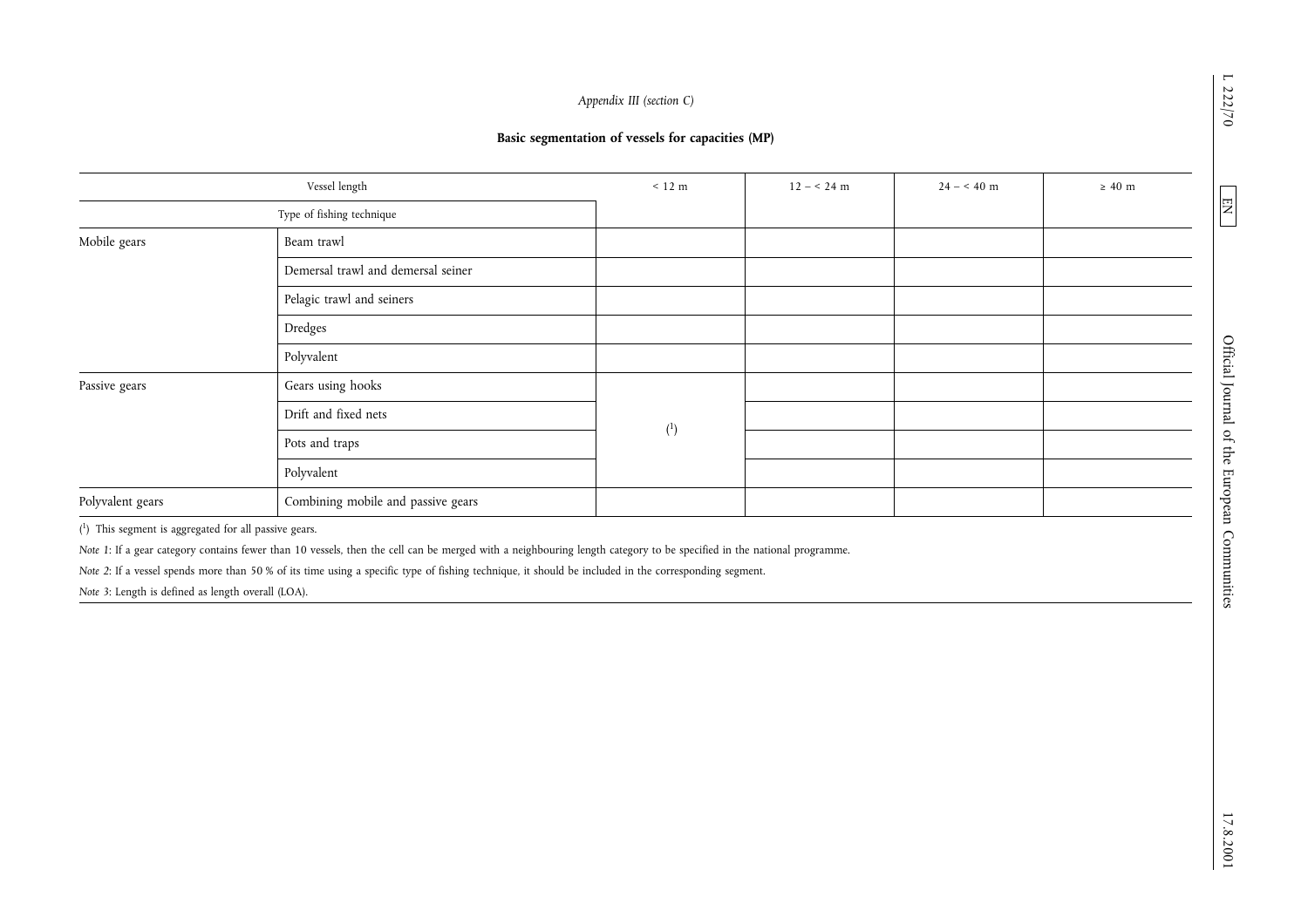|                                                    | Type of fishing technique<br>Beam trawl                                                                                                                                                                                                                                                                                        |                |  |  |
|----------------------------------------------------|--------------------------------------------------------------------------------------------------------------------------------------------------------------------------------------------------------------------------------------------------------------------------------------------------------------------------------|----------------|--|--|
| Mobile gears                                       |                                                                                                                                                                                                                                                                                                                                |                |  |  |
|                                                    |                                                                                                                                                                                                                                                                                                                                |                |  |  |
|                                                    | Demersal trawl and demersal seiner                                                                                                                                                                                                                                                                                             |                |  |  |
|                                                    | Pelagic trawl and seiners                                                                                                                                                                                                                                                                                                      |                |  |  |
|                                                    | Dredges                                                                                                                                                                                                                                                                                                                        |                |  |  |
|                                                    | Polyvalent                                                                                                                                                                                                                                                                                                                     |                |  |  |
| Passive gears                                      | Gears using hooks                                                                                                                                                                                                                                                                                                              |                |  |  |
|                                                    | Drift and fixed nets                                                                                                                                                                                                                                                                                                           |                |  |  |
|                                                    | Pots and traps                                                                                                                                                                                                                                                                                                                 | $\binom{1}{ }$ |  |  |
|                                                    | Polyvalent                                                                                                                                                                                                                                                                                                                     |                |  |  |
| Polyvalent gears                                   | Combining mobile and passive gears                                                                                                                                                                                                                                                                                             |                |  |  |
| Note 3: Length is defined as length overall (LOA). | Note 1: If a gear category contains fewer than 10 vessels, then the cell can be merged with a neighbouring length category to be specified in the national programme.<br>Note 2: If a vessel spends more than 50 % of its time using a specific type of fishing technique, it should be included in the corresponding segment. |                |  |  |

L 222/70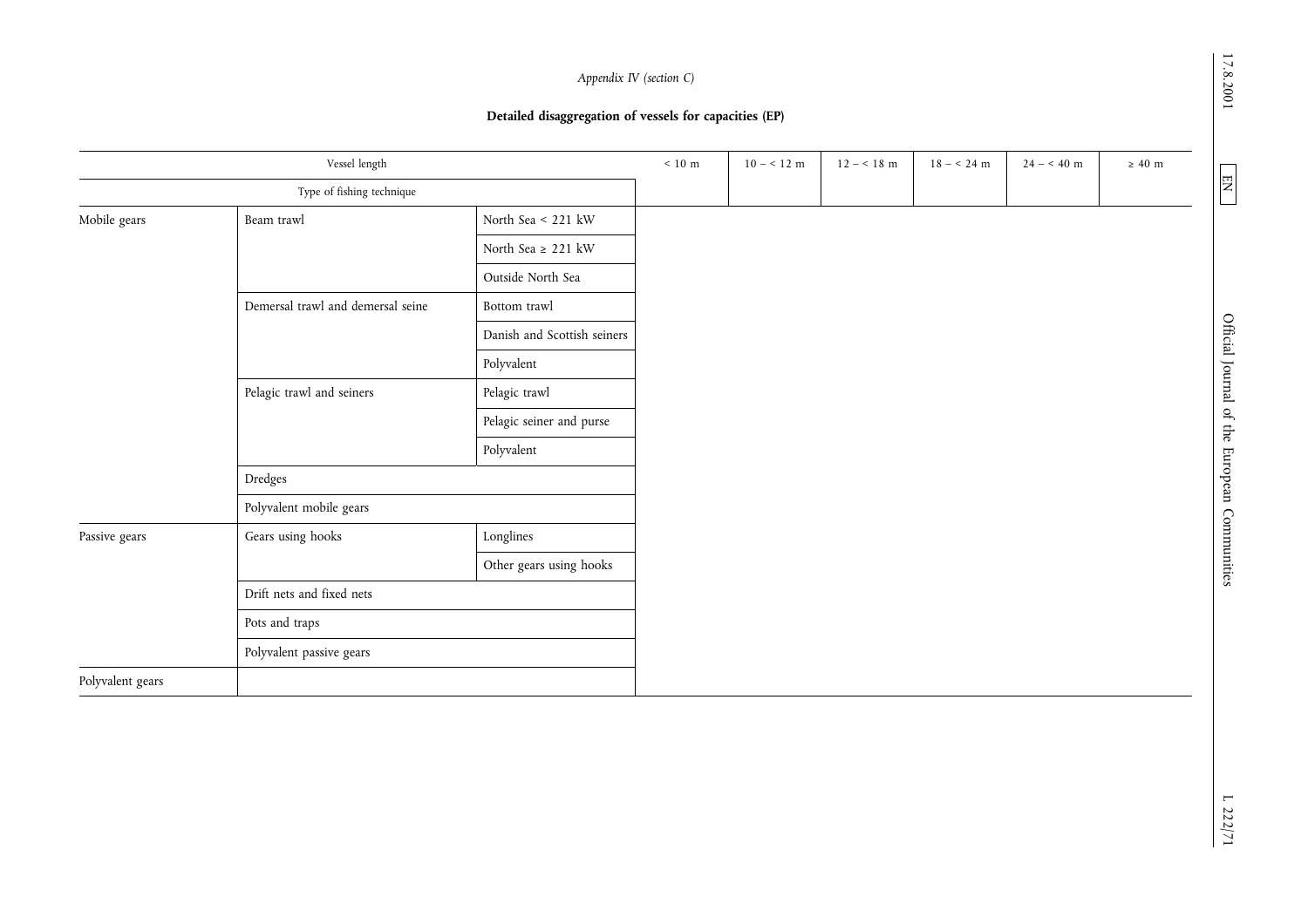17.8.2001

|                           | Vessel length                     |                             | $\leq 10~\text{m}$ | $10 - < 12$ m | $12 - 18$ m | $18 - 24$ m | $24 - 40$ m | $\geq$ 40 m |
|---------------------------|-----------------------------------|-----------------------------|--------------------|---------------|-------------|-------------|-------------|-------------|
|                           | Type of fishing technique         |                             |                    |               |             |             |             |             |
| Mobile gears              | Beam trawl                        | North Sea < 221 kW          |                    |               |             |             |             |             |
|                           |                                   | North Sea $\geq$ 221 kW     |                    |               |             |             |             |             |
|                           |                                   | Outside North Sea           |                    |               |             |             |             |             |
|                           | Demersal trawl and demersal seine | Bottom trawl                |                    |               |             |             |             |             |
|                           |                                   | Danish and Scottish seiners |                    |               |             |             |             |             |
| Pelagic trawl and seiners | Polyvalent                        |                             |                    |               |             |             |             |             |
|                           | Pelagic trawl                     |                             |                    |               |             |             |             |             |
|                           | Pelagic seiner and purse          |                             |                    |               |             |             |             |             |
|                           |                                   | Polyvalent                  |                    |               |             |             |             |             |
|                           | Dredges                           |                             |                    |               |             |             |             |             |
|                           | Polyvalent mobile gears           |                             |                    |               |             |             |             |             |
| Passive gears             | Gears using hooks                 | Longlines                   |                    |               |             |             |             |             |
|                           |                                   | Other gears using hooks     |                    |               |             |             |             |             |
|                           | Drift nets and fixed nets         |                             |                    |               |             |             |             |             |
|                           | Pots and traps                    |                             |                    |               |             |             |             |             |
|                           | Polyvalent passive gears          |                             |                    |               |             |             |             |             |
| Polyvalent gears          |                                   |                             |                    |               |             |             |             |             |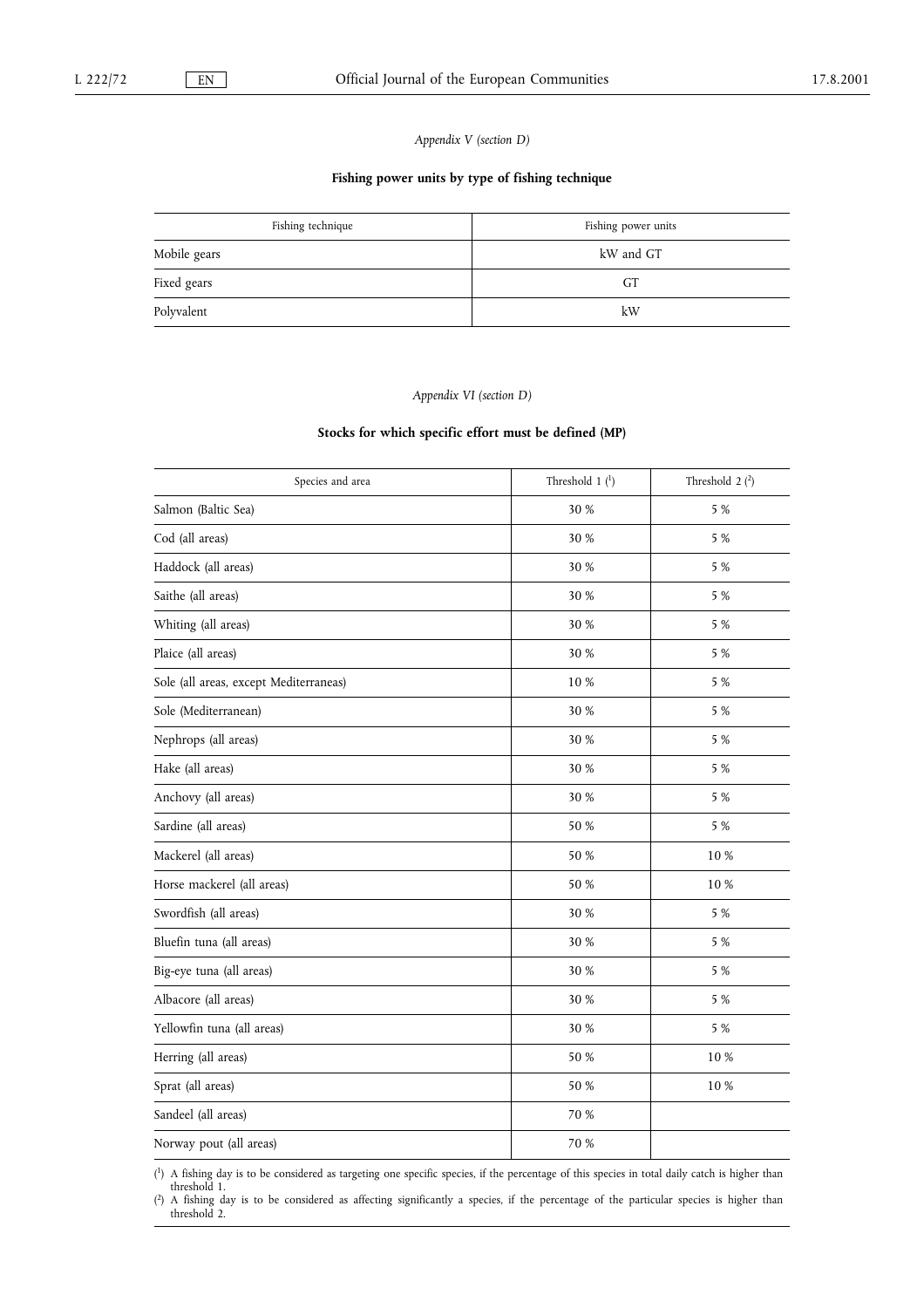Appendix V (section D)

## Fishing power units by type of fishing technique

| Fishing technique | Fishing power units |
|-------------------|---------------------|
| Mobile gears      | kW and GT           |
| Fixed gears       | GТ                  |
| Polyvalent        | kW                  |

#### Appendix VI (section D)

## Stocks for which specific effort must be defined (MP)

| Species and area                       | Threshold $1{1}$ | Threshold $2(2)$ |
|----------------------------------------|------------------|------------------|
| Salmon (Baltic Sea)                    | 30 %             | 5 %              |
| Cod (all areas)                        | 30 %             | 5 %              |
| Haddock (all areas)                    | 30 %             | 5 %              |
| Saithe (all areas)                     | 30 %             | 5 %              |
| Whiting (all areas)                    | 30 %             | 5 %              |
| Plaice (all areas)                     | 30 %             | 5 %              |
| Sole (all areas, except Mediterraneas) | $10\ \%$         | 5 %              |
| Sole (Mediterranean)                   | 30 %             | 5 %              |
| Nephrops (all areas)                   | 30 %             | 5 %              |
| Hake (all areas)                       | 30 %             | 5 %              |
| Anchovy (all areas)                    | 30 %             | 5 %              |
| Sardine (all areas)                    | 50 %             | 5 %              |
| Mackerel (all areas)                   | 50 %             | 10 %             |
| Horse mackerel (all areas)             | 50 %             | 10%              |
| Swordfish (all areas)                  | 30 %             | 5 %              |
| Bluefin tuna (all areas)               | 30 %             | 5 %              |
| Big-eye tuna (all areas)               | 30 %             | 5 %              |
| Albacore (all areas)                   | 30 %             | 5 %              |
| Yellowfin tuna (all areas)             | 30 %             | 5 %              |
| Herring (all areas)                    | 50 %             | 10 %             |
| Sprat (all areas)                      | 50 %             | 10%              |
| Sandeel (all areas)                    | 70 %             |                  |
| Norway pout (all areas)                | 70 %             |                  |

( 1) A fishing day is to be considered as targeting one specific species, if the percentage of this species in total daily catch is higher than threshold 1.

( 2) A fishing day is to be considered as affecting significantly a species, if the percentage of the particular species is higher than threshold 2.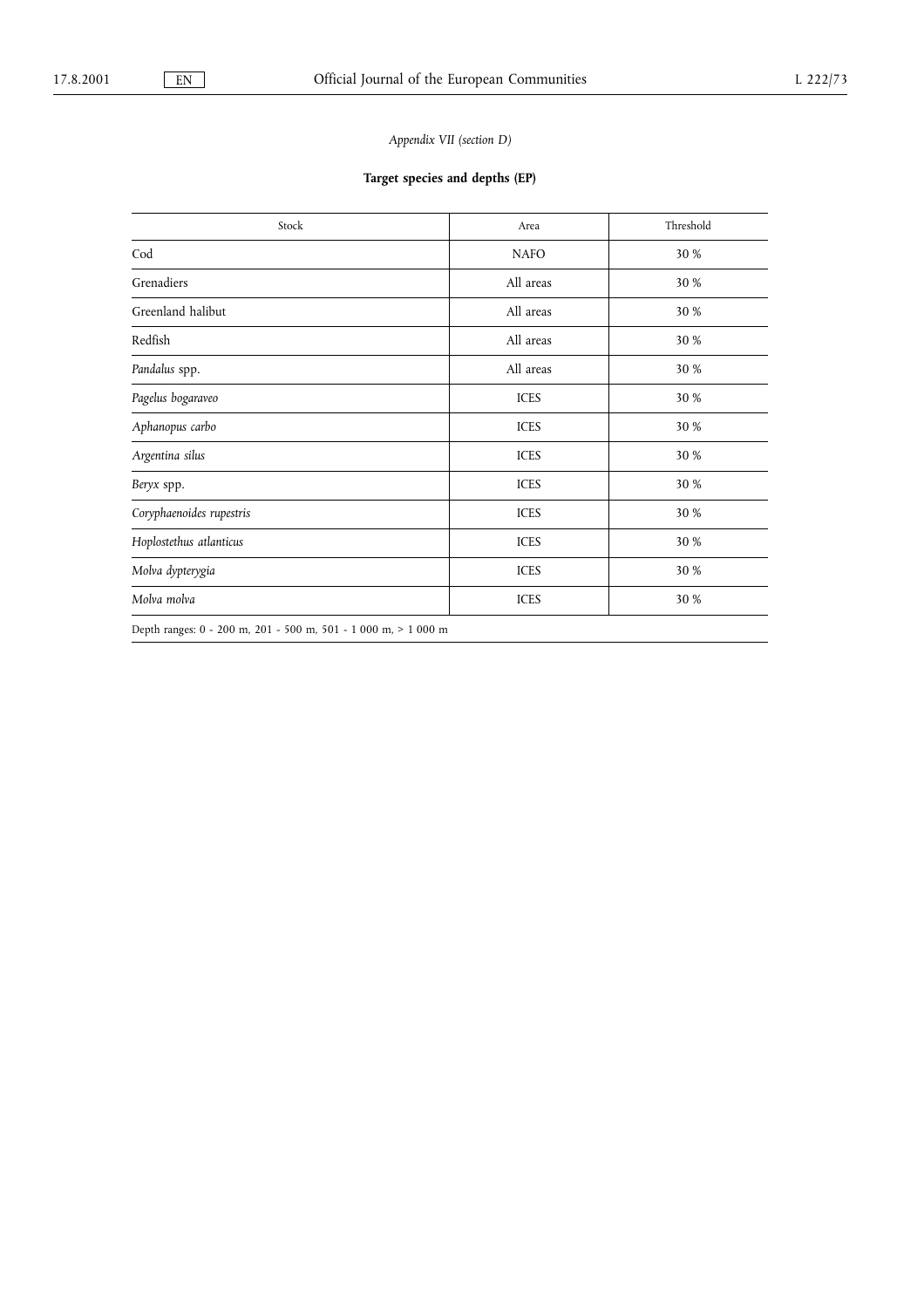## Appendix VII (section D)

## Target species and depths (EP)

| Stock                                                          | Area        | Threshold |
|----------------------------------------------------------------|-------------|-----------|
| Cod                                                            | <b>NAFO</b> | 30 %      |
| Grenadiers                                                     | All areas   | 30 %      |
| Greenland halibut                                              | All areas   | 30 %      |
| Redfish                                                        | All areas   | 30 %      |
| Pandalus spp.                                                  | All areas   | 30 %      |
| Pagelus bogaraveo                                              | <b>ICES</b> | 30 %      |
| Aphanopus carbo                                                | <b>ICES</b> | 30 %      |
| Argentina silus                                                | <b>ICES</b> | 30 %      |
| Beryx spp.                                                     | <b>ICES</b> | 30 %      |
| Coryphaenoides rupestris                                       | <b>ICES</b> | 30 %      |
| Hoplostethus atlanticus                                        | <b>ICES</b> | 30 %      |
| Molva dypterygia                                               | <b>ICES</b> | 30 %      |
| Molva molva                                                    | <b>ICES</b> | 30 %      |
| Depth ranges: 0 - 200 m, 201 - 500 m, 501 - 1 000 m, > 1 000 m |             |           |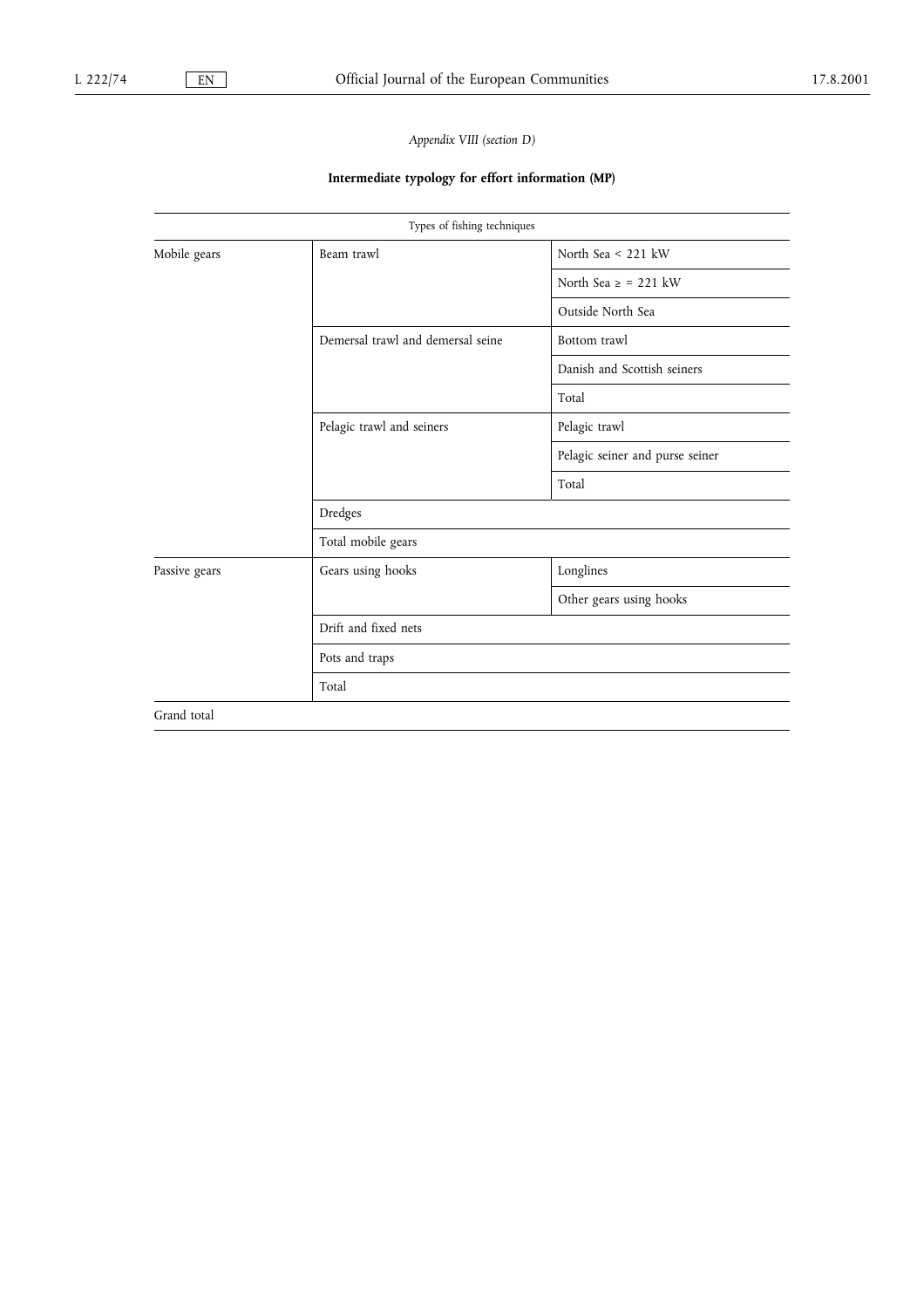## Appendix VIII (section D)

## Intermediate typology for effort information (MP)

|               | Types of fishing techniques       |                                 |  |  |  |
|---------------|-----------------------------------|---------------------------------|--|--|--|
| Mobile gears  | Beam trawl                        | North Sea $<$ 221 kW            |  |  |  |
|               |                                   | North Sea $\ge$ = 221 kW        |  |  |  |
|               |                                   | Outside North Sea               |  |  |  |
|               | Demersal trawl and demersal seine | Bottom trawl                    |  |  |  |
|               |                                   | Danish and Scottish seiners     |  |  |  |
|               |                                   | Total                           |  |  |  |
|               | Pelagic trawl and seiners         | Pelagic trawl                   |  |  |  |
|               |                                   | Pelagic seiner and purse seiner |  |  |  |
|               |                                   | Total                           |  |  |  |
|               | Dredges                           |                                 |  |  |  |
|               | Total mobile gears                |                                 |  |  |  |
| Passive gears | Gears using hooks                 | Longlines                       |  |  |  |
|               |                                   | Other gears using hooks         |  |  |  |
|               | Drift and fixed nets              |                                 |  |  |  |
|               | Pots and traps                    |                                 |  |  |  |
|               | Total                             |                                 |  |  |  |
| Grand total   |                                   |                                 |  |  |  |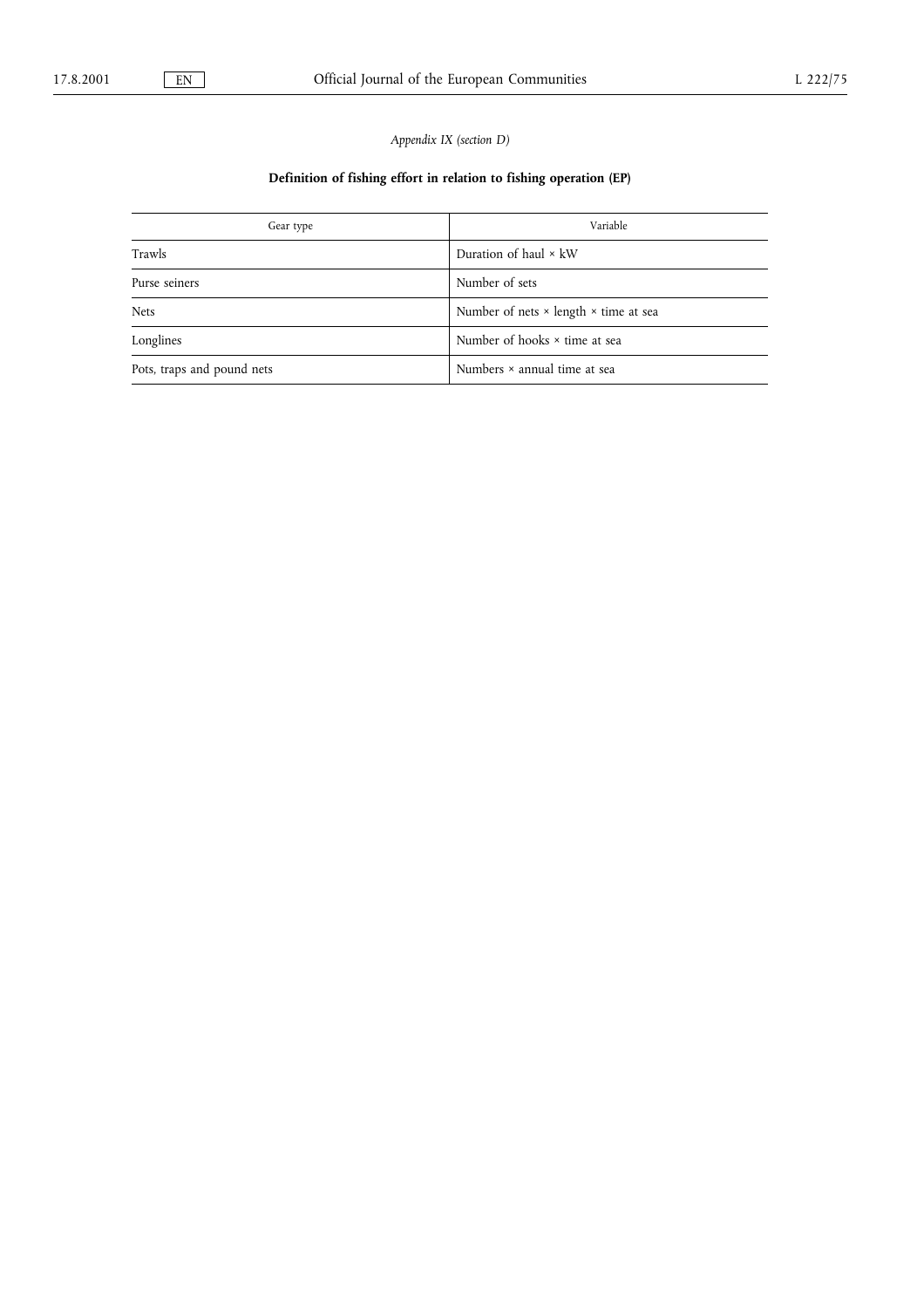## Appendix IX (section D)

## Definition of fishing effort in relation to fishing operation (EP)

| Gear type                  | Variable                                            |  |  |
|----------------------------|-----------------------------------------------------|--|--|
| Trawls                     | Duration of haul $\times$ kW                        |  |  |
| Purse seiners              | Number of sets                                      |  |  |
| Nets                       | Number of nets $\times$ length $\times$ time at sea |  |  |
| Longlines                  | Number of hooks $\times$ time at sea                |  |  |
| Pots, traps and pound nets | Numbers × annual time at sea                        |  |  |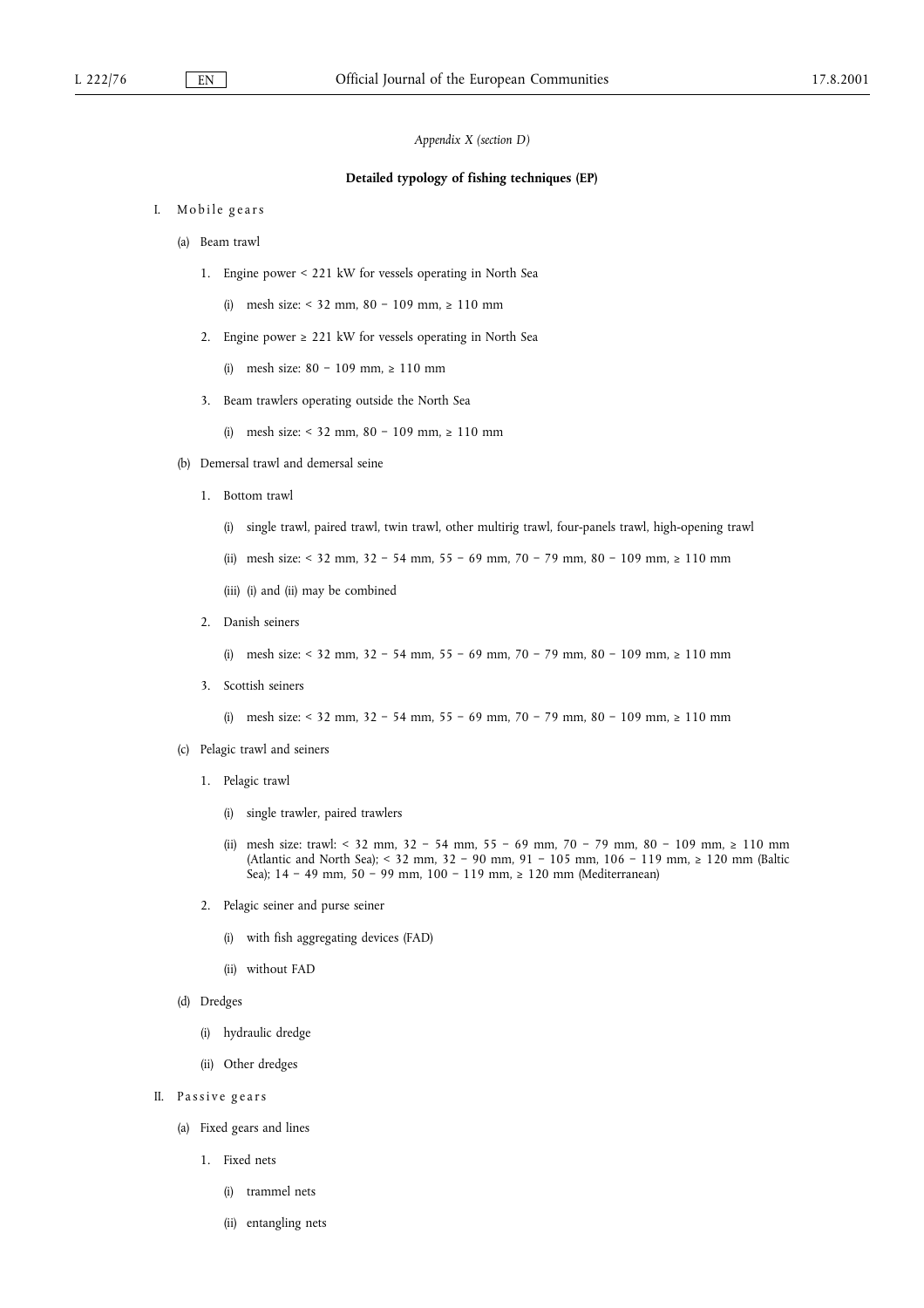Appendix X (section D)

#### Detailed typology of fishing techniques (EP)

- I. Mobile gears
	- (a) Beam trawl
		- 1. Engine power < 221 kW for vessels operating in North Sea
			- (i) mesh size:  $<$  32 mm, 80 109 mm,  $\ge$  110 mm
		- 2. Engine power  $\geq 221$  kW for vessels operating in North Sea
			- (i) mesh size:  $80 109$  mm,  $\geq 110$  mm
		- 3. Beam trawlers operating outside the North Sea
			- (i) mesh size:  $< 32$  mm,  $80 109$  mm,  $\ge 110$  mm
	- (b) Demersal trawl and demersal seine
		- 1. Bottom trawl
			- (i) single trawl, paired trawl, twin trawl, other multirig trawl, four-panels trawl, high-opening trawl
			- (ii) mesh size: < 32 mm, 32 54 mm, 55 69 mm, 70 79 mm, 80 109 mm,  $\geq 110$  mm
			- (iii) (i) and (ii) may be combined
		- 2. Danish seiners
			- (i) mesh size:  $< 32$  mm,  $32 54$  mm,  $55 69$  mm,  $70 79$  mm,  $80 109$  mm,  $> 110$  mm
		- 3. Scottish seiners

(i) mesh size: < 32 mm, 32 - 54 mm, 55 - 69 mm, 70 - 79 mm, 80 - 109 mm,  $\ge 110$  mm

- (c) Pelagic trawl and seiners
	- 1. Pelagic trawl
		- (i) single trawler, paired trawlers
		- (ii) mesh size: trawl: < 32 mm, 32 54 mm, 55 69 mm, 70 79 mm, 80 109 mm,  $\ge 110$  mm (Atlantic and North Sea); < 32 mm, 32 - 90 mm, 91 - 105 mm, 106 - 119 mm,  $\ge$  120 mm (Baltic Sea); 14 - 49 mm, 50 - 99 mm, 100 - 119 mm,  $\ge$  120 mm (Mediterranean)
	- 2. Pelagic seiner and purse seiner
		- (i) with fish aggregating devices (FAD)
		- (ii) without FAD
- (d) Dredges
	- (i) hydraulic dredge
	- (ii) Other dredges
- II. Passive gears
	- (a) Fixed gears and lines
		- 1. Fixed nets
			- (i) trammel nets
			- (ii) entangling nets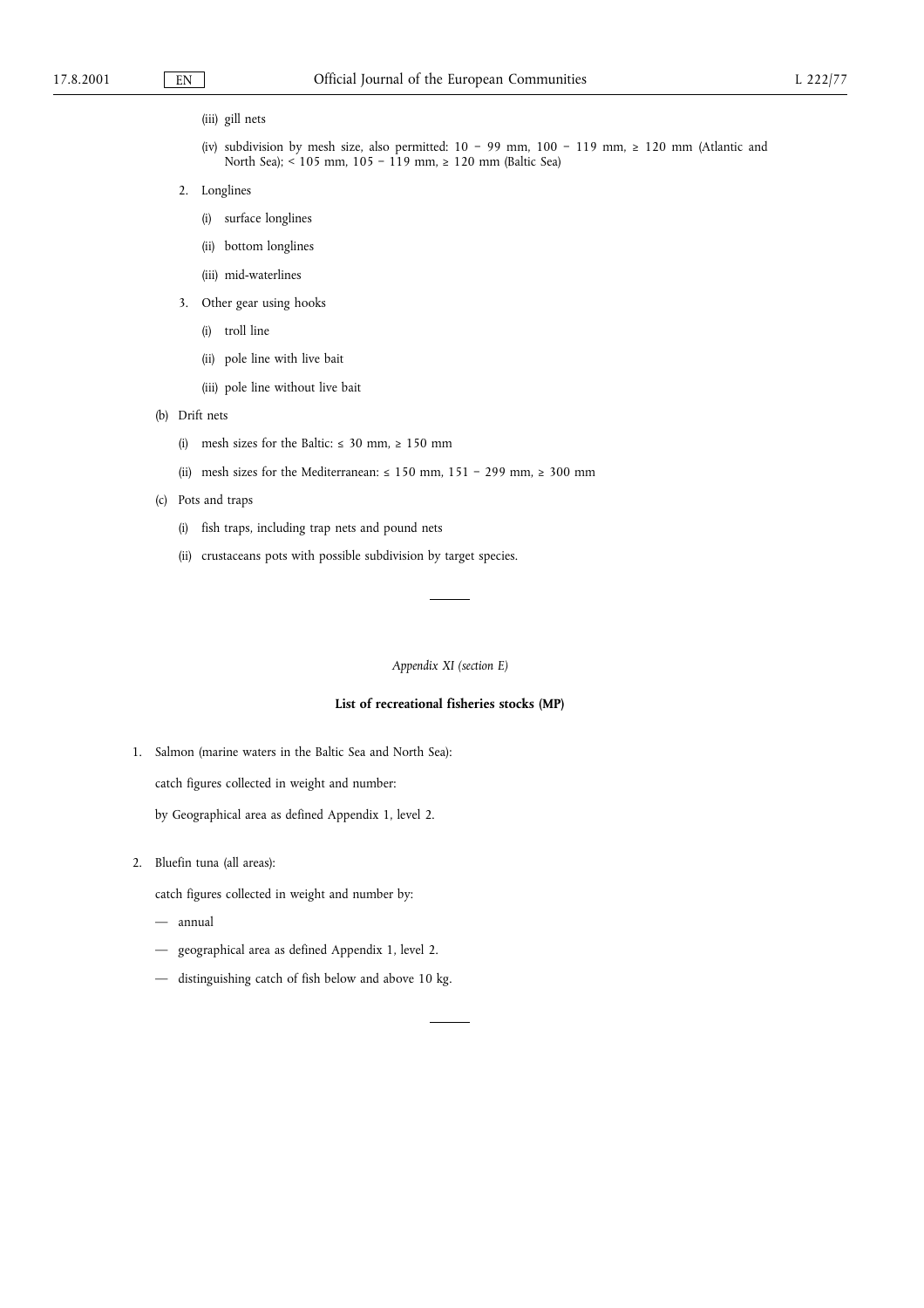(iii) gill nets

- (iv) subdivision by mesh size, also permitted:  $10 99$  mm,  $100 119$  mm,  $\ge 120$  mm (Atlantic and North Sea);  $\leq 105$  mm,  $105 - 119$  mm,  $\geq 120$  mm (Baltic Sea)
- 2. Longlines
	- (i) surface longlines
	- (ii) bottom longlines
	- (iii) mid-waterlines
- 3. Other gear using hooks
	- (i) troll line
	- (ii) pole line with live bait
	- (iii) pole line without live bait
- (b) Drift nets
	- (i) mesh sizes for the Baltic:  $\leq 30$  mm,  $\geq 150$  mm
	- (ii) mesh sizes for the Mediterranean:  $\leq 150$  mm,  $151 299$  mm,  $\geq 300$  mm
- (c) Pots and traps
	- (i) fish traps, including trap nets and pound nets
	- (ii) crustaceans pots with possible subdivision by target species.

Appendix XI (section E)

## List of recreational fisheries stocks (MP)

1. Salmon (marine waters in the Baltic Sea and North Sea):

catch figures collected in weight and number:

by Geographical area as defined Appendix 1, level 2.

2. Bluefin tuna (all areas):

catch figures collected in weight and number by:

- annual
- geographical area as defined Appendix 1, level 2.
- distinguishing catch of fish below and above 10 kg.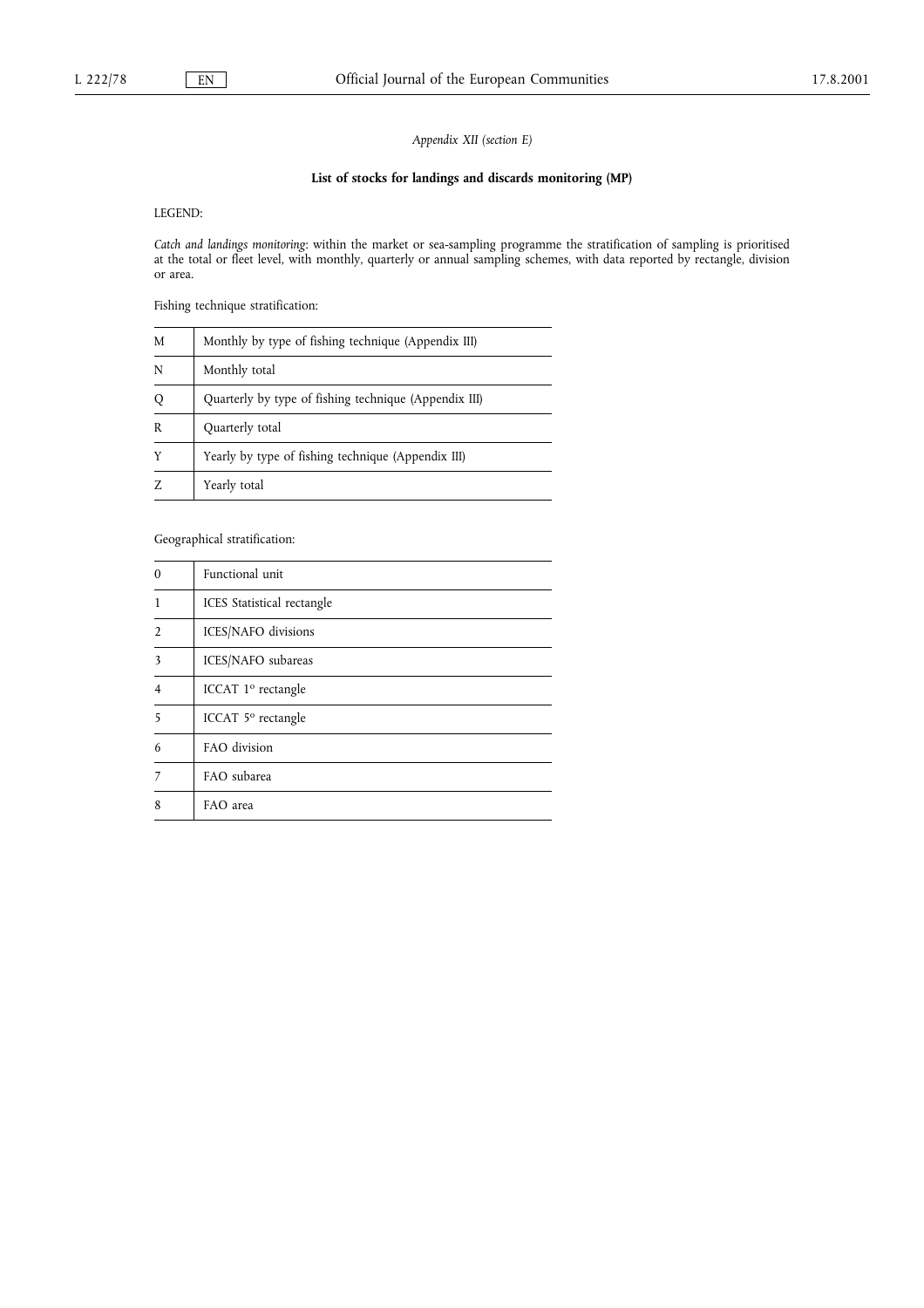Appendix XII (section E)

## List of stocks for landings and discards monitoring (MP)

LEGEND:

Catch and landings monitoring: within the market or sea-sampling programme the stratification of sampling is prioritised at the total or fleet level, with monthly, quarterly or annual sampling schemes, with data reported by rectangle, division or area.

Fishing technique stratification:

| M | Monthly by type of fishing technique (Appendix III)   |
|---|-------------------------------------------------------|
| N | Monthly total                                         |
| Q | Quarterly by type of fishing technique (Appendix III) |
| R | Quarterly total                                       |
| Y | Yearly by type of fishing technique (Appendix III)    |
|   | Yearly total                                          |

Geographical stratification:

| $\Omega$       | Functional unit                |
|----------------|--------------------------------|
| 1              | ICES Statistical rectangle     |
| $\mathfrak{I}$ | ICES/NAFO divisions            |
| 3              | ICES/NAFO subareas             |
| $\overline{4}$ | ICCAT 1 <sup>o</sup> rectangle |
| 5              | ICCAT 5° rectangle             |
| 6              | FAO division                   |
|                | FAO subarea                    |
| 8              | FAO area                       |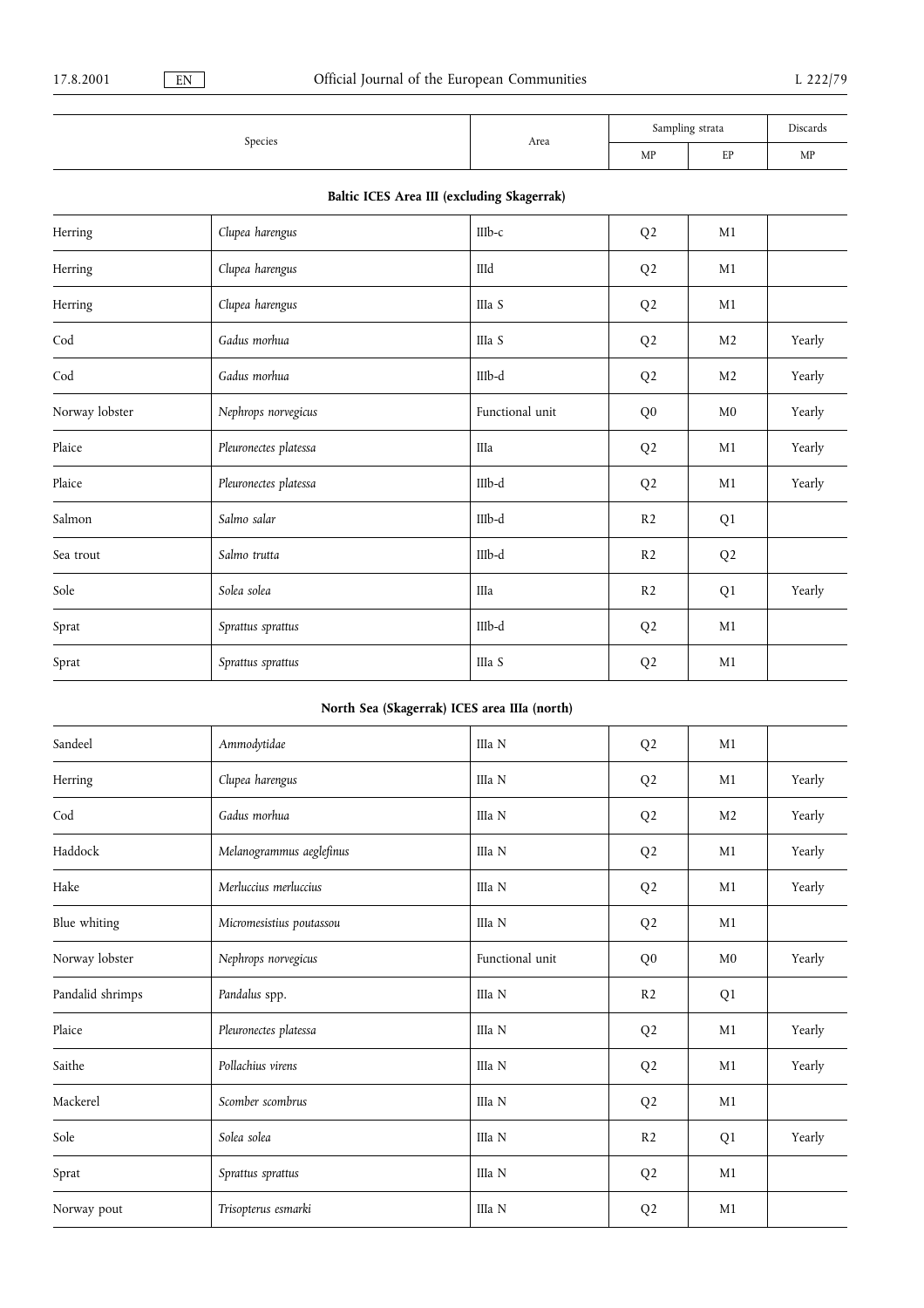|         |      | Sampling strata |          | Discards |
|---------|------|-----------------|----------|----------|
| Species | Area | MP              | ED<br>ы. | MP       |

## Baltic ICES Area III (excluding Skagerrak)

| Herring        | Clupea harengus       | $IIIb-c$        | Q <sub>2</sub> | M1             |        |
|----------------|-----------------------|-----------------|----------------|----------------|--------|
| Herring        | Clupea harengus       | IIId            | Q <sub>2</sub> | M1             |        |
| Herring        | Clupea harengus       | IIIa S          | Q <sub>2</sub> | M1             |        |
| Cod            | Gadus morhua          | IIIa S          | Q <sub>2</sub> | M <sub>2</sub> | Yearly |
| $\mathrm{Cod}$ | Gadus morhua          | IIIb-d          | Q <sub>2</sub> | M <sub>2</sub> | Yearly |
| Norway lobster | Nephrops norvegicus   | Functional unit | Q <sub>0</sub> | M <sub>0</sub> | Yearly |
| Plaice         | Pleuronectes platessa | IIIa            | Q <sub>2</sub> | M1             | Yearly |
| Plaice         | Pleuronectes platessa | IIIb-d          | Q <sub>2</sub> | M1             | Yearly |
| Salmon         | Salmo salar           | IIIb-d          | R <sub>2</sub> | Q1             |        |
| Sea trout      | Salmo trutta          | IIIb-d          | R <sub>2</sub> | Q <sub>2</sub> |        |
| Sole           | Solea solea           | IIIa            | R2             | Q1             | Yearly |
| Sprat          | Sprattus sprattus     | IIIb-d          | Q <sub>2</sub> | M1             |        |
| Sprat          | Sprattus sprattus     | IIIa S          | Q <sub>2</sub> | M1             |        |

## North Sea (Skagerrak) ICES area IIIa (north)

| Sandeel          | Ammodytidae              | IIIa N          | Q <sub>2</sub> | M1             |        |
|------------------|--------------------------|-----------------|----------------|----------------|--------|
| Herring          | Clupea harengus          | IIIa N          | Q <sub>2</sub> | M1             | Yearly |
| Cod              | Gadus morhua             | IIIa N          | Q <sub>2</sub> | M <sub>2</sub> | Yearly |
| Haddock          | Melanogrammus aeglefinus | IIIa N          | Q <sub>2</sub> | M1             | Yearly |
| Hake             | Merluccius merluccius    | IIIa N          | Q <sub>2</sub> | M1             | Yearly |
| Blue whiting     | Micromesistius poutassou | IIIa N          | Q <sub>2</sub> | M1             |        |
| Norway lobster   | Nephrops norvegicus      | Functional unit | Q <sub>0</sub> | M <sub>0</sub> | Yearly |
| Pandalid shrimps | Pandalus spp.            | IIIa N          | R <sub>2</sub> | Q <sub>1</sub> |        |
| Plaice           | Pleuronectes platessa    | IIIa N          | Q <sub>2</sub> | M1             | Yearly |
| Saithe           | Pollachius virens        | IIIa N          | Q <sub>2</sub> | M1             | Yearly |
| Mackerel         | Scomber scombrus         | IIIa N          | Q <sub>2</sub> | M1             |        |
| Sole             | Solea solea              | IIIa N          | R <sub>2</sub> | Q1             | Yearly |
| Sprat            | Sprattus sprattus        | IIIa N          | Q <sub>2</sub> | M1             |        |
| Norway pout      | Trisopterus esmarki      | IIIa N          | Q <sub>2</sub> | M1             |        |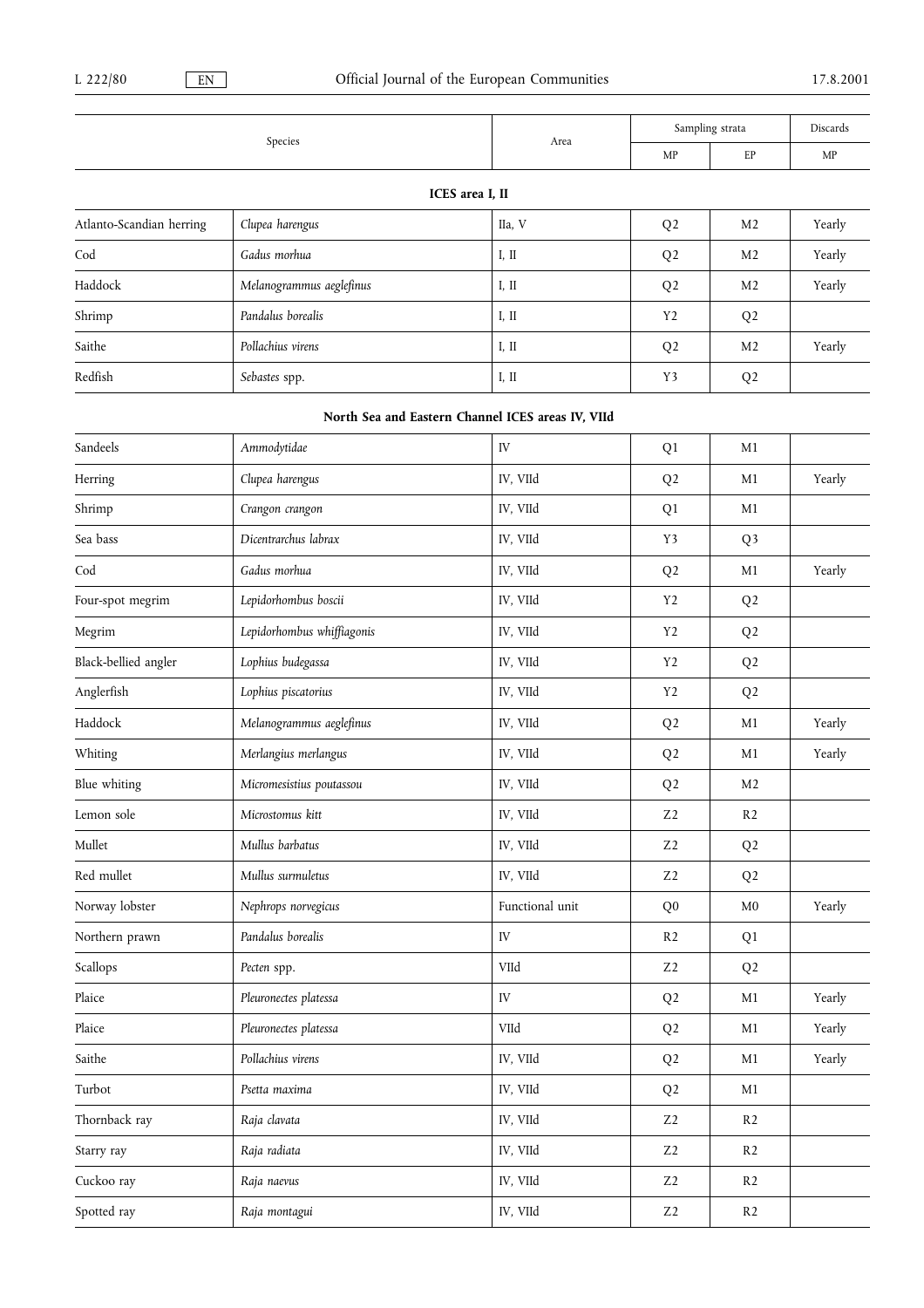|                          |                            |                                                   | Sampling strata |                | Discards |  |
|--------------------------|----------------------------|---------------------------------------------------|-----------------|----------------|----------|--|
|                          | Species                    | Area                                              | MP              | EP             | MP       |  |
|                          |                            | ICES area I, II                                   |                 |                |          |  |
| Atlanto-Scandian herring | Clupea harengus            | IIa, V                                            | Q <sub>2</sub>  | M <sub>2</sub> | Yearly   |  |
| Cod                      | Gadus morhua               | I, II                                             | Q <sub>2</sub>  | M <sub>2</sub> | Yearly   |  |
| Haddock                  | Melanogrammus aeglefinus   | I, II                                             | Q <sub>2</sub>  | M <sub>2</sub> | Yearly   |  |
| Shrimp                   | Pandalus borealis          | I, II                                             | Y <sub>2</sub>  | Q <sub>2</sub> |          |  |
| Saithe                   | Pollachius virens          | I, II                                             | Q <sub>2</sub>  | M <sub>2</sub> | Yearly   |  |
| Redfish                  | Sebastes spp.              | I, II                                             | Y3              | Q <sub>2</sub> |          |  |
|                          |                            | North Sea and Eastern Channel ICES areas IV, VIId |                 |                |          |  |
| Sandeels                 | Ammodytidae                | IV                                                | Q1              | M1             |          |  |
| Herring                  | Clupea harengus            | IV, VIId                                          | Q <sub>2</sub>  | M1             | Yearly   |  |
| Shrimp                   | Crangon crangon            | IV, VIId                                          | Q1              | M <sub>1</sub> |          |  |
| Sea bass                 | Dicentrarchus labrax       | IV, VIId                                          | Y3              | Q <sub>3</sub> |          |  |
| Cod                      | Gadus morhua               | IV, VIId                                          | Q <sub>2</sub>  | M1             | Yearly   |  |
| Four-spot megrim         | Lepidorhombus boscii       | IV, VIId                                          | Y <sub>2</sub>  | Q <sub>2</sub> |          |  |
| Megrim                   | Lepidorhombus whiffiagonis | IV, VIId                                          | Y <sub>2</sub>  | Q <sub>2</sub> |          |  |
| Black-bellied angler     | Lophius budegassa          | IV, VIId                                          | Y <sub>2</sub>  | Q <sub>2</sub> |          |  |
| Anglerfish               | Lophius piscatorius        | IV, VIId                                          | Y <sub>2</sub>  | Q <sub>2</sub> |          |  |
| Haddock                  | Melanogrammus aeglefinus   | IV, VIId                                          | Q <sub>2</sub>  | M1             | Yearly   |  |
| Whiting                  | Merlangius merlangus       | IV, VIId                                          | Q <sub>2</sub>  | M1             | Yearly   |  |
| Blue whiting             | Micromesistius poutassou   | IV, VIId                                          | Q <sub>2</sub>  | M <sub>2</sub> |          |  |
| Lemon sole               | Microstomus kitt           | IV, VIId                                          | $\rm Z2$        | R2             |          |  |
| Mullet                   | Mullus barbatus            | IV, VIId                                          | Z <sub>2</sub>  | Q <sub>2</sub> |          |  |
| Red mullet               | Mullus surmuletus          | IV, VIId                                          | Z <sub>2</sub>  | Q <sub>2</sub> |          |  |
| Norway lobster           | Nephrops norvegicus        | Functional unit                                   | Q <sub>0</sub>  | M <sub>0</sub> | Yearly   |  |
| Northern prawn           | Pandalus borealis          | IV                                                | R <sub>2</sub>  | Q1             |          |  |
| Scallops                 | Pecten spp.                | VIId                                              | Z <sub>2</sub>  | Q <sub>2</sub> |          |  |
| Plaice                   | Pleuronectes platessa      | ${\rm IV}$                                        | Q <sub>2</sub>  | M1             | Yearly   |  |
| Plaice                   | Pleuronectes platessa      | $\ensuremath{\mathrm{Vild}}$                      | Q <sub>2</sub>  | $\mathbf{M}1$  | Yearly   |  |
| Saithe                   | Pollachius virens          | IV, VIId                                          | Q <sub>2</sub>  | M1             | Yearly   |  |
| Turbot                   | Psetta maxima              | IV, VIId                                          | Q <sub>2</sub>  | M1             |          |  |
| Thornback ray            | Raja clavata               | IV, VIId                                          | Z <sub>2</sub>  | R <sub>2</sub> |          |  |
| Starry ray               | Raja radiata               | IV, VIId                                          | $\rm Z2$        | R2             |          |  |
| Cuckoo ray               | Raja naevus                | IV, VIId                                          | Z <sub>2</sub>  | R <sub>2</sub> |          |  |
| Spotted ray              | Raja montagui              | IV, VIId                                          | $\rm Z2$        | R2             |          |  |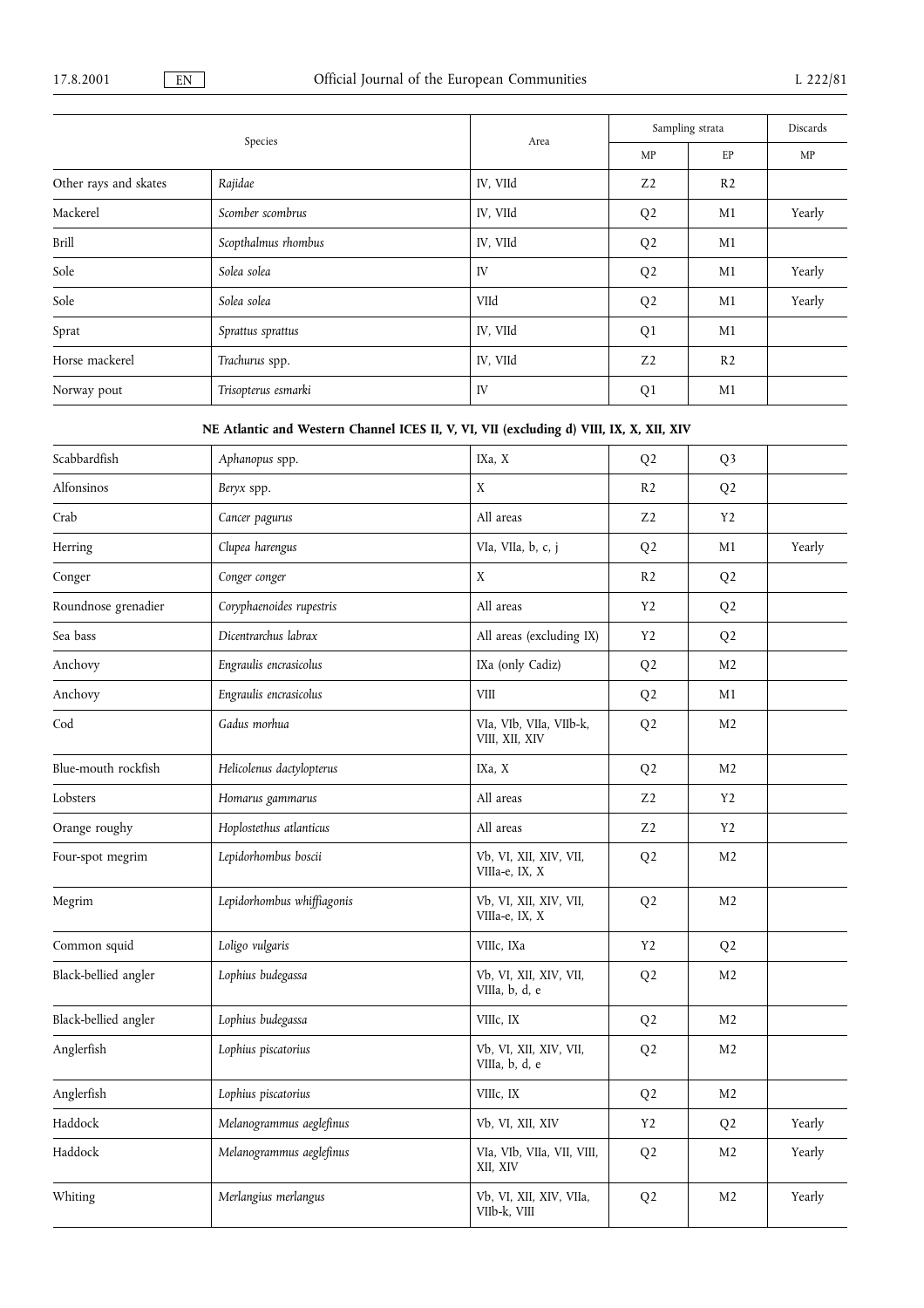|                       |                     | Area     | Sampling strata |                | Discards |
|-----------------------|---------------------|----------|-----------------|----------------|----------|
|                       | Species             |          | MP              | EP             | MP       |
| Other rays and skates | Rajidae             | IV, VIId | Z <sub>2</sub>  | R <sub>2</sub> |          |
| Mackerel              | Scomber scombrus    | IV, VIId | Q <sub>2</sub>  | M1             | Yearly   |
| Brill                 | Scopthalmus rhombus | IV, VIId | Q <sub>2</sub>  | M1             |          |
| Sole                  | Solea solea         | IV       | Q <sub>2</sub>  | M1             | Yearly   |
| Sole                  | Solea solea         | VIId     | Q <sub>2</sub>  | M1             | Yearly   |
| Sprat                 | Sprattus sprattus   | IV, VIId | Q <sub>1</sub>  | M1             |          |
| Horse mackerel        | Trachurus spp.      | IV, VIId | Z <sub>2</sub>  | R <sub>2</sub> |          |
| Norway pout           | Trisopterus esmarki | IV       | Q <sub>1</sub>  | M1             |          |

# NE Atlantic and Western Channel ICES II, V, VI, VII (excluding d) VIII, IX, X, XII, XIV

| Scabbardfish         | Aphanopus spp.             | IXa, X                                    | Q <sub>2</sub> | Q <sub>3</sub> |        |
|----------------------|----------------------------|-------------------------------------------|----------------|----------------|--------|
| Alfonsinos           |                            |                                           |                |                |        |
|                      | Beryx spp.                 | $\mathbf X$                               | R <sub>2</sub> | Q <sub>2</sub> |        |
| Crab                 | Cancer pagurus             | All areas                                 | Z <sub>2</sub> | Y2             |        |
| Herring              | Clupea harengus            | VIa, VIIa, b, c, j                        | Q <sub>2</sub> | M1             | Yearly |
| Conger               | Conger conger              | X                                         | R <sub>2</sub> | Q <sub>2</sub> |        |
| Roundnose grenadier  | Coryphaenoides rupestris   | All areas                                 | Y2             | Q <sub>2</sub> |        |
| Sea bass             | Dicentrarchus labrax       | All areas (excluding IX)                  | Y2             | Q <sub>2</sub> |        |
| Anchovy              | Engraulis encrasicolus     | IXa (only Cadiz)                          | Q <sub>2</sub> | M <sub>2</sub> |        |
| Anchovy              | Engraulis encrasicolus     | ${\it VIII}$                              | Q <sub>2</sub> | M1             |        |
| Cod                  | Gadus morhua               | VIa, VIb, VIIa, VIIb-k,<br>VIII, XII, XIV | Q <sub>2</sub> | M <sub>2</sub> |        |
| Blue-mouth rockfish  | Helicolenus dactylopterus  | IXa, X                                    | Q <sub>2</sub> | M <sub>2</sub> |        |
| Lobsters             | Homarus gammarus           | All areas                                 | Z <sub>2</sub> | Y <sub>2</sub> |        |
| Orange roughy        | Hoplostethus atlanticus    | All areas                                 | Z <sub>2</sub> | Y <sub>2</sub> |        |
| Four-spot megrim     | Lepidorhombus boscii       | Vb, VI, XII, XIV, VII,<br>VIIIa-e, IX, X  | Q <sub>2</sub> | M <sub>2</sub> |        |
| Megrim               | Lepidorhombus whiffiagonis | Vb, VI, XII, XIV, VII,<br>VIIIa-e, IX, X  | Q <sub>2</sub> | M <sub>2</sub> |        |
| Common squid         | Loligo vulgaris            | VIIIc, IXa                                | Y <sub>2</sub> | Q <sub>2</sub> |        |
| Black-bellied angler | Lophius budegassa          | Vb, VI, XII, XIV, VII,<br>VIIIa, b, d, e  | Q <sub>2</sub> | M <sub>2</sub> |        |
| Black-bellied angler | Lophius budegassa          | VIIIc, IX                                 | Q <sub>2</sub> | M <sub>2</sub> |        |
| Anglerfish           | Lophius piscatorius        | Vb, VI, XII, XIV, VII,<br>VIIIa, b, d, e  | Q <sub>2</sub> | M <sub>2</sub> |        |
| Anglerfish           | Lophius piscatorius        | VIIIc, IX                                 | Q <sub>2</sub> | M <sub>2</sub> |        |
| Haddock              | Melanogrammus aeglefinus   | Vb, VI, XII, XIV                          | Y2             | Q <sub>2</sub> | Yearly |
| Haddock              | Melanogrammus aeglefinus   | VIa, VIb, VIIa, VII, VIII,<br>XII, XIV    | Q <sub>2</sub> | M <sub>2</sub> | Yearly |
| Whiting              | Merlangius merlangus       | Vb, VI, XII, XIV, VIIa,<br>VIIb-k, VIII   | Q <sub>2</sub> | M <sub>2</sub> | Yearly |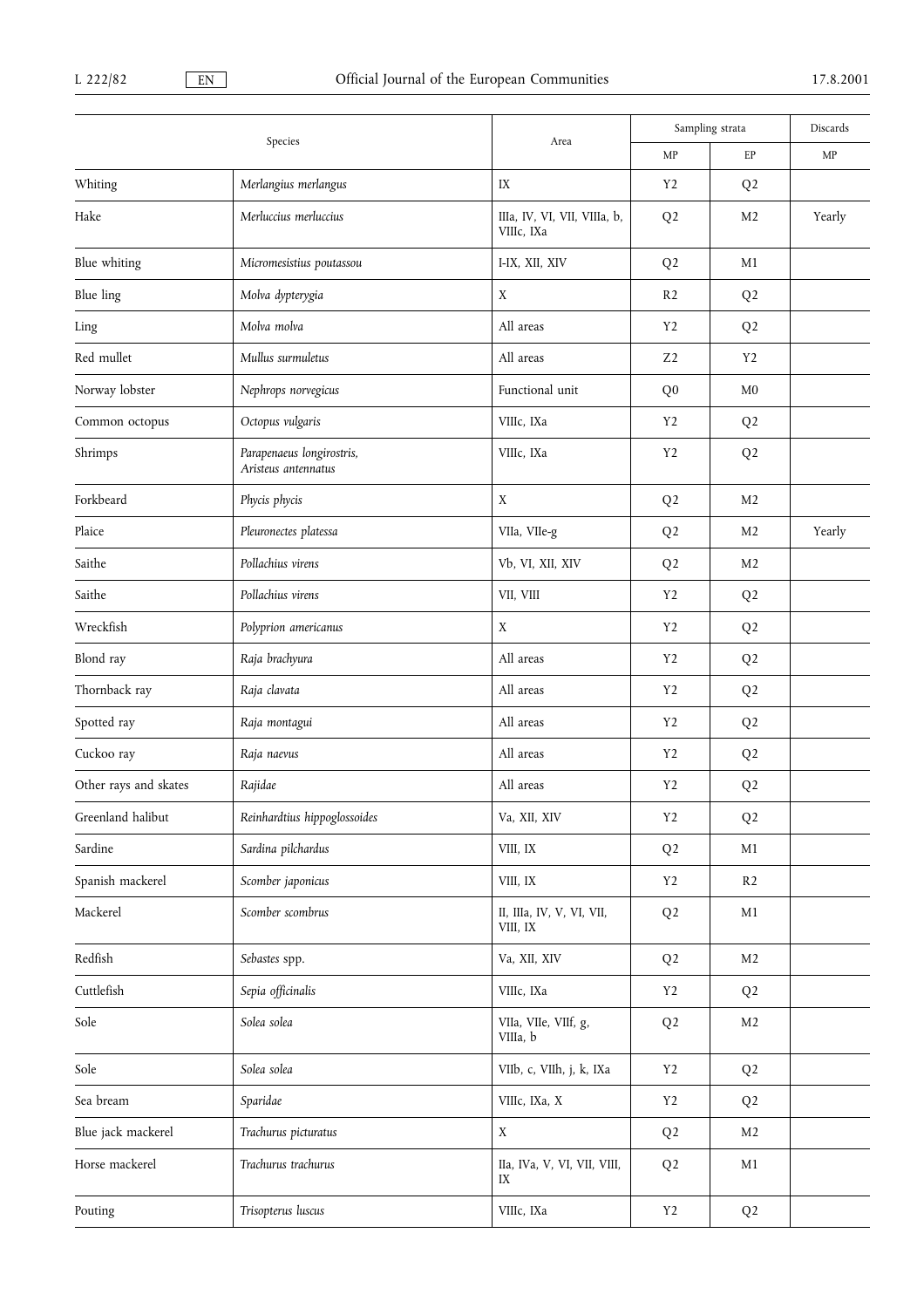| Species                  |                                                  |                                            | Sampling strata |                | Discards |
|--------------------------|--------------------------------------------------|--------------------------------------------|-----------------|----------------|----------|
|                          |                                                  | Area                                       | MP              | EP             | MP       |
| Whiting                  | Merlangius merlangus                             | IX                                         | Y2              | Q <sub>2</sub> |          |
| Hake                     | Merluccius merluccius                            | IIIa, IV, VI, VII, VIIIa, b,<br>VIIIc, IXa | Q <sub>2</sub>  | M2             | Yearly   |
| Blue whiting             | Micromesistius poutassou                         | I-IX, XII, XIV                             | Q <sub>2</sub>  | M1             |          |
| Blue ling                | Molva dypterygia                                 | X                                          | R <sub>2</sub>  | Q <sub>2</sub> |          |
| Ling                     | Molva molva                                      | All areas                                  | Y <sub>2</sub>  | Q <sub>2</sub> |          |
| Red mullet               | Mullus surmuletus                                | All areas                                  | Z <sub>2</sub>  | Y2             |          |
| Norway lobster           | Nephrops norvegicus                              | Functional unit                            | Q <sub>0</sub>  | M <sub>0</sub> |          |
| Common octopus           | Octopus vulgaris                                 | VIIIc, IXa                                 | Y <sub>2</sub>  | Q <sub>2</sub> |          |
| Shrimps                  | Parapenaeus longirostris,<br>Aristeus antennatus | VIIIc, IXa                                 | Y2              | Q <sub>2</sub> |          |
| Forkbeard                | Phycis phycis                                    | $\mathbf X$                                | Q <sub>2</sub>  | M <sub>2</sub> |          |
| Plaice                   | Pleuronectes platessa                            | VIIa, VIIe-g                               | Q <sub>2</sub>  | M <sub>2</sub> | Yearly   |
| Saithe                   | Pollachius virens                                | Vb, VI, XII, XIV                           | Q <sub>2</sub>  | M <sub>2</sub> |          |
| Saithe                   | Pollachius virens                                | VII, VIII                                  | Y2              | Q <sub>2</sub> |          |
| Wreckfish                | Polyprion americanus                             | $\mathbf X$                                | Y <sub>2</sub>  | Q <sub>2</sub> |          |
| Blond ray                | Raja brachyura                                   | All areas                                  | Y2              | Q <sub>2</sub> |          |
| Thornback ray            | Raja clavata                                     | All areas                                  | Y <sub>2</sub>  | Q <sub>2</sub> |          |
| Spotted ray              | Raja montagui                                    | All areas                                  | Y <sub>2</sub>  | Q <sub>2</sub> |          |
| Cuckoo ray               | Raja naevus                                      | All areas                                  | Y2              | Q <sub>2</sub> |          |
| Other rays and skates    | Rajidae                                          | All areas                                  | Y <sub>2</sub>  | Q <sub>2</sub> |          |
| Greenland halibut        | Reinhardtius hippoglossoides                     | Va, XII, XIV                               | Y2              | Q <sub>2</sub> |          |
| Sardine                  | Sardina pilchardus                               | VIII, IX                                   | Q <sub>2</sub>  | M1             |          |
| Spanish mackerel         | Scomber japonicus                                | VIII, IX                                   | Y2              | R <sub>2</sub> |          |
| Mackerel                 | Scomber scombrus                                 | II, IIIa, IV, V, VI, VII,<br>VIII, IX      | Q <sub>2</sub>  | M1             |          |
| $\operatorname{Redfish}$ | Sebastes spp.                                    | Va, XII, XIV                               | Q <sub>2</sub>  | M <sub>2</sub> |          |
| Cuttlefish               | Sepia officinalis                                | VIIIc, IXa                                 | Y2              | Q <sub>2</sub> |          |
| Sole                     | Solea solea                                      | VIIa, VIIe, VIIf, g,<br>VIIIa, b           | Q <sub>2</sub>  | M <sub>2</sub> |          |
| Sole                     | Solea solea                                      | VIIb, c, VIIh, j, k, IXa                   | Y2              | Q <sub>2</sub> |          |
| Sea bream                | Sparidae                                         | VIIIc, IXa, X                              | Y <sub>2</sub>  | Q <sub>2</sub> |          |
| Blue jack mackerel       | Trachurus picturatus                             | $\mathbf X$                                | Q <sub>2</sub>  | M <sub>2</sub> |          |
| Horse mackerel           | Trachurus trachurus                              | IIa, IVa, V, VI, VII, VIII,<br>IX          | Q <sub>2</sub>  | M1             |          |
| Pouting                  | Trisopterus luscus                               | VIIIc, IXa                                 | Y2              | Q2             |          |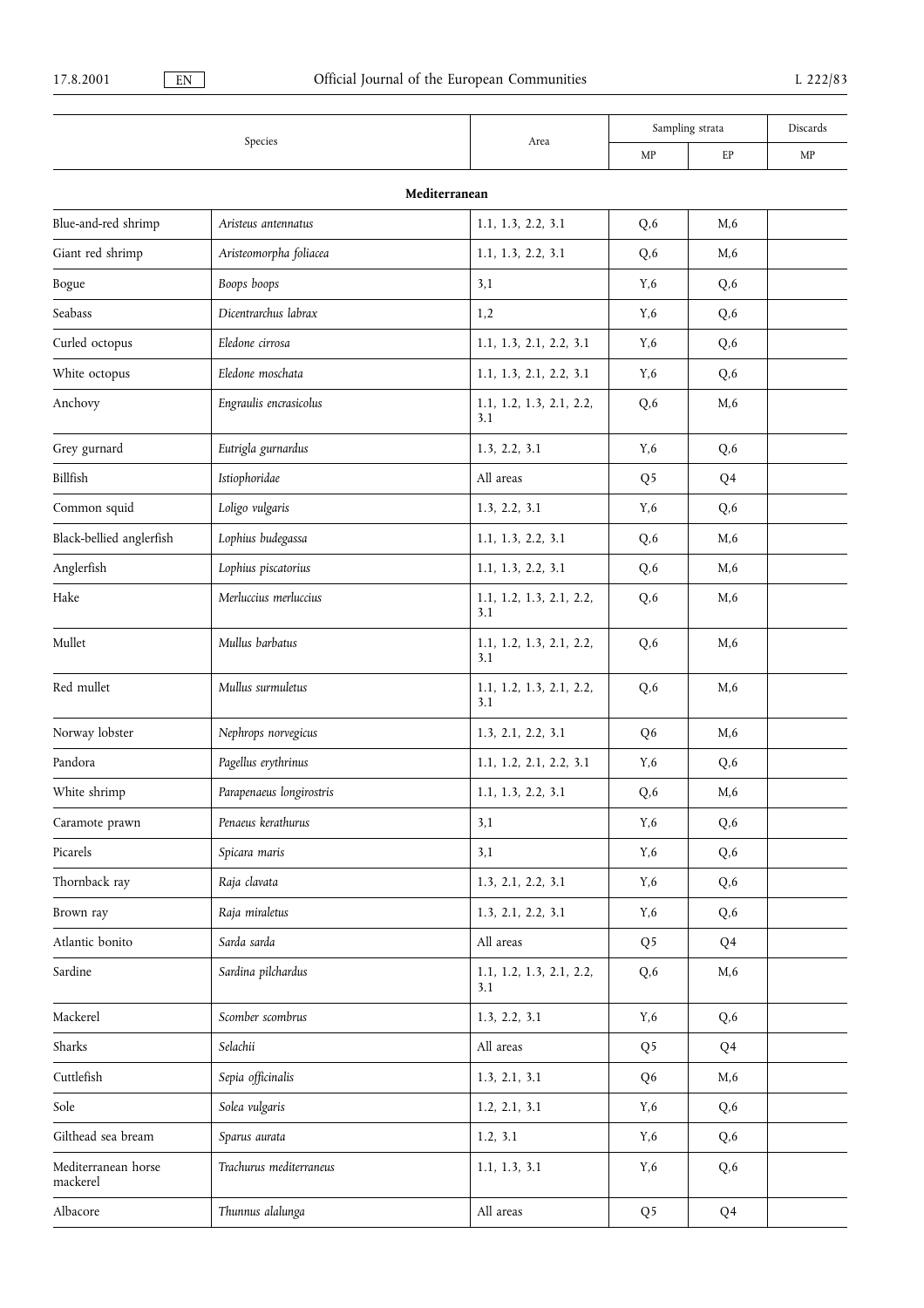|                                 |                          |                                 | Sampling strata |      | Discards |
|---------------------------------|--------------------------|---------------------------------|-----------------|------|----------|
|                                 | Species                  | Area                            | MP              | EP   | MP       |
|                                 |                          | Mediterranean                   |                 |      |          |
| Blue-and-red shrimp             | Aristeus antennatus      | 1.1, 1.3, 2.2, 3.1              | Q,6             | M, 6 |          |
| Giant red shrimp                | Aristeomorpha foliacea   | 1.1, 1.3, 2.2, 3.1              | Q, 6            | M, 6 |          |
| Bogue                           | Boops boops              | 3,1                             | Y,6             | Q,6  |          |
| Seabass                         | Dicentrarchus labrax     | 1,2                             | Y,6             | Q,6  |          |
| Curled octopus                  | Eledone cirrosa          | 1.1, 1.3, 2.1, 2.2, 3.1         | Y,6             | Q,6  |          |
| White octopus                   | Eledone moschata         | 1.1, 1.3, 2.1, 2.2, 3.1         | Y,6             | Q,6  |          |
| Anchovy                         | Engraulis encrasicolus   | 1.1, 1.2, 1.3, 2.1, 2.2,<br>3.1 | Q,6             | M, 6 |          |
| Grey gurnard                    | Eutrigla gurnardus       | 1.3, 2.2, 3.1                   | Y,6             | Q,6  |          |
| Billfish                        | Istiophoridae            | All areas                       | Q <sub>5</sub>  | Q4   |          |
| Common squid                    | Loligo vulgaris          | 1.3, 2.2, 3.1                   | Y,6             | Q, 6 |          |
| Black-bellied anglerfish        | Lophius budegassa        | 1.1, 1.3, 2.2, 3.1              | Q, 6            | M, 6 |          |
| Anglerfish                      | Lophius piscatorius      | 1.1, 1.3, 2.2, 3.1              | Q, 6            | M, 6 |          |
| Hake                            | Merluccius merluccius    | 1.1, 1.2, 1.3, 2.1, 2.2,<br>3.1 | Q,6             | M,6  |          |
| Mullet                          | Mullus barbatus          | 1.1, 1.2, 1.3, 2.1, 2.2,<br>3.1 | Q,6             | M,6  |          |
| Red mullet                      | Mullus surmuletus        | 1.1, 1.2, 1.3, 2.1, 2.2,<br>3.1 | Q,6             | M, 6 |          |
| Norway lobster                  | Nephrops norvegicus      | 1.3, 2.1, 2.2, 3.1              | Q <sub>6</sub>  | M, 6 |          |
| Pandora                         | Pagellus erythrinus      | 1.1, 1.2, 2.1, 2.2, 3.1         | Y,6             | Q, 6 |          |
| White shrimp                    | Parapenaeus longirostris | 1.1, 1.3, 2.2, 3.1              | Q, 6            | M, 6 |          |
| Caramote prawn                  | Penaeus kerathurus       | 3,1                             | Y,6             | Q,6  |          |
| Picarels                        | Spicara maris            | 3,1                             | Y,6             | Q, 6 |          |
| Thornback ray                   | Raja clavata             | 1.3, 2.1, 2.2, 3.1              | Y,6             | Q, 6 |          |
| Brown ray                       | Raja miraletus           | 1.3, 2.1, 2.2, 3.1              | Y,6             | Q, 6 |          |
| Atlantic bonito                 | Sarda sarda              | All areas                       | Q <sub>5</sub>  | Q4   |          |
| Sardine                         | Sardina pilchardus       | 1.1, 1.2, 1.3, 2.1, 2.2,<br>3.1 | Q, 6            | M, 6 |          |
| Mackerel                        | Scomber scombrus         | 1.3, 2.2, 3.1                   | Y,6             | Q, 6 |          |
| Sharks                          | Selachii                 | All areas                       | Q <sub>5</sub>  | Q4   |          |
| Cuttlefish                      | Sepia officinalis        | 1.3, 2.1, 3.1                   | Q <sub>6</sub>  | M, 6 |          |
| Sole                            | Solea vulgaris           | 1.2, 2.1, 3.1                   | Y,6             | Q, 6 |          |
| Gilthead sea bream              | Sparus aurata            | 1.2, 3.1                        | Y,6             | Q, 6 |          |
| Mediterranean horse<br>mackerel | Trachurus mediterraneus  | 1.1, 1.3, 3.1                   | Y,6             | Q, 6 |          |
| Albacore                        | Thunnus alalunga         | All areas                       | Q <sub>5</sub>  | Q4   |          |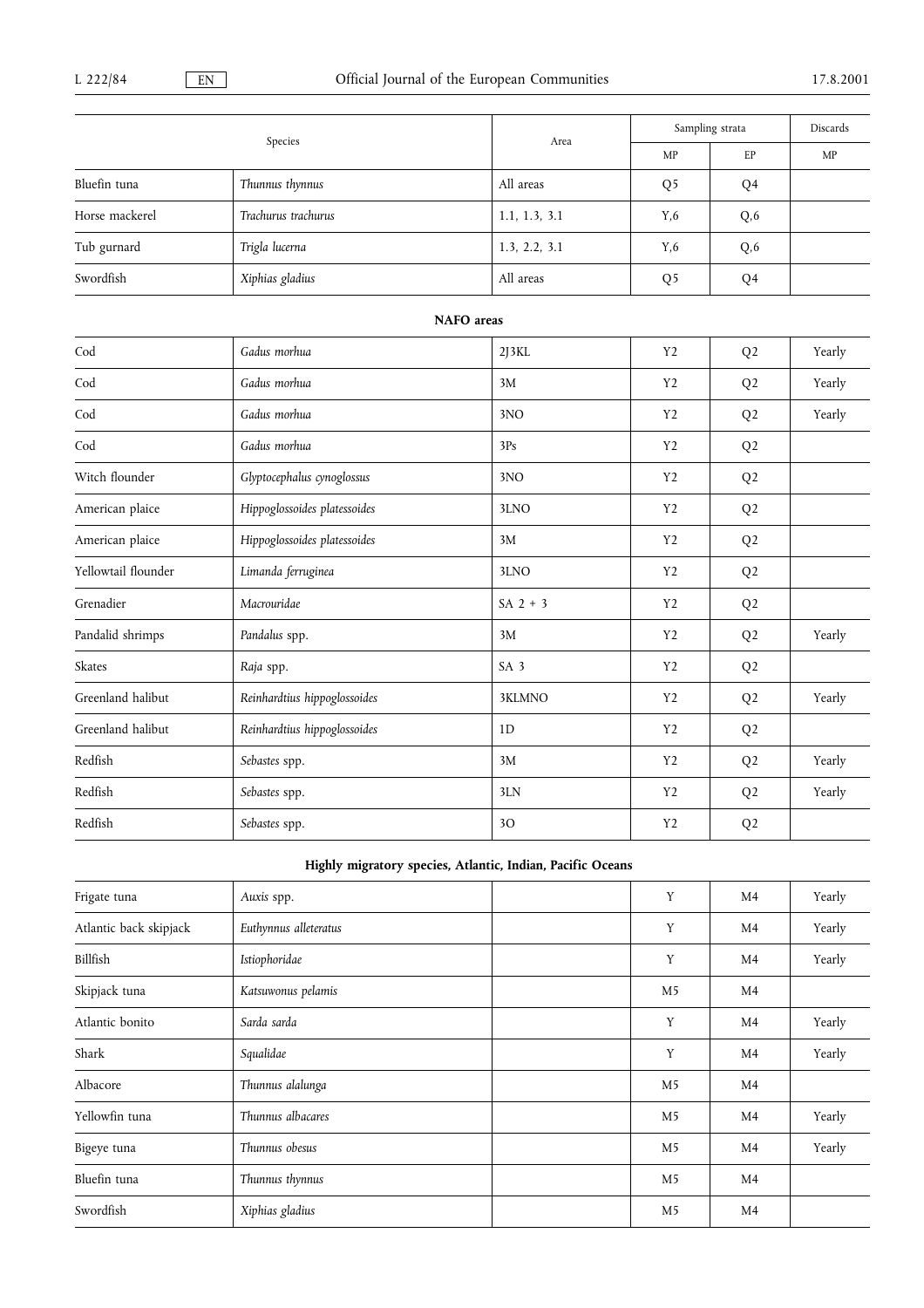| Species             |                              | Area            | Sampling strata |                | Discards |
|---------------------|------------------------------|-----------------|-----------------|----------------|----------|
|                     |                              |                 | MP              | EP             | MP       |
| Bluefin tuna        | Thunnus thynnus              | All areas       | Q <sub>5</sub>  | Q <sub>4</sub> |          |
| Horse mackerel      | Trachurus trachurus          | 1.1, 1.3, 3.1   | Y,6             | Q,6            |          |
| Tub gurnard         | Trigla lucerna               | 1.3, 2.2, 3.1   | Y,6             | Q,6            |          |
| Swordfish           | Xiphias gladius              | All areas       | Q <sub>5</sub>  | Q <sub>4</sub> |          |
|                     | <b>NAFO</b> areas            |                 |                 |                |          |
| $\mathrm{Cod}$      | Gadus morhua                 | 2J3KL           | Y <sub>2</sub>  | Q <sub>2</sub> | Yearly   |
| Cod                 | Gadus morhua                 | 3M              | Y <sub>2</sub>  | Q <sub>2</sub> | Yearly   |
| Cod                 | Gadus morhua                 | 3NO             | Y <sub>2</sub>  | Q <sub>2</sub> | Yearly   |
| Cod                 | Gadus morhua                 | 3Ps             | Y <sub>2</sub>  | Q <sub>2</sub> |          |
| Witch flounder      | Glyptocephalus cynoglossus   | 3NO             | Y <sub>2</sub>  | Q <sub>2</sub> |          |
| American plaice     | Hippoglossoides platessoides | 3LNO            | Y <sub>2</sub>  | Q <sub>2</sub> |          |
| American plaice     | Hippoglossoides platessoides | 3M              | Y <sub>2</sub>  | Q <sub>2</sub> |          |
| Yellowtail flounder | Limanda ferruginea           | 3LNO            | Y <sub>2</sub>  | Q <sub>2</sub> |          |
| Grenadier           | Macrouridae                  | $SA$ 2 + 3      | Y <sub>2</sub>  | Q <sub>2</sub> |          |
| Pandalid shrimps    | Pandalus spp.                | 3M              | Y <sub>2</sub>  | Q <sub>2</sub> | Yearly   |
| Skates              | Raja spp.                    | SA <sub>3</sub> | Y <sub>2</sub>  | Q <sub>2</sub> |          |
| Greenland halibut   | Reinhardtius hippoglossoides | 3KLMNO          | Y2              | Q <sub>2</sub> | Yearly   |
| Greenland halibut   | Reinhardtius hippoglossoides | 1D              | Y <sub>2</sub>  | Q <sub>2</sub> |          |
| Redfish             | Sebastes spp.                | 3M              | Y <sub>2</sub>  | Q <sub>2</sub> | Yearly   |

## Highly migratory species, Atlantic, Indian, Pacific Oceans

Redfish Sebastes spp. 3LN Y2 Q2 Yearly

Redfish Sebastes spp. 3O Y2 Q2

| Frigate tuna           | Auxis spp.            | Y              | M4             | Yearly |
|------------------------|-----------------------|----------------|----------------|--------|
| Atlantic back skipjack | Euthynnus alleteratus | Y              | M <sub>4</sub> | Yearly |
| Billfish               | Istiophoridae         | Y              | M4             | Yearly |
| Skipjack tuna          | Katsuwonus pelamis    | M <sub>5</sub> | M <sub>4</sub> |        |
| Atlantic bonito        | Sarda sarda           | Y              | M <sub>4</sub> | Yearly |
| Shark                  | Squalidae             | Y              | M4             | Yearly |
| Albacore               | Thunnus alalunga      | M <sub>5</sub> | M4             |        |
| Yellowfin tuna         | Thunnus albacares     | M <sub>5</sub> | M4             | Yearly |
| Bigeye tuna            | Thunnus obesus        | M <sub>5</sub> | M <sub>4</sub> | Yearly |
| Bluefin tuna           | Thunnus thynnus       | M <sub>5</sub> | M4             |        |
| Swordfish              | Xiphias gladius       | M <sub>5</sub> | M4             |        |
|                        |                       |                |                |        |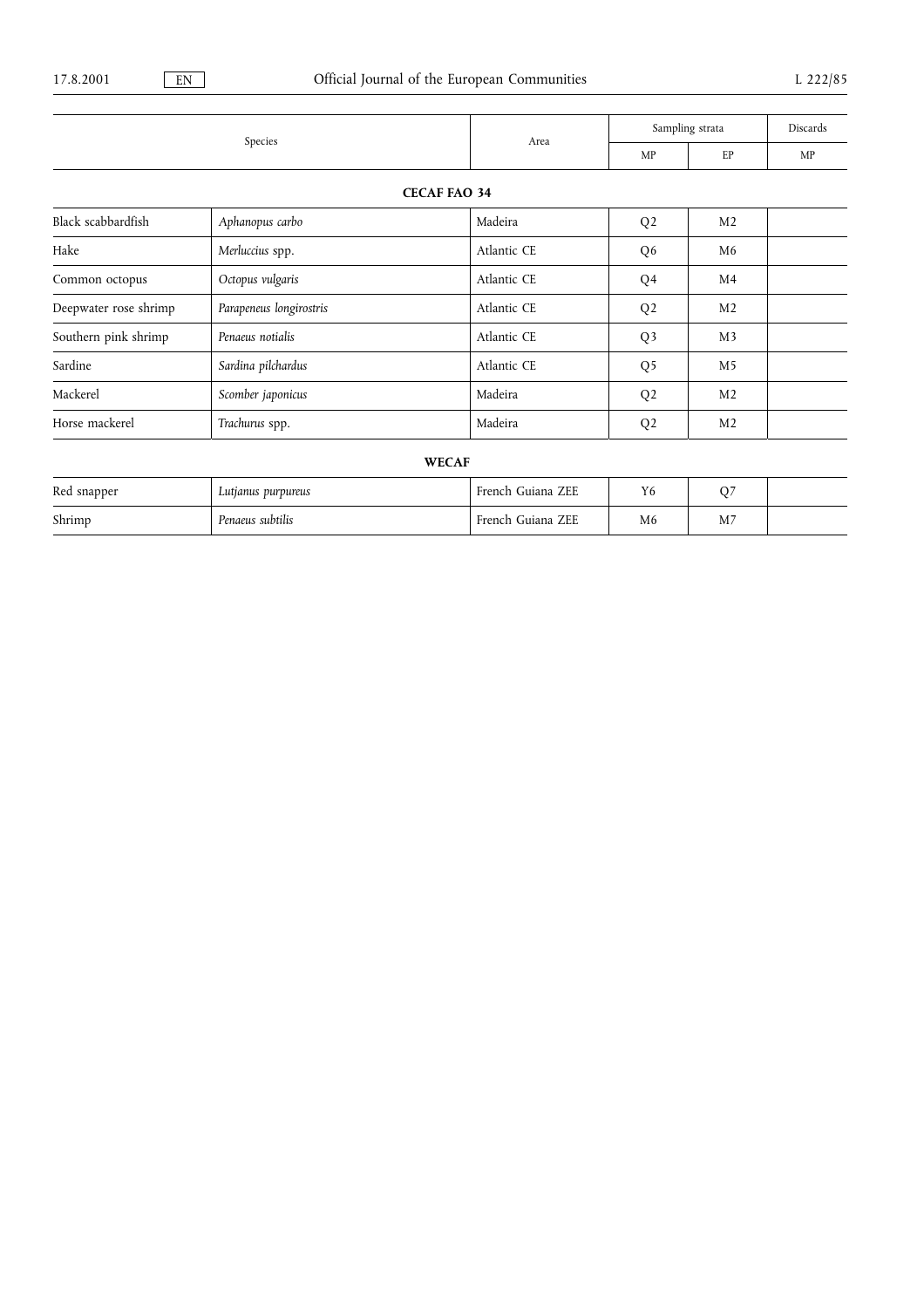|                       |                         |                   | Sampling strata |                | Discards |
|-----------------------|-------------------------|-------------------|-----------------|----------------|----------|
|                       | Species                 | Area              | MP              | EP             | MP       |
|                       | <b>CECAF FAO 34</b>     |                   |                 |                |          |
| Black scabbardfish    | Aphanopus carbo         | Madeira           | Q <sub>2</sub>  | M <sub>2</sub> |          |
| Hake                  | Merluccius spp.         | Atlantic CE       | Q <sub>6</sub>  | M <sub>6</sub> |          |
| Common octopus        | Octopus vulgaris        | Atlantic CE       | Q <sub>4</sub>  | M <sub>4</sub> |          |
| Deepwater rose shrimp | Parapeneus longirostris | Atlantic CE       | Q <sub>2</sub>  | M <sub>2</sub> |          |
| Southern pink shrimp  | Penaeus notialis        | Atlantic CE       | Q <sub>3</sub>  | M <sub>3</sub> |          |
| Sardine               | Sardina pilchardus      | Atlantic CE       | Q <sub>5</sub>  | M <sub>5</sub> |          |
| Mackerel              | Scomber japonicus       | Madeira           | Q <sub>2</sub>  | M <sub>2</sub> |          |
| Horse mackerel        | Trachurus spp.          | Madeira           | Q <sub>2</sub>  | M <sub>2</sub> |          |
|                       | <b>WECAF</b>            |                   |                 |                |          |
| Red snapper           | Lutjanus purpureus      | French Guiana ZEE | Y <sub>6</sub>  | Q7             |          |

Shrimp Penaeus subtilis French Guiana ZEE M6 M7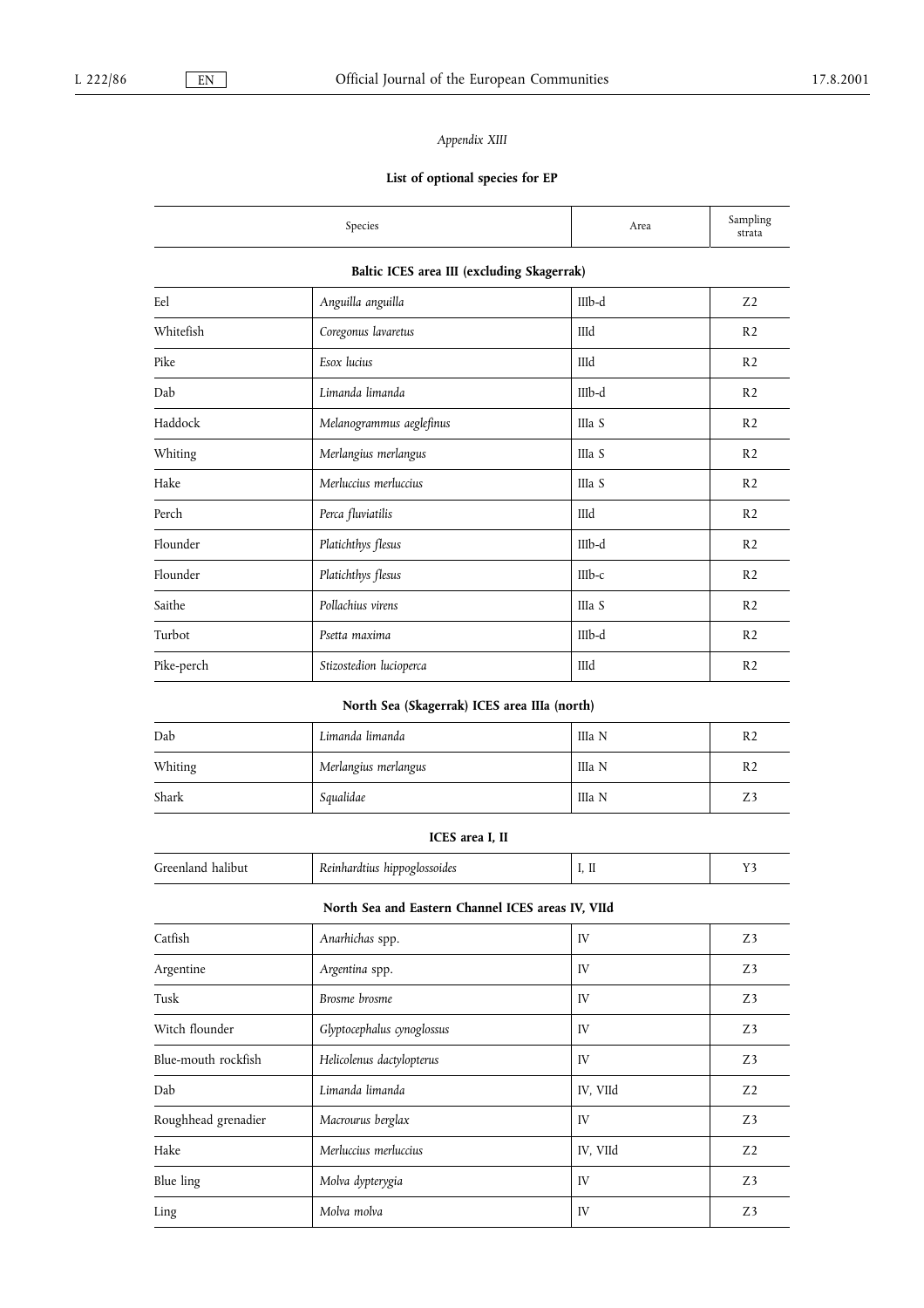## Appendix XIII

## List of optional species for EP

|                                            | Species                  | Area     | Sampling<br>strata |  |  |  |
|--------------------------------------------|--------------------------|----------|--------------------|--|--|--|
| Baltic ICES area III (excluding Skagerrak) |                          |          |                    |  |  |  |
| Eel                                        | Anguilla anguilla        | IIIb-d   | Z <sub>2</sub>     |  |  |  |
| Whitefish                                  | Coregonus lavaretus      | IIId     | R <sub>2</sub>     |  |  |  |
| Pike                                       | Esox lucius              | IIId     | R <sub>2</sub>     |  |  |  |
| Dab                                        | Limanda limanda          | IIIb-d   | R <sub>2</sub>     |  |  |  |
| Haddock                                    | Melanogrammus aeglefinus | IIIa S   | R <sub>2</sub>     |  |  |  |
| Whiting                                    | Merlangius merlangus     | IIIa S   | R <sub>2</sub>     |  |  |  |
| Hake                                       | Merluccius merluccius    | IIIa S   | R <sub>2</sub>     |  |  |  |
| Perch                                      | Perca fluviatilis        | IIId     | R <sub>2</sub>     |  |  |  |
| Flounder                                   | Platichthys flesus       | $IIIb-d$ | R <sub>2</sub>     |  |  |  |
| Flounder                                   | Platichthys flesus       | $IIIb-c$ | R <sub>2</sub>     |  |  |  |
| Saithe                                     | Pollachius virens        | IIIa S   | R <sub>2</sub>     |  |  |  |
| Turbot                                     | Psetta maxima            | IIIb-d   | R <sub>2</sub>     |  |  |  |
| Pike-perch                                 | Stizostedion lucioperca  | IIId     | R <sub>2</sub>     |  |  |  |

## North Sea (Skagerrak) ICES area IIIa (north)

| Dab     | Limanda limanda      | IIIa N | R <sub>2</sub> |
|---------|----------------------|--------|----------------|
| Whiting | Merlangius merlangus | IIIa N | R <sub>2</sub> |
| Shark   | Squalidae            | IIIa N | Z3             |

#### ICES area I, II

| hippoglossoides<br>reenl,<br>halibut<br>Reinhardtius<br>ти<br>$\mathbf{u}$<br><br><br>. .<br>∼ |
|------------------------------------------------------------------------------------------------|
|------------------------------------------------------------------------------------------------|

## North Sea and Eastern Channel ICES areas IV, VIId

| Catfish             | Anarhichas spp.            | IV       | Z3             |
|---------------------|----------------------------|----------|----------------|
| Argentine           | Argentina spp.             | IV       | Z <sub>3</sub> |
| Tusk                | Brosme brosme              | IV       | Z3             |
| Witch flounder      | Glyptocephalus cynoglossus | IV       | Z <sub>3</sub> |
| Blue-mouth rockfish | Helicolenus dactylopterus  | IV       | Z <sub>3</sub> |
| Dab                 | Limanda limanda            | IV, VIId | Z <sub>2</sub> |
| Roughhead grenadier | Macrourus berglax          | IV       | Z3             |
| Hake                | Merluccius merluccius      | IV, VIId | Z <sub>2</sub> |
| Blue ling           | Molva dypterygia           | IV       | Z <sub>3</sub> |
| Ling                | Molva molva                | IV       | Z <sub>3</sub> |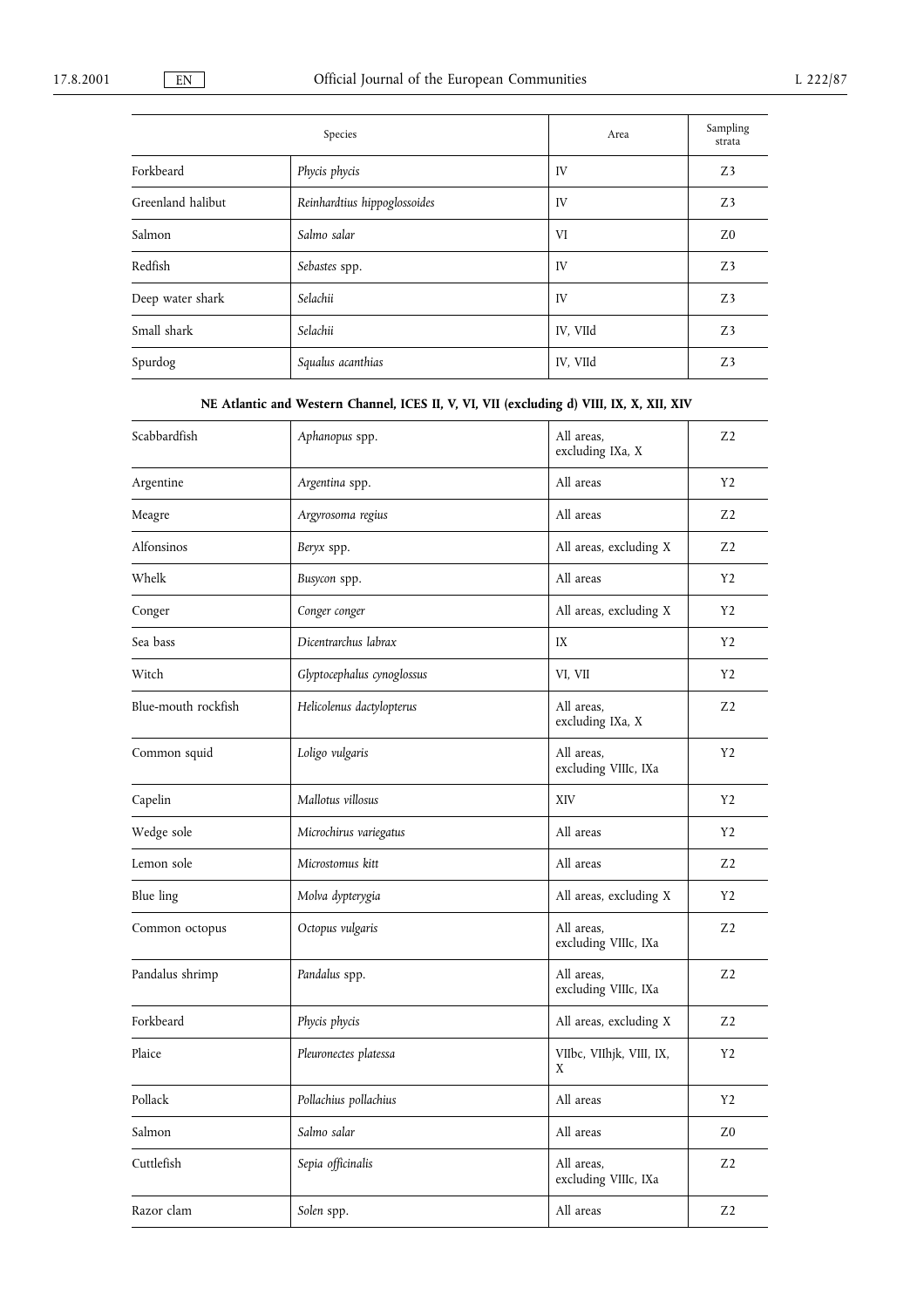|                   | Species                      | Area     | Sampling<br>strata |
|-------------------|------------------------------|----------|--------------------|
| Forkbeard         | Phycis phycis                | IV       | Z3                 |
| Greenland halibut | Reinhardtius hippoglossoides | IV       | Z3                 |
| Salmon            | Salmo salar                  | VI       | Z0                 |
| Redfish           | Sebastes spp.                | IV       | Z3                 |
| Deep water shark  | Selachii                     | IV       | Z3                 |
| Small shark       | Selachii                     | IV, VIId | Z3                 |
| Spurdog           | Squalus acanthias            | IV, VIId | Z3                 |

NE Atlantic and Western Channel, ICES II, V, VI, VII (excluding d) VIII, IX, X, XII, XIV

| Scabbardfish        | Aphanopus spp.             | All areas,<br>excluding IXa, X     | Z <sub>2</sub> |
|---------------------|----------------------------|------------------------------------|----------------|
| Argentine           | Argentina spp.             | All areas                          | Y2             |
| Meagre              | Argyrosoma regius          | All areas                          | Z <sub>2</sub> |
| Alfonsinos          | Beryx spp.                 | All areas, excluding X             | Z <sub>2</sub> |
| Whelk               | Busycon spp.               | All areas                          | Y <sub>2</sub> |
| Conger              | Conger conger              | All areas, excluding X             | Y2             |
| Sea bass            | Dicentrarchus labrax       | IX                                 | Y2             |
| Witch               | Glyptocephalus cynoglossus | VI, VII                            | Y2             |
| Blue-mouth rockfish | Helicolenus dactylopterus  | All areas.<br>excluding IXa, X     | Z <sub>2</sub> |
| Common squid        | Loligo vulgaris            | All areas.<br>excluding VIIIc, IXa | Y <sub>2</sub> |
| Capelin             | Mallotus villosus          | XIV                                | Y2             |
| Wedge sole          | Microchirus variegatus     | All areas                          | Y2             |
| Lemon sole          | Microstomus kitt           | All areas                          | Z <sub>2</sub> |
| Blue ling           | Molva dypterygia           | All areas, excluding X             | Y2             |
| Common octopus      | Octopus vulgaris           | All areas.<br>excluding VIIIc, IXa | Z <sub>2</sub> |
| Pandalus shrimp     | Pandalus spp.              | All areas.<br>excluding VIIIc, IXa | Z <sub>2</sub> |
| Forkbeard           | Phycis phycis              | All areas, excluding X             | Z <sub>2</sub> |
| Plaice              | Pleuronectes platessa      | VIIbc, VIIhjk, VIII, IX,<br>X      | Y2             |
| Pollack             | Pollachius pollachius      | All areas                          | Y2             |
| Salmon              | Salmo salar                | All areas                          | Z <sub>0</sub> |
| Cuttlefish          | Sepia officinalis          | All areas,<br>excluding VIIIc, IXa | Z <sub>2</sub> |
| Razor clam          | Solen spp.                 | All areas                          | Z <sub>2</sub> |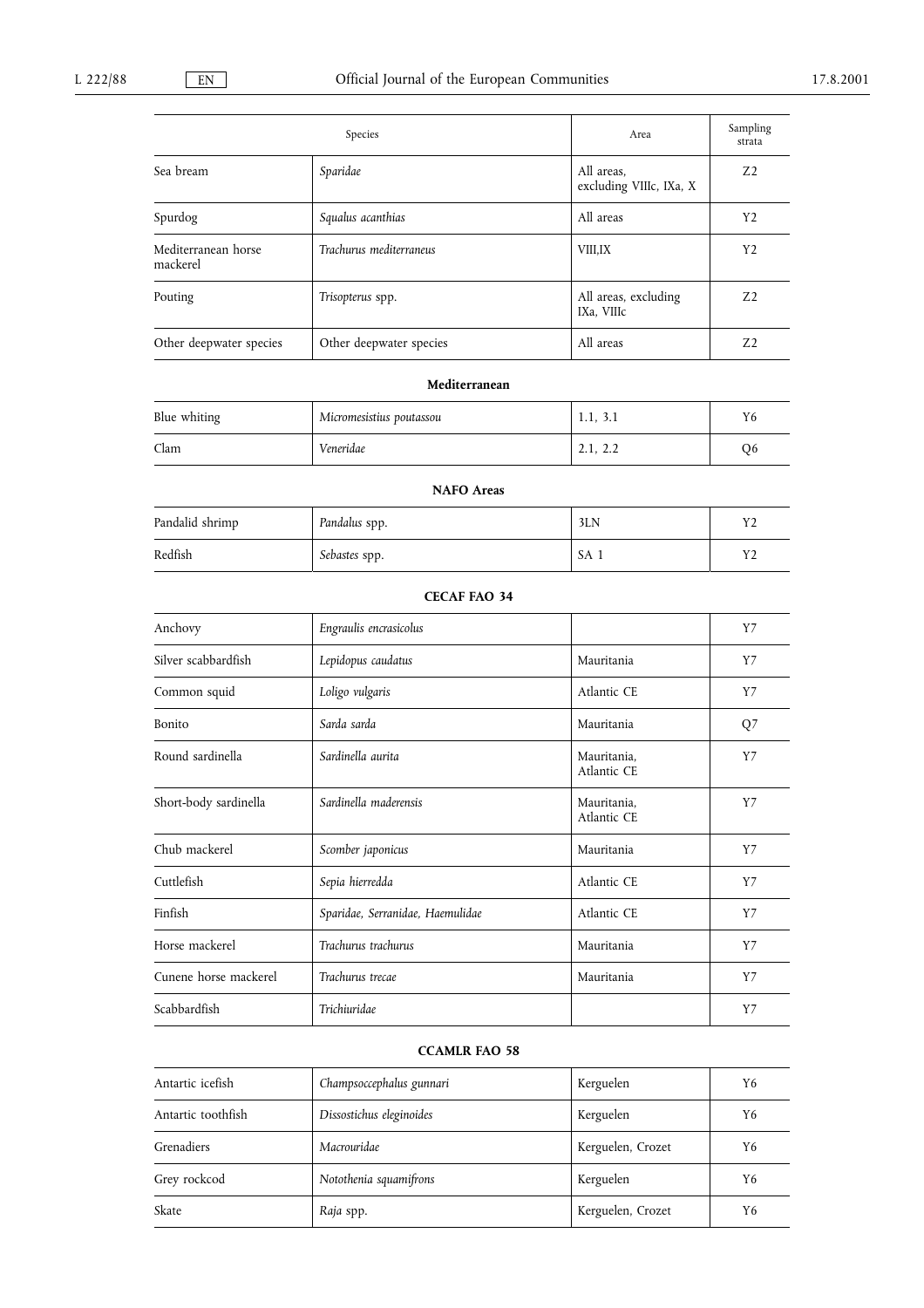|                                 | Species                 | Area                                  | Sampling<br>strata |
|---------------------------------|-------------------------|---------------------------------------|--------------------|
| Sea bream                       | Sparidae                | All areas.<br>excluding VIIIc, IXa, X | Z <sub>2</sub>     |
| Spurdog                         | Squalus acanthias       | All areas                             | Y <sub>2</sub>     |
| Mediterranean horse<br>mackerel | Trachurus mediterraneus | <b>VIII,IX</b>                        | Y <sub>2</sub>     |
| Pouting                         | Trisopterus spp.        | All areas, excluding<br>IXa, VIIIc    | Z <sub>2</sub>     |
| Other deepwater species         | Other deepwater species | All areas                             | Z <sub>2</sub>     |

## Mediterranean

| Blue whiting | Micromesistius poutassou | 1.1, 3.1 | Y6 |
|--------------|--------------------------|----------|----|
| Clam         | Veneridae                | 2.1, 2.2 | O6 |

# NAFO Areas Pandalid shrimp Pandalus spp. 3LN Y2 Redfish Sebastes spp. Sebastes spp. SA 1 Y2

| Anchovy               | Engraulis encrasicolus           |                            | Y7    |
|-----------------------|----------------------------------|----------------------------|-------|
| Silver scabbardfish   | Lepidopus caudatus               | Mauritania                 | Y7    |
| Common squid          | Loligo vulgaris                  | Atlantic CE                | $Y$ 7 |
| Bonito                | Sarda sarda                      | Mauritania                 | $Q$ 7 |
| Round sardinella      | Sardinella aurita                | Mauritania,<br>Atlantic CE | Y7    |
| Short-body sardinella | Sardinella maderensis            | Mauritania,<br>Atlantic CE | $Y$ 7 |
| Chub mackerel         | Scomber japonicus                | Mauritania                 | Y7    |
| Cuttlefish            | Sepia hierredda                  | Atlantic CE                | Y7    |
| Finfish               | Sparidae, Serranidae, Haemulidae | Atlantic CE                | Y7    |
| Horse mackerel        | Trachurus trachurus              | Mauritania                 | Y7    |
| Cunene horse mackerel | Trachurus trecae                 | Mauritania                 | $Y$ 7 |
| Scabbardfish          | Trichiuridae                     |                            | $Y$ 7 |

## CCAMLR FAO 58

| Antartic icefish   | Champsoccephalus gunnari | Kerguelen         | Y6 |
|--------------------|--------------------------|-------------------|----|
| Antartic toothfish | Dissostichus eleginoides | Kerguelen         | Y6 |
| Grenadiers         | Macrouridae              | Kerguelen, Crozet | Y6 |
| Grey rockcod       | Notothenia squamifrons   | Kerguelen         | Y6 |
| Skate              | Raja spp.                | Kerguelen, Crozet | Y6 |

## CECAF FAO 34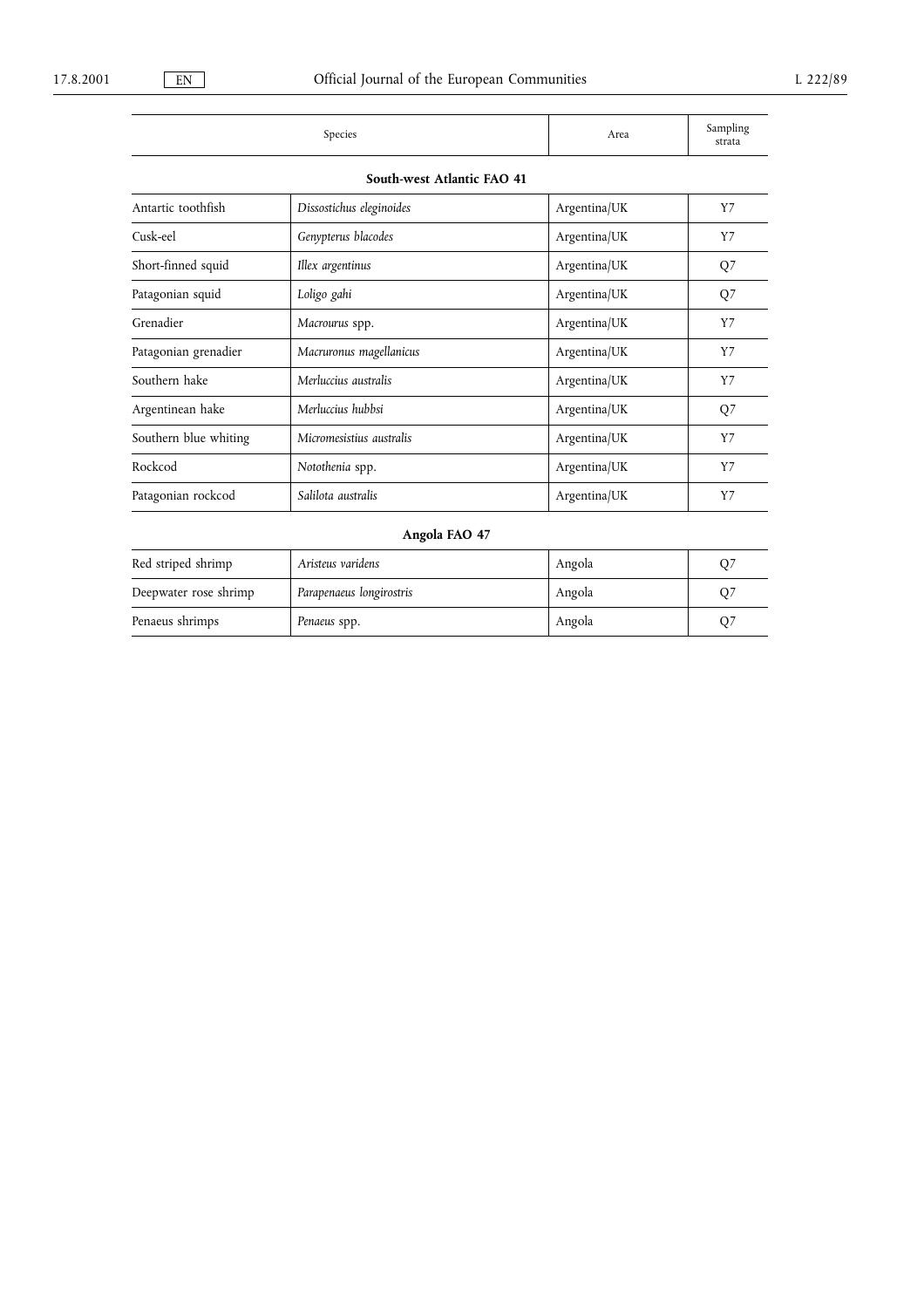| species | Area | محبا حبصت<br>$_{\rm{outup}$ llii $_{\rm{c}}$<br>≕- ><br>strata |
|---------|------|----------------------------------------------------------------|

| South-west Atlantic FAO 41 |  |  |  |
|----------------------------|--|--|--|
|----------------------------|--|--|--|

| Antartic toothfish    | Dissostichus eleginoides | Argentina/UK | Y7    |
|-----------------------|--------------------------|--------------|-------|
| Cusk-eel              | Genypterus blacodes      | Argentina/UK | Y7    |
| Short-finned squid    | Illex argentinus         | Argentina/UK | $Q$ 7 |
| Patagonian squid      | Loligo gahi              | Argentina/UK | Q7    |
| Grenadier             | Macrourus spp.           | Argentina/UK | Y7    |
| Patagonian grenadier  | Macruronus magellanicus  | Argentina/UK | Y7    |
| Southern hake         | Merluccius australis     | Argentina/UK | Y7    |
| Argentinean hake      | Merluccius hubbsi        | Argentina/UK | $Q$ 7 |
| Southern blue whiting | Micromesistius australis | Argentina/UK | $Y$ 7 |
| Rockcod               | Notothenia spp.          | Argentina/UK | Y7    |
| Patagonian rockcod    | Salilota australis       | Argentina/UK | Y7    |
|                       |                          |              |       |

## Angola FAO 47

| Red striped shrimp    | Aristeus varidens        | Angola | O7 |
|-----------------------|--------------------------|--------|----|
| Deepwater rose shrimp | Parapenaeus longirostris | Angola |    |
| Penaeus shrimps       | Penaeus spp.             | Angola |    |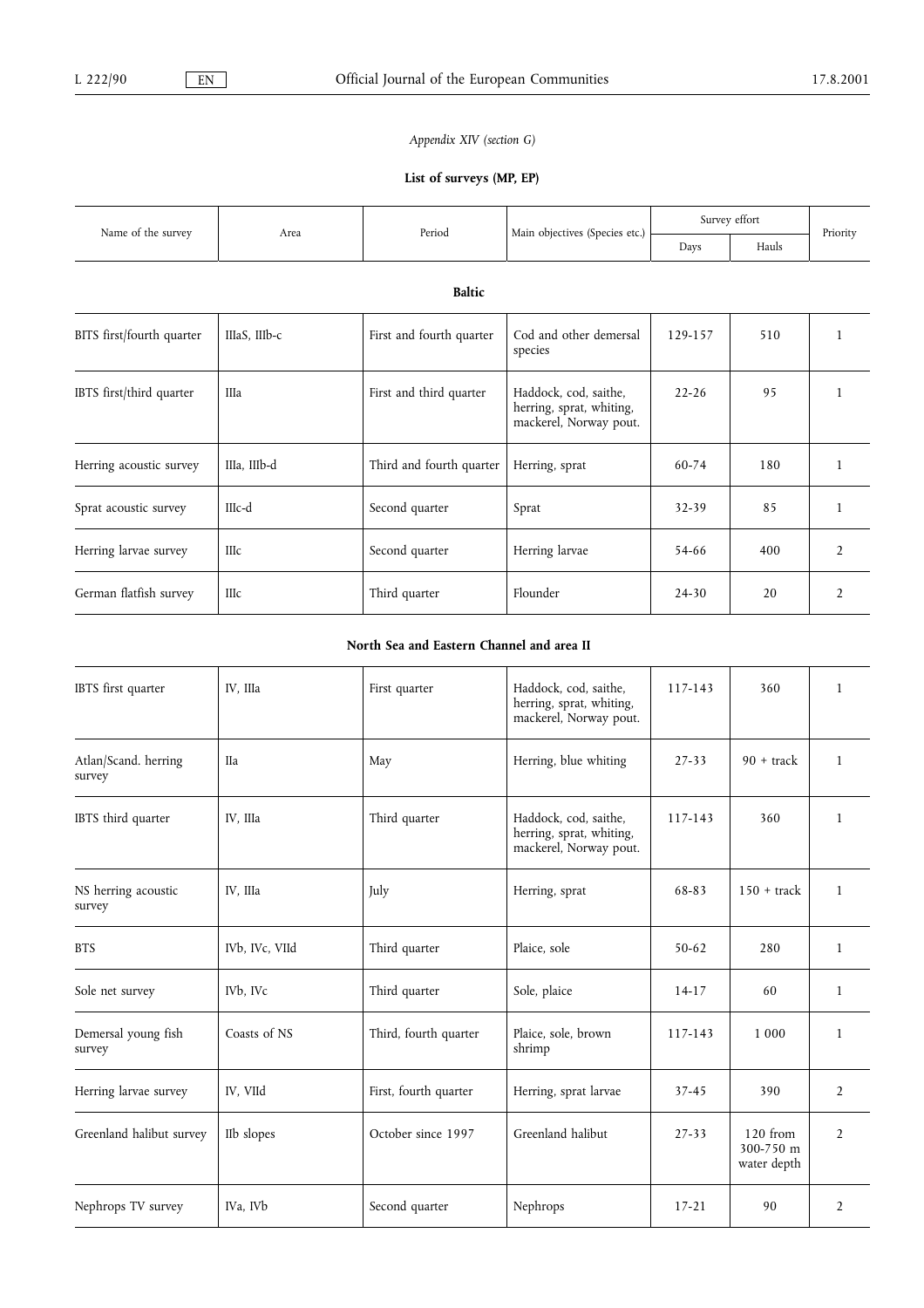## Appendix XIV (section G)

## List of surveys (MP, EP)

|                           | Area          | Period                   |                                                                             | Survey effort |       |                |  |  |  |  |
|---------------------------|---------------|--------------------------|-----------------------------------------------------------------------------|---------------|-------|----------------|--|--|--|--|
| Name of the survey        |               |                          | Main objectives (Species etc.)                                              | Days          | Hauls | Priority       |  |  |  |  |
|                           | <b>Baltic</b> |                          |                                                                             |               |       |                |  |  |  |  |
| BITS first/fourth quarter | IIIaS, IIIb-c | First and fourth quarter | Cod and other demersal<br>species                                           | 129-157       | 510   |                |  |  |  |  |
| IBTS first/third quarter  | IIIa          | First and third quarter  | Haddock, cod, saithe,<br>herring, sprat, whiting,<br>mackerel, Norway pout. | $22 - 26$     | 95    |                |  |  |  |  |
| Herring acoustic survey   | IIIa, IIIb-d  | Third and fourth quarter | Herring, sprat                                                              | 60-74         | 180   |                |  |  |  |  |
| Sprat acoustic survey     | IIIc-d        | Second quarter           | Sprat                                                                       | 32-39         | 85    | 1              |  |  |  |  |
| Herring larvae survey     | <b>IIIc</b>   | Second quarter           | Herring larvae                                                              | 54-66         | 400   | $\overline{2}$ |  |  |  |  |
| German flatfish survey    | IIIc          | Third quarter            | Flounder                                                                    | $24 - 30$     | 20    | $\overline{2}$ |  |  |  |  |

## North Sea and Eastern Channel and area II

| IBTS first quarter             | IV, IIIa                          | First quarter         | Haddock, cod, saithe,<br>herring, sprat, whiting,<br>mackerel, Norway pout. | 117-143   | 360                                    | $\mathbf{1}$   |
|--------------------------------|-----------------------------------|-----------------------|-----------------------------------------------------------------------------|-----------|----------------------------------------|----------------|
| Atlan/Scand. herring<br>survey | <b>IIa</b>                        | May                   | Herring, blue whiting                                                       | $27 - 33$ | $90 +$ track                           | $\mathbf{1}$   |
| IBTS third quarter             | IV, IIIa                          | Third quarter         | Haddock, cod, saithe,<br>herring, sprat, whiting,<br>mackerel, Norway pout. | 117-143   | 360                                    | $\mathbf{1}$   |
| NS herring acoustic<br>survey  | IV, IIIa                          | July                  | Herring, sprat                                                              | 68-83     | $150 +$ track                          | $\mathbf{1}$   |
| <b>BTS</b>                     | IVb, IVc, VIId                    | Third quarter         | Plaice, sole                                                                | $50 - 62$ | 280                                    | $\mathbf{1}$   |
| Sole net survey                | IV <sub>b</sub> , IV <sub>c</sub> | Third quarter         | Sole, plaice                                                                | $14-17$   | 60                                     | $\mathbf{1}$   |
| Demersal young fish<br>survey  | Coasts of NS                      | Third, fourth quarter | Plaice, sole, brown<br>shrimp                                               | 117-143   | 1 000                                  | 1              |
| Herring larvae survey          | IV, VIId                          | First, fourth quarter | Herring, sprat larvae                                                       | $37 - 45$ | 390                                    | $\overline{2}$ |
| Greenland halibut survey       | IIb slopes                        | October since 1997    | Greenland halibut                                                           | $27 - 33$ | $120$ from<br>300-750 m<br>water depth | $\overline{2}$ |
| Nephrops TV survey             | IVa, IVb                          | Second quarter        | Nephrops                                                                    | $17 - 21$ | 90                                     | 2              |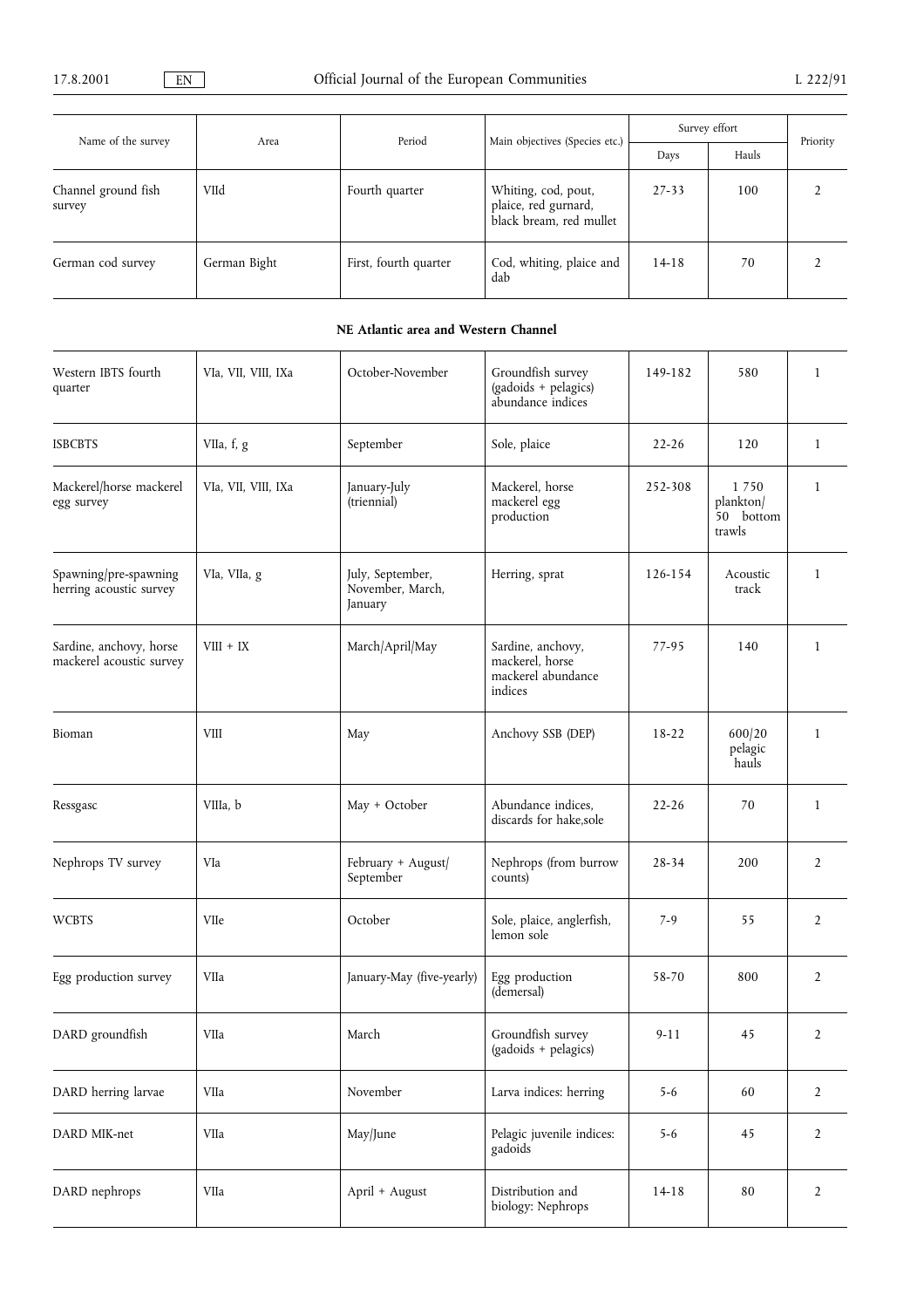| Name of the survey            | Area         | Period                | Main objectives (Species etc.)                                         | Survey effort | Priority |  |
|-------------------------------|--------------|-----------------------|------------------------------------------------------------------------|---------------|----------|--|
|                               |              |                       |                                                                        | Days          | Hauls    |  |
| Channel ground fish<br>survey | VIId         | Fourth quarter        | Whiting, cod, pout,<br>plaice, red gurnard,<br>black bream, red mullet | $27 - 33$     | 100      |  |
| German cod survey             | German Bight | First, fourth quarter | Cod, whiting, plaice and<br>dab                                        | $14 - 18$     | 70       |  |

## NE Atlantic area and Western Channel

| Western IBTS fourth<br>quarter                      | VIa, VII, VIII, IXa | October-November<br>Groundfish survey<br>(gadoids + pelagics)<br>abundance indices |                                                                       | 149-182   | 580                                      | $\mathbf{1}$   |
|-----------------------------------------------------|---------------------|------------------------------------------------------------------------------------|-----------------------------------------------------------------------|-----------|------------------------------------------|----------------|
| <b>ISBCBTS</b>                                      | VIIa, f, g          | September                                                                          | Sole, plaice                                                          | $22 - 26$ | 120                                      | $\mathbf{1}$   |
| Mackerel/horse mackerel<br>egg survey               | VIa, VII, VIII, IXa | January-July<br>(triennial)                                                        | Mackerel, horse<br>mackerel egg<br>production                         | 252-308   | 1750<br>plankton/<br>50 bottom<br>trawls | $\mathbf{1}$   |
| Spawning/pre-spawning<br>herring acoustic survey    | VIa, VIIa, g        | July, September,<br>November, March,<br>January                                    | Herring, sprat                                                        | 126-154   | Acoustic<br>track                        | $\mathbf{1}$   |
| Sardine, anchovy, horse<br>mackerel acoustic survey | $VIII + IX$         | March/April/May                                                                    | Sardine, anchovy,<br>mackerel, horse<br>mackerel abundance<br>indices | 77-95     | 140                                      | $\mathbf{1}$   |
| Bioman                                              | VIII                | May                                                                                | Anchovy SSB (DEP)                                                     | $18-22$   | 600/20<br>pelagic<br>hauls               | $\mathbf{1}$   |
| Ressgasc                                            | VIIIa, b            | May + October                                                                      | Abundance indices,<br>discards for hake,sole                          | $22 - 26$ | 70                                       | $\mathbf{1}$   |
| Nephrops TV survey                                  | VIa                 | February + August/<br>September                                                    | Nephrops (from burrow<br>counts)                                      | 28-34     | 200                                      | $\overline{2}$ |
| <b>WCBTS</b>                                        | VIIe                | October                                                                            | Sole, plaice, anglerfish,<br>lemon sole                               | $7-9$     | 55                                       | 2              |
| Egg production survey                               | VIIa                | January-May (five-yearly)                                                          | Egg production<br>(demersal)                                          | 58-70     | 800                                      | 2              |
| DARD groundfish                                     | VIIa                | March                                                                              | Groundfish survey<br>(gadoids + pelagics)                             | $9 - 11$  | 45                                       | 2              |
| DARD herring larvae                                 | VIIa                | November                                                                           | Larva indices: herring                                                | $5 - 6$   | 60                                       | $\overline{2}$ |
| DARD MIK-net                                        | VIIa                | May/June                                                                           | Pelagic juvenile indices:<br>gadoids                                  | $5 - 6$   | 45                                       | $\overline{2}$ |
| DARD nephrops                                       | VIIa                | April + August                                                                     | Distribution and<br>biology: Nephrops                                 | $14-18$   | 80                                       | $\overline{2}$ |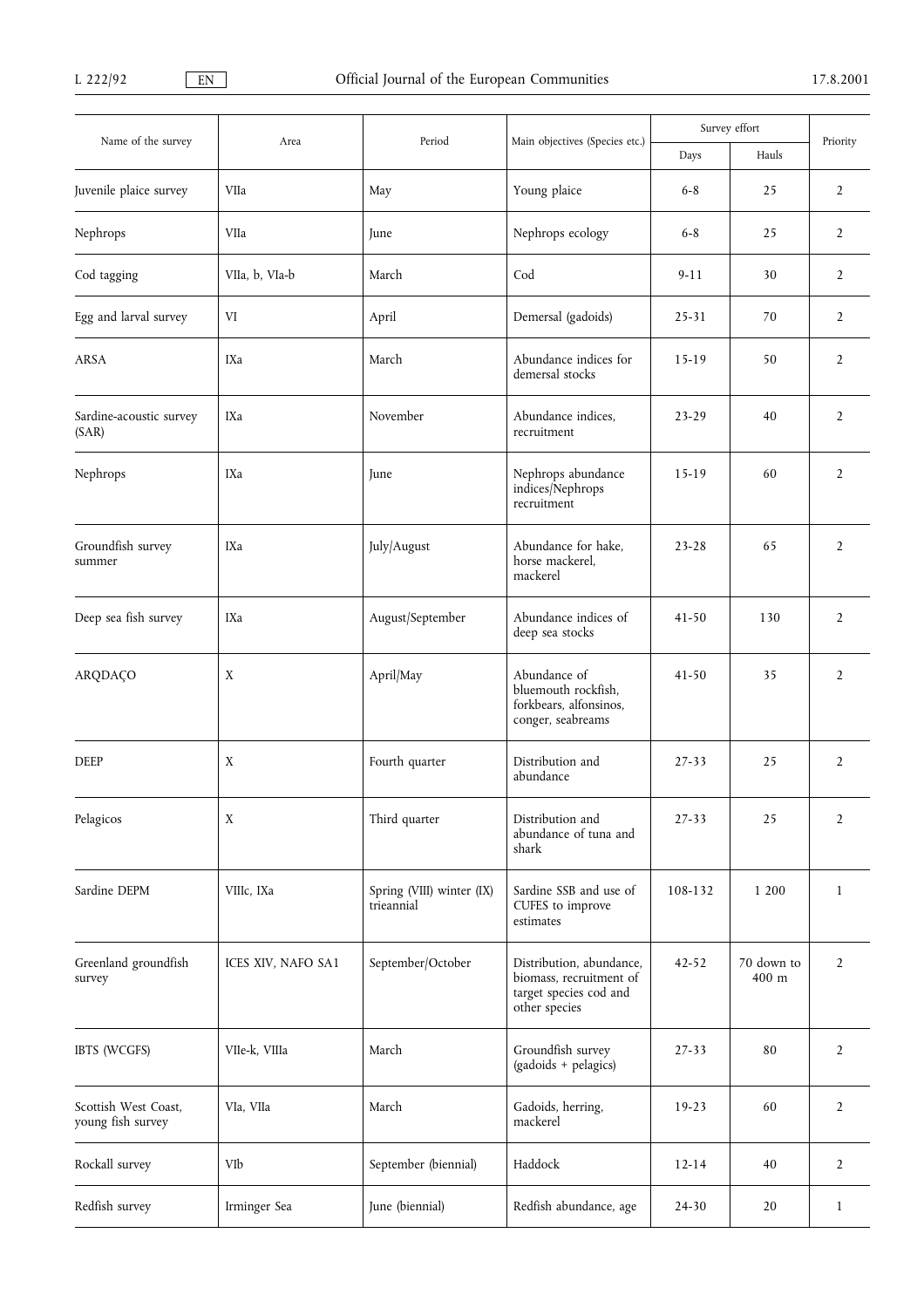|                                           | Area               | Period                                  |                                                                                                | Survey effort |                     | Priority       |
|-------------------------------------------|--------------------|-----------------------------------------|------------------------------------------------------------------------------------------------|---------------|---------------------|----------------|
| Name of the survey                        |                    |                                         | Main objectives (Species etc.)                                                                 | Days          | Hauls               |                |
| Juvenile plaice survey                    | VIIa               | May                                     | Young plaice                                                                                   | $6 - 8$       | 25                  | 2              |
| Nephrops                                  | VIIa               | June                                    | Nephrops ecology                                                                               | $6 - 8$       | 25                  | $\overline{2}$ |
| Cod tagging                               | VIIa, b, VIa-b     | March                                   | Cod                                                                                            | $9-11$        | 30                  | $\overline{2}$ |
| Egg and larval survey                     | VI                 | April                                   | Demersal (gadoids)                                                                             | 25-31         | 70                  | $\overline{2}$ |
| ARSA                                      | IXa                | March                                   | Abundance indices for<br>demersal stocks                                                       | $15-19$       | 50                  | $\overline{2}$ |
| Sardine-acoustic survey<br>(SAR)          | IXa                | November                                | Abundance indices,<br>recruitment                                                              | $23 - 29$     | 40                  | $\overline{2}$ |
| Nephrops                                  | IXa                | June                                    | Nephrops abundance<br>indices/Nephrops<br>recruitment                                          | $15-19$       | 60                  | $\overline{2}$ |
| Groundfish survey<br>summer               | IXa                | July/August                             | Abundance for hake,<br>horse mackerel,<br>mackerel                                             | $23 - 28$     | 65                  | $\overline{2}$ |
| Deep sea fish survey                      | IXa                | August/September                        | Abundance indices of<br>deep sea stocks                                                        |               | 130                 | $\overline{2}$ |
| ARQDAÇO                                   | X                  | April/May                               | Abundance of<br>bluemouth rockfish,<br>forkbears, alfonsinos,<br>conger, seabreams             | $41 - 50$     | 35                  | 2              |
| <b>DEEP</b>                               | $\mathbf X$        | Fourth quarter                          | Distribution and<br>abundance                                                                  |               | 25                  | $\overline{2}$ |
| Pelagicos                                 | X                  | Third quarter                           | Distribution and<br>abundance of tuna and<br>shark                                             |               | 25                  | $\overline{2}$ |
| Sardine DEPM                              | VIIIc, IXa         | Spring (VIII) winter (IX)<br>trieannial | Sardine SSB and use of<br>CUFES to improve<br>estimates                                        | 108-132       | 1 200               | $\mathbf{1}$   |
| Greenland groundfish<br>survey            | ICES XIV, NAFO SA1 | September/October                       | Distribution, abundance,<br>biomass, recruitment of<br>target species cod and<br>other species | $42 - 52$     | 70 down to<br>400 m | 2              |
| IBTS (WCGFS)                              | VIIe-k, VIIIa      | March                                   | Groundfish survey<br>(gadoids + pelagics)                                                      | 27-33         | 80                  | $\overline{2}$ |
| Scottish West Coast,<br>young fish survey | VIa, VIIa          | March                                   | Gadoids, herring,<br>mackerel                                                                  | $19-23$       | 60                  | $\overline{2}$ |
| Rockall survey                            | VIb                | September (biennial)                    | Haddock                                                                                        | $12 - 14$     | 40                  | $\overline{2}$ |
| Redfish survey                            | Irminger Sea       | June (biennial)                         | Redfish abundance, age                                                                         | 24-30         | 20                  | $\mathbf{1}$   |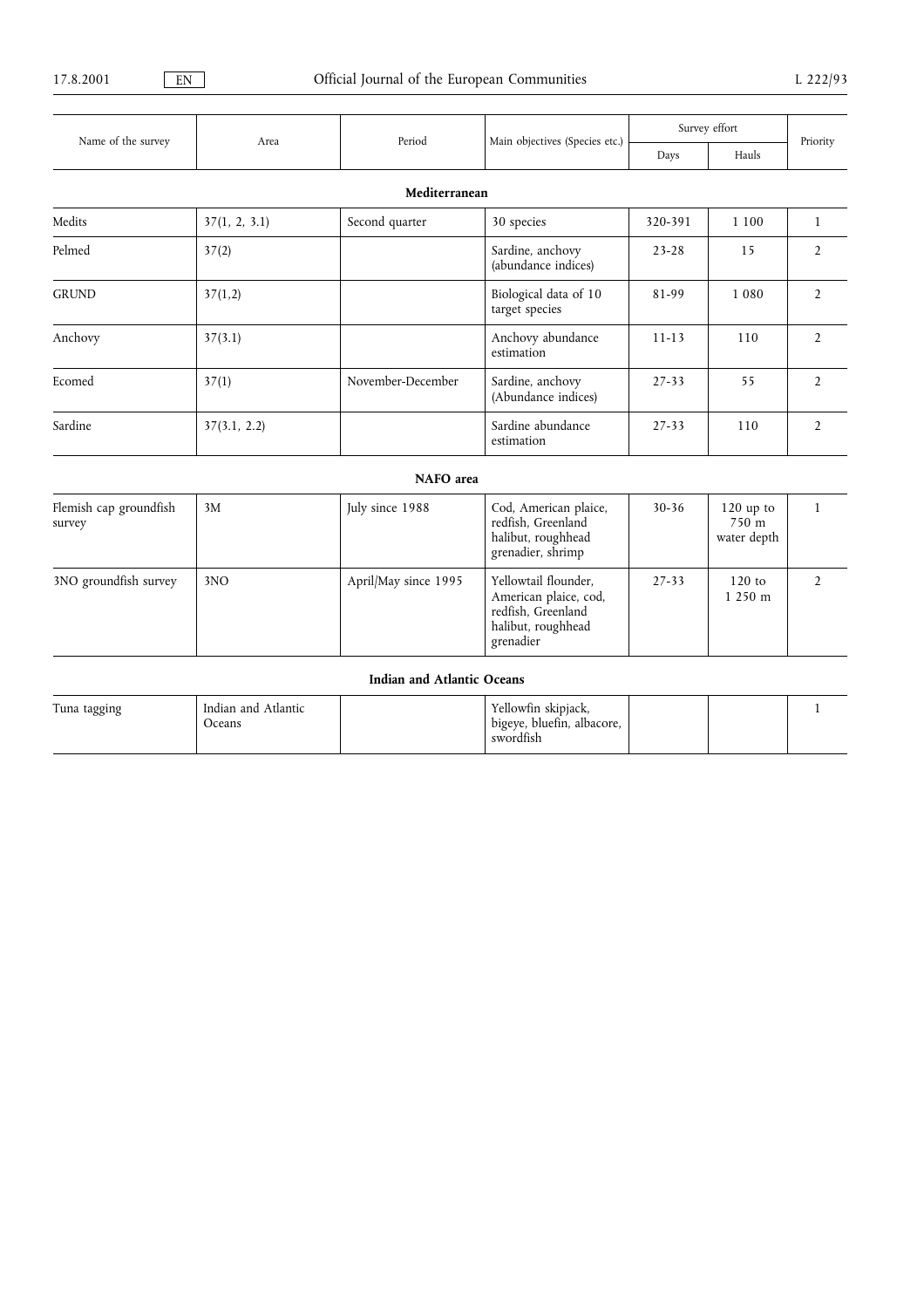|                                  |               |                                   |                                                                                                        | Survey effort |                                               |                |
|----------------------------------|---------------|-----------------------------------|--------------------------------------------------------------------------------------------------------|---------------|-----------------------------------------------|----------------|
| Name of the survey               | Area          | Period                            | Main objectives (Species etc.)                                                                         | Days          | Hauls                                         | Priority       |
|                                  |               | Mediterranean                     |                                                                                                        |               |                                               |                |
| Medits                           | 37(1, 2, 3.1) | Second quarter                    | 30 species                                                                                             | 320-391       | 1 1 0 0                                       | 1              |
| Pelmed                           | 37(2)         |                                   | Sardine, anchovy<br>(abundance indices)                                                                | $23 - 28$     | 15                                            | $\overline{2}$ |
| <b>GRUND</b>                     | 37(1,2)       |                                   | Biological data of 10<br>target species                                                                |               | 1080                                          | $\overline{2}$ |
| Anchovy                          | 37(3.1)       |                                   | Anchovy abundance<br>estimation                                                                        | $11 - 13$     | 110                                           | $\overline{2}$ |
| Ecomed                           | 37(1)         | November-December                 | Sardine, anchovy<br>(Abundance indices)                                                                |               | 55                                            | $\overline{2}$ |
| Sardine                          | 37(3.1, 2.2)  |                                   | Sardine abundance<br>$27 - 33$<br>estimation                                                           |               | 110                                           | $\overline{2}$ |
|                                  |               | NAFO area                         |                                                                                                        |               |                                               |                |
| Flemish cap groundfish<br>survey | 3M            | July since 1988                   | Cod, American plaice,<br>redfish, Greenland<br>halibut, roughhead<br>grenadier, shrimp                 | $30 - 36$     | $120$ up to<br>$750 \text{ m}$<br>water depth | $\mathbf{1}$   |
| 3NO groundfish survey            | 3NO           | April/May since 1995              | Yellowtail flounder,<br>American plaice, cod,<br>redfish, Greenland<br>halibut, roughhead<br>grenadier | $27 - 33$     | $120$ to<br>1250 m                            | $\overline{2}$ |
|                                  |               | <b>Indian and Atlantic Oceans</b> |                                                                                                        |               |                                               |                |

| Tuna tagging | Indian and Atlantic | Yellowfin skipjack,        |  |  |
|--------------|---------------------|----------------------------|--|--|
|              | Oceans              | bigeye, bluefin, albacore, |  |  |
|              |                     | swordfish                  |  |  |
|              |                     |                            |  |  |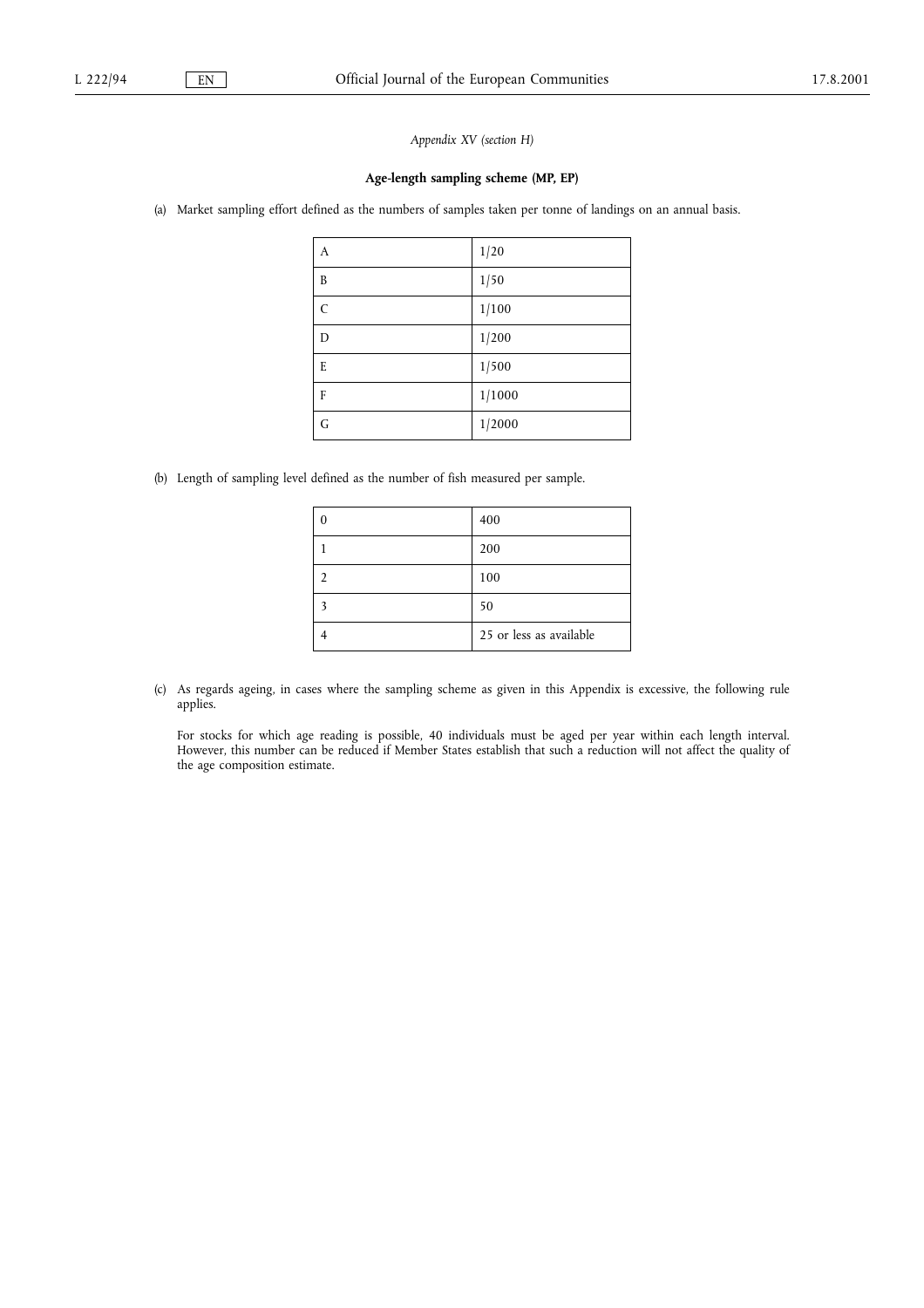Appendix XV (section H)

#### Age-length sampling scheme (MP, EP)

(a) Market sampling effort defined as the numbers of samples taken per tonne of landings on an annual basis.

| А | 1/20   |
|---|--------|
| B | 1/50   |
| C | 1/100  |
| D | 1/200  |
| E | 1/500  |
| F | 1/1000 |
| G | 1/2000 |

(b) Length of sampling level defined as the number of fish measured per sample.

| 400                     |
|-------------------------|
| 200                     |
| 100                     |
| 50                      |
| 25 or less as available |

(c) As regards ageing, in cases where the sampling scheme as given in this Appendix is excessive, the following rule applies.

For stocks for which age reading is possible, 40 individuals must be aged per year within each length interval. However, this number can be reduced if Member States establish that such a reduction will not affect the quality of the age composition estimate.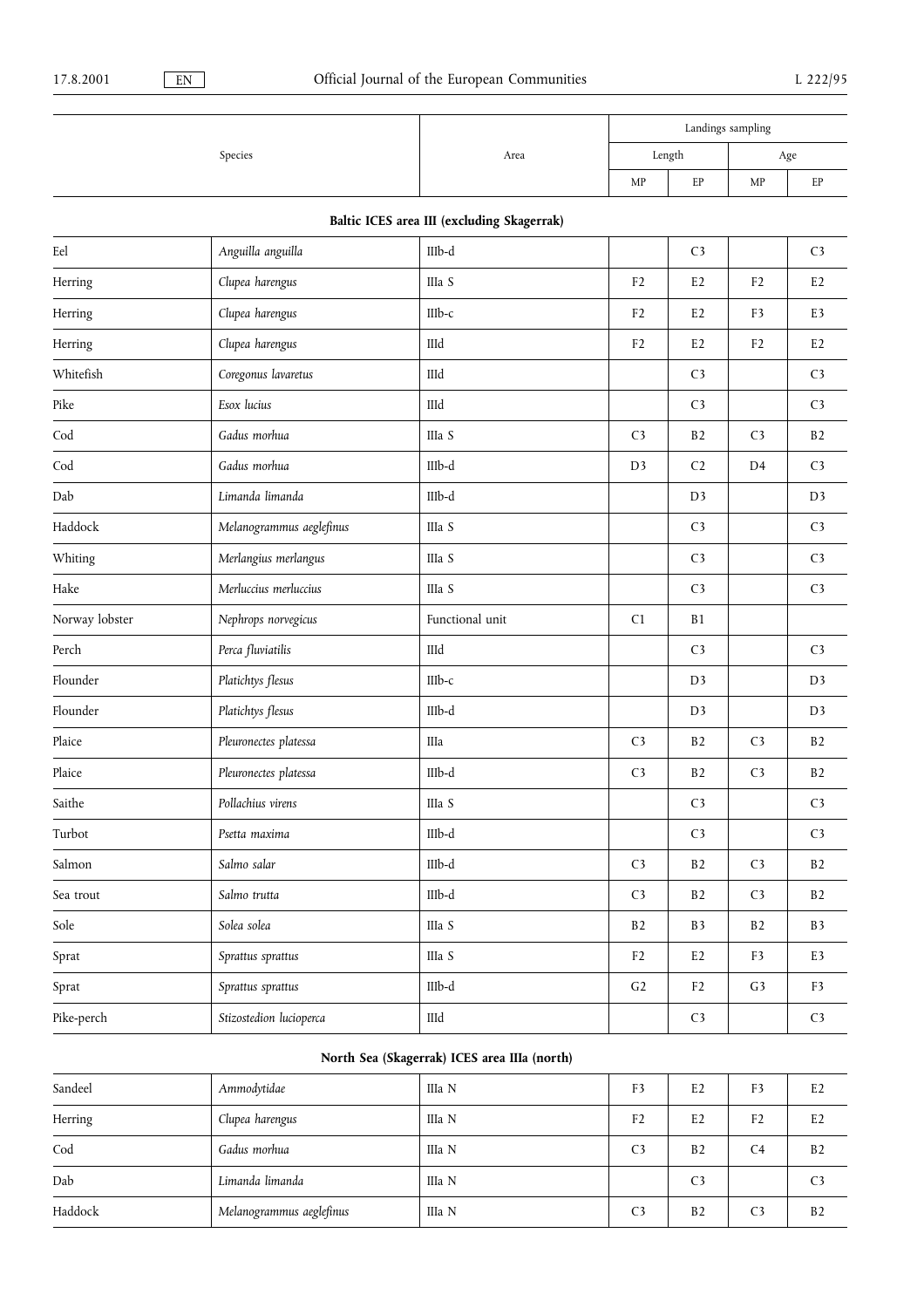|         |      |        |    | Landings sampling |     |
|---------|------|--------|----|-------------------|-----|
| Species | Area | Length |    |                   | Age |
|         |      | MP     | EP | MP                | EP  |

## Baltic ICES area III (excluding Skagerrak)

| Eel                  | Anguilla anguilla        | IIIb-d          |                | C <sub>3</sub> |                | C <sub>3</sub> |
|----------------------|--------------------------|-----------------|----------------|----------------|----------------|----------------|
| Herring              | Clupea harengus          | IIIa S          | F2             | E <sub>2</sub> | F2             | E <sub>2</sub> |
| Herring              | Clupea harengus          | III $b-c$       | F2             | E <sub>2</sub> | F3             | E3             |
| Herring              | Clupea harengus          | IIId            | F2             | E <sub>2</sub> | F2             | E <sub>2</sub> |
| Whitefish            | Coregonus lavaretus      | $\rm IIId$      |                | C <sub>3</sub> |                | C <sub>3</sub> |
| Pike                 | Esox lucius              | IIId            |                | C <sub>3</sub> |                | C <sub>3</sub> |
| $\mathrm{Cod}$       | Gadus morhua             | IIIa S          | C <sub>3</sub> | B2             | C <sub>3</sub> | B2             |
| $\operatorname{Cod}$ | Gadus morhua             | $IIIb-d$        | D <sub>3</sub> | C <sub>2</sub> | D4             | C <sub>3</sub> |
| Dab                  | Limanda limanda          | IIIb-d          |                | D <sub>3</sub> |                | D <sub>3</sub> |
| Haddock              | Melanogrammus aeglefinus | IIIa S          |                | C <sub>3</sub> |                | C <sub>3</sub> |
| Whiting              | Merlangius merlangus     | IIIa S          |                | C <sub>3</sub> |                | C <sub>3</sub> |
| Hake                 | Merluccius merluccius    | IIIa S          |                | C <sub>3</sub> |                | C <sub>3</sub> |
| Norway lobster       | Nephrops norvegicus      | Functional unit | C1             | B1             |                |                |
| Perch                | Perca fluviatilis        | IIId            |                | C <sub>3</sub> |                | C <sub>3</sub> |
| Flounder             | Platichtys flesus        | $IIIb-c$        |                | D <sub>3</sub> |                | D <sub>3</sub> |
| Flounder             | Platichtys flesus        | IIIb-d          |                | D <sub>3</sub> |                | D <sub>3</sub> |
| Plaice               | Pleuronectes platessa    | IIIa            | C <sub>3</sub> | B2             | $\mathsf{C}3$  | B2             |
| Plaice               | Pleuronectes platessa    | IIIb-d          | C <sub>3</sub> | B2             | C <sub>3</sub> | B2             |
| Saithe               | Pollachius virens        | IIIa S          |                | C <sub>3</sub> |                | C <sub>3</sub> |
| Turbot               | Psetta maxima            | IIIb-d          |                | C <sub>3</sub> |                | C <sub>3</sub> |
| Salmon               | Salmo salar              | IIIb-d          | C <sub>3</sub> | B2             | C <sub>3</sub> | B2             |
| Sea trout            | Salmo trutta             | $\text{IIIb-d}$ | C <sub>3</sub> | B2             | C <sub>3</sub> | B2             |
| Sole                 | Solea solea              | IIIa S          | B2             | B <sub>3</sub> | B2             | B3             |
| Sprat                | Sprattus sprattus        | IIIa S          | F2             | E <sub>2</sub> | F3             | E3             |
| Sprat                | Sprattus sprattus        | IIIb-d          | G <sub>2</sub> | F <sub>2</sub> | G3             | F3             |
| Pike-perch           | Stizostedion lucioperca  | IIId            |                | C <sub>3</sub> |                | C <sub>3</sub> |
|                      |                          |                 |                |                |                |                |

## North Sea (Skagerrak) ICES area IIIa (north)

| Sandeel | Ammodytidae              | IIIa N | F3             | E <sub>2</sub> | F3             | E2             |
|---------|--------------------------|--------|----------------|----------------|----------------|----------------|
| Herring | Clupea harengus          | IIIa N | F <sub>2</sub> | E <sub>2</sub> | F <sub>2</sub> | E2             |
| Cod     | Gadus morhua             | IIIa N | C <sub>3</sub> | B <sub>2</sub> | C <sub>4</sub> | B <sub>2</sub> |
| Dab     | Limanda limanda          | IIIa N |                | C <sub>3</sub> |                | C <sub>3</sub> |
| Haddock | Melanogrammus aeglefinus | IIIa N | C <sub>3</sub> | B <sub>2</sub> | C <sub>3</sub> | B <sub>2</sub> |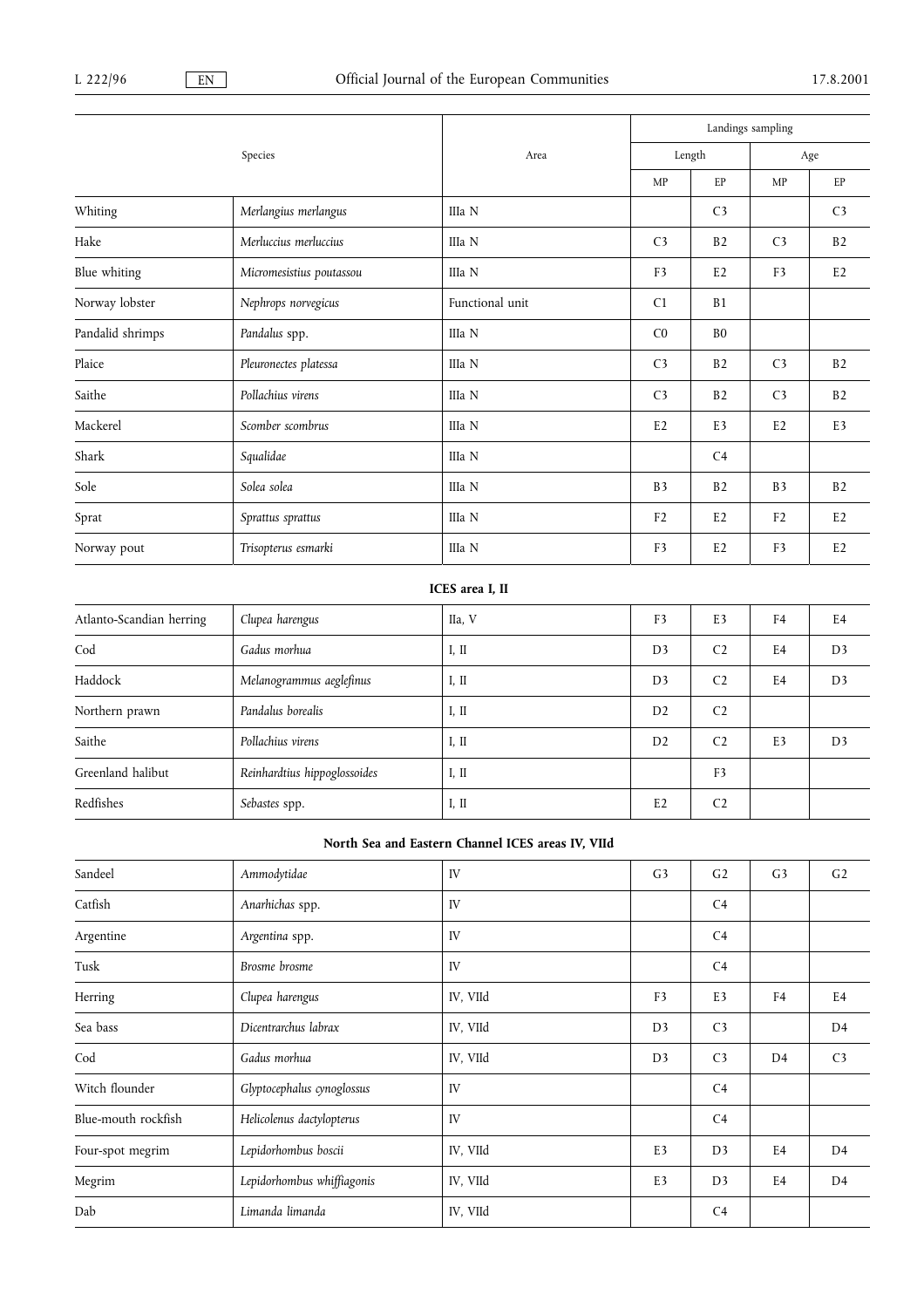|                  |                          |                 |                | Landings sampling |                |                |  |
|------------------|--------------------------|-----------------|----------------|-------------------|----------------|----------------|--|
|                  | Species                  | Area            |                | Length            |                | Age            |  |
|                  |                          |                 | MP             | EP                | MP             | EP             |  |
| Whiting          | Merlangius merlangus     | IIIa N          |                | C <sub>3</sub>    |                | C <sub>3</sub> |  |
| Hake             | Merluccius merluccius    | IIIa N          | C <sub>3</sub> | B <sub>2</sub>    | C <sub>3</sub> | B2             |  |
| Blue whiting     | Micromesistius poutassou | IIIa N          | F <sub>3</sub> | E2                | F <sub>3</sub> | E2             |  |
| Norway lobster   | Nephrops norvegicus      | Functional unit | C1             | B1                |                |                |  |
| Pandalid shrimps | Pandalus spp.            | IIIa N          | C <sub>0</sub> | B <sub>0</sub>    |                |                |  |
| Plaice           | Pleuronectes platessa    | IIIa N          | C <sub>3</sub> | B <sub>2</sub>    | C <sub>3</sub> | B <sub>2</sub> |  |
| Saithe           | Pollachius virens        | IIIa N          | C <sub>3</sub> | B <sub>2</sub>    | C <sub>3</sub> | B2             |  |
| Mackerel         | Scomber scombrus         | IIIa N          | E <sub>2</sub> | E <sub>3</sub>    | E2             | E3             |  |
| Shark            | Squalidae                | IIIa N          |                | C <sub>4</sub>    |                |                |  |
| Sole             | Solea solea              | IIIa N          | B <sub>3</sub> | B2                | B <sub>3</sub> | B2             |  |
| Sprat            | Sprattus sprattus        | IIIa N          | F <sub>2</sub> | E2                | F <sub>2</sub> | E <sub>2</sub> |  |
| Norway pout      | Trisopterus esmarki      | IIIa N          | F <sub>3</sub> | E2                | F <sub>3</sub> | E2             |  |

## ICES area I, II

| Atlanto-Scandian herring | Clupea harengus              | IIa, V | F <sub>3</sub> | E <sub>3</sub> | F <sub>4</sub> | E4             |
|--------------------------|------------------------------|--------|----------------|----------------|----------------|----------------|
| Cod                      | Gadus morhua                 | I, II  | D <sub>3</sub> | C <sub>2</sub> | E4             | D <sub>3</sub> |
| Haddock                  | Melanogrammus aeglefinus     | I, II  | D <sub>3</sub> | C <sub>2</sub> | E4             | D <sub>3</sub> |
| Northern prawn           | Pandalus borealis            | I, II  | D2             | C <sub>2</sub> |                |                |
| Saithe                   | Pollachius virens            | I, II  | D <sub>2</sub> | C <sub>2</sub> | E <sub>3</sub> | D <sub>3</sub> |
| Greenland halibut        | Reinhardtius hippoglossoides | I, II  |                | F <sub>3</sub> |                |                |
| Redfishes                | Sebastes spp.                | I, II  | E2             | C <sub>2</sub> |                |                |

## North Sea and Eastern Channel ICES areas IV, VIId

| Sandeel             | Ammodytidae                | IV       | G <sub>3</sub> | G <sub>2</sub> | G3             | G <sub>2</sub> |
|---------------------|----------------------------|----------|----------------|----------------|----------------|----------------|
| Catfish             | Anarhichas spp.            | IV       |                | C <sub>4</sub> |                |                |
| Argentine           | Argentina spp.             | IV       |                | C <sub>4</sub> |                |                |
| Tusk                | Brosme brosme              | IV       |                | C <sub>4</sub> |                |                |
| Herring             | Clupea harengus            | IV, VIId | F <sub>3</sub> | E <sub>3</sub> | F <sub>4</sub> | E <sub>4</sub> |
| Sea bass            | Dicentrarchus labrax       | IV, VIId | D <sub>3</sub> | C <sub>3</sub> |                | D <sub>4</sub> |
| Cod                 | Gadus morhua               | IV, VIId | D <sub>3</sub> | C <sub>3</sub> | D <sub>4</sub> | C <sub>3</sub> |
| Witch flounder      | Glyptocephalus cynoglossus | IV       |                | C <sub>4</sub> |                |                |
| Blue-mouth rockfish | Helicolenus dactylopterus  | IV       |                | C <sub>4</sub> |                |                |
| Four-spot megrim    | Lepidorhombus boscii       | IV, VIId | E3             | D <sub>3</sub> | E <sub>4</sub> | D <sub>4</sub> |
| Megrim              | Lepidorhombus whiffiagonis | IV, VIId | E <sub>3</sub> | D <sub>3</sub> | E <sub>4</sub> | D <sub>4</sub> |
| Dab                 | Limanda limanda            | IV, VIId |                | C <sub>4</sub> |                |                |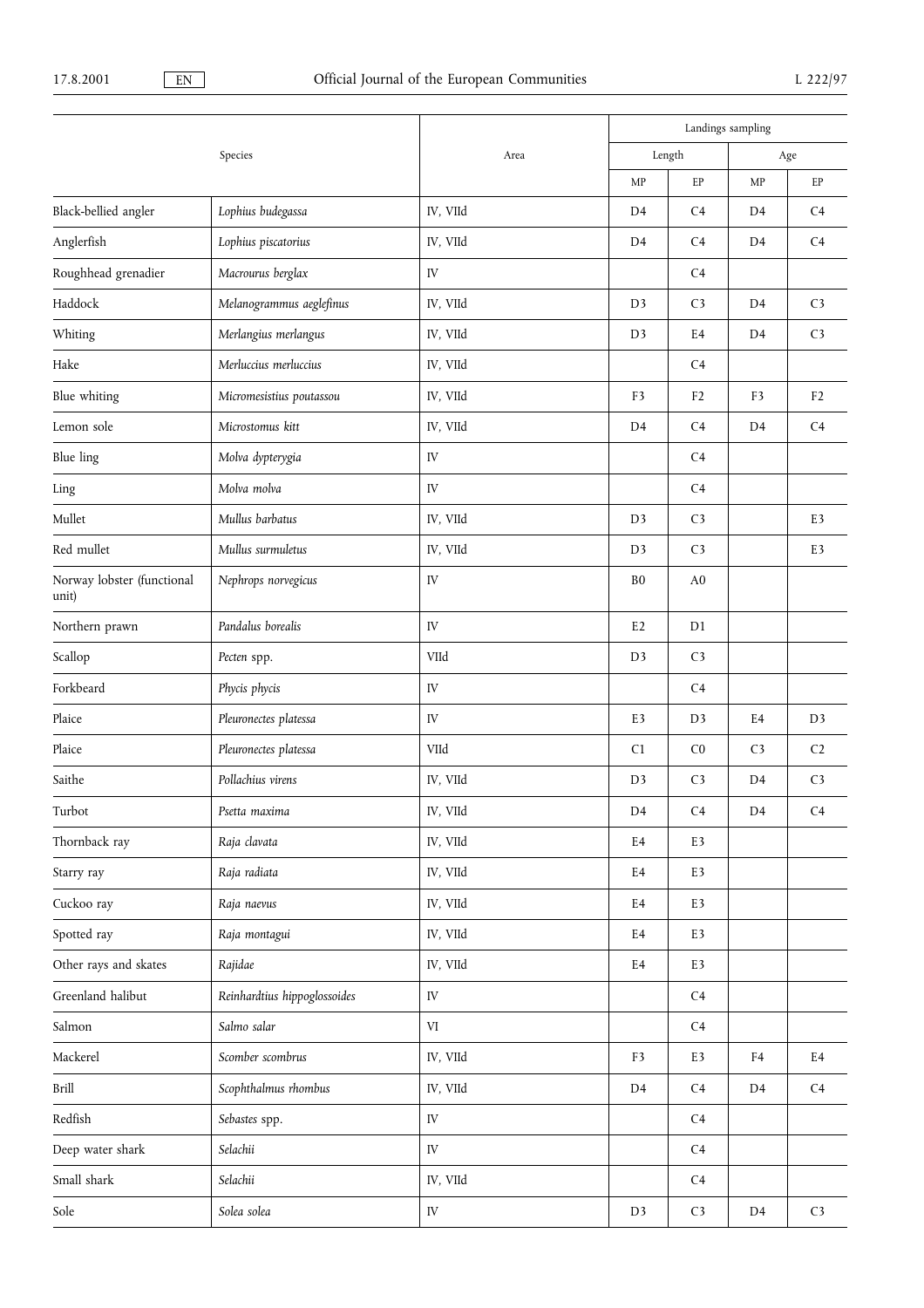|                                     |                              |            | Landings sampling |                |                |                |
|-------------------------------------|------------------------------|------------|-------------------|----------------|----------------|----------------|
|                                     | Species                      | Area       | Length            |                | Age            |                |
|                                     |                              |            | MP                | $\rm EP$       | MP             | EP             |
| Black-bellied angler                | Lophius budegassa            | IV, VIId   | D <sub>4</sub>    | C <sub>4</sub> | D <sub>4</sub> | C <sub>4</sub> |
| Anglerfish                          | Lophius piscatorius          | IV, VIId   | D <sub>4</sub>    | C4             | D <sub>4</sub> | C <sub>4</sub> |
| Roughhead grenadier                 | Macrourus berglax            | IV         |                   | C <sub>4</sub> |                |                |
| Haddock                             | Melanogrammus aeglefinus     | IV, VIId   | D <sub>3</sub>    | C <sub>3</sub> | D <sub>4</sub> | C <sub>3</sub> |
| Whiting                             | Merlangius merlangus         | IV, VIId   | D <sub>3</sub>    | E <sub>4</sub> | D <sub>4</sub> | C <sub>3</sub> |
| Hake                                | Merluccius merluccius        | IV, VIId   |                   | C <sub>4</sub> |                |                |
| Blue whiting                        | Micromesistius poutassou     | IV, VIId   | F3                | F <sub>2</sub> | F3             | F <sub>2</sub> |
| Lemon sole                          | Microstomus kitt             | IV, VIId   | D <sub>4</sub>    | C4             | D <sub>4</sub> | C <sub>4</sub> |
| Blue ling                           | Molva dypterygia             | IV         |                   | C <sub>4</sub> |                |                |
| Ling                                | Molva molva                  | IV         |                   | C <sub>4</sub> |                |                |
| Mullet                              | Mullus barbatus              | IV, VIId   | D <sub>3</sub>    | C <sub>3</sub> |                | E3             |
| Red mullet                          | Mullus surmuletus            | IV, VIId   | D <sub>3</sub>    | C <sub>3</sub> |                | E3             |
| Norway lobster (functional<br>unit) | Nephrops norvegicus          | IV         | B <sub>0</sub>    | A <sub>0</sub> |                |                |
| Northern prawn                      | Pandalus borealis            | IV         | E <sub>2</sub>    | D1             |                |                |
| Scallop                             | Pecten spp.                  | VIId       | D <sub>3</sub>    | C <sub>3</sub> |                |                |
| Forkbeard                           | Phycis phycis                | ${\rm IV}$ |                   | C <sub>4</sub> |                |                |
| Plaice                              | Pleuronectes platessa        | IV         | E3                | D3             | E4             | D <sub>3</sub> |
| Plaice                              | Pleuronectes platessa        | VIId       | C1                | C <sub>0</sub> | C <sub>3</sub> | C <sub>2</sub> |
| Saithe                              | Pollachius virens            | IV, VIId   | D <sub>3</sub>    | C <sub>3</sub> | D <sub>4</sub> | C <sub>3</sub> |
| Turbot                              | Psetta maxima                | IV, VIId   | $\mathbf{D4}$     | $\mathsf{C}4$  | D <sub>4</sub> | C <sub>4</sub> |
| Thornback ray                       | Raja clavata                 | IV, VIId   | E4                | E <sub>3</sub> |                |                |
| Starry ray                          | Raja radiata                 | IV, VIId   | E4                | E3             |                |                |
| Cuckoo ray                          | Raja naevus                  | IV, VIId   | $\rm E4$          | E3             |                |                |
| Spotted ray                         | Raja montagui                | IV, VIId   | E4                | E3             |                |                |
| Other rays and skates               | Rajidae                      | IV, VIId   | E4                | E3             |                |                |
| Greenland halibut                   | Reinhardtius hippoglossoides | ${\rm IV}$ |                   | C4             |                |                |
| Salmon                              | Salmo salar                  | VI         |                   | C4             |                |                |
| Mackerel                            | Scomber scombrus             | IV, VIId   | F3                | E3             | F4             | E4             |
| Brill                               | Scophthalmus rhombus         | IV, VIId   | D4                | C <sub>4</sub> | D4             | $\mathsf{C}4$  |
| Redfish                             | Sebastes spp.                | IV         |                   | C4             |                |                |
| Deep water shark                    | Selachii                     | IV         |                   | C <sub>4</sub> |                |                |
| Small shark                         | Selachii                     | IV, VIId   |                   | C4             |                |                |
| Sole                                | Solea solea                  | ${\rm IV}$ | D <sub>3</sub>    | $\mathsf{C}3$  | D <sub>4</sub> | $\mathsf{C}3$  |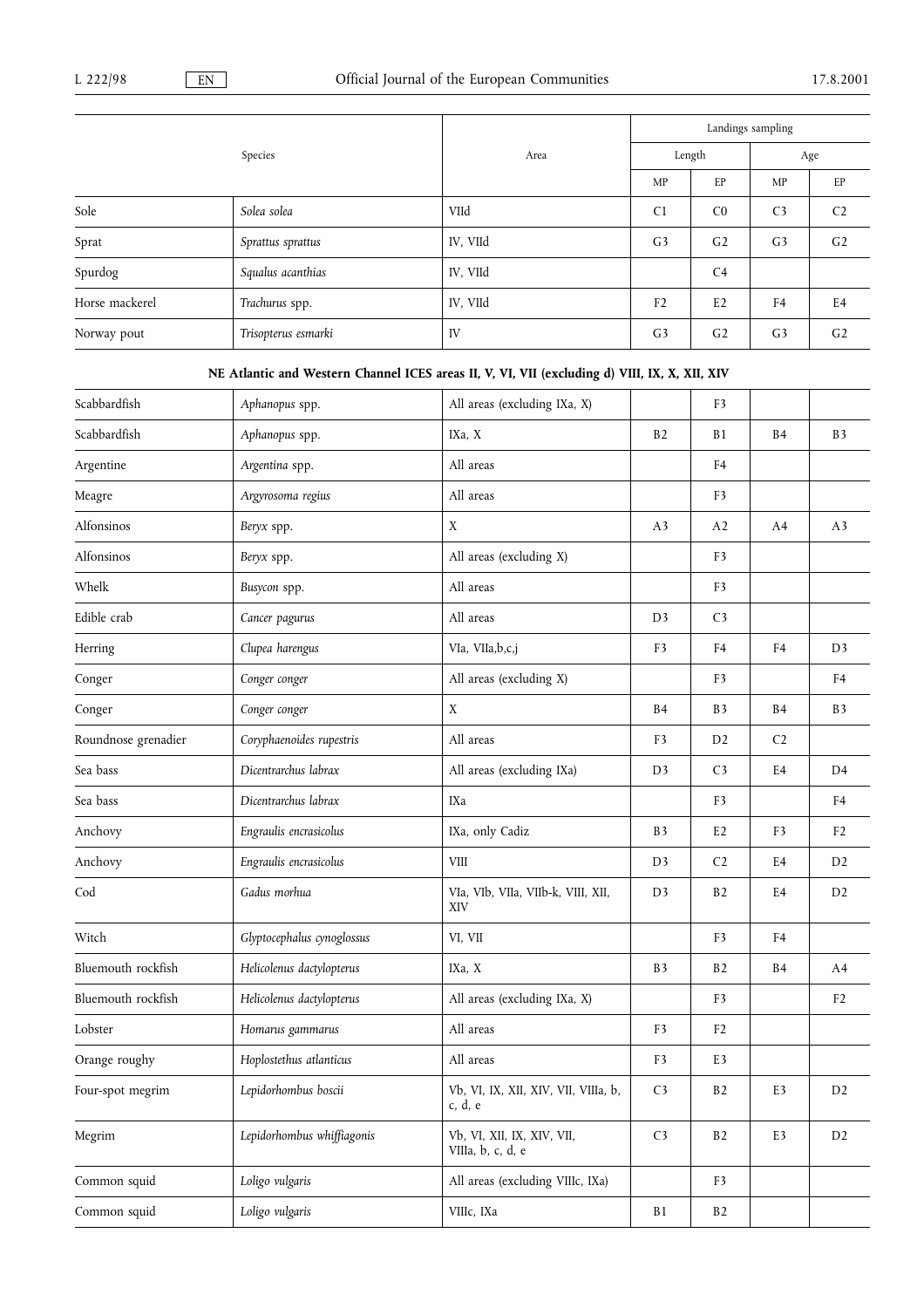|                |                     |          | Landings sampling |                |                |                |
|----------------|---------------------|----------|-------------------|----------------|----------------|----------------|
|                | Species             | Area     | Length            |                | Age            |                |
|                |                     |          | MP                | EP             | <b>MP</b>      | EP             |
| Sole           | Solea solea         | VIId     | C <sub>1</sub>    | C <sub>0</sub> | C <sub>3</sub> | C <sub>2</sub> |
| Sprat          | Sprattus sprattus   | IV, VIId | G <sub>3</sub>    | G <sub>2</sub> | G <sub>3</sub> | G <sub>2</sub> |
| Spurdog        | Squalus acanthias   | IV, VIId |                   | C <sub>4</sub> |                |                |
| Horse mackerel | Trachurus spp.      | IV, VIId | F <sub>2</sub>    | E2             | F <sub>4</sub> | E <sub>4</sub> |
| Norway pout    | Trisopterus esmarki | IV       | G <sub>3</sub>    | G <sub>2</sub> | G <sub>3</sub> | G <sub>2</sub> |

# NE Atlantic and Western Channel ICES areas II, V, VI, VII (excluding d) VIII, IX, X, XII, XIV

| Scabbardfish        | Aphanopus spp.             | All areas (excluding IXa, X)                    |                | F3             |                |                |
|---------------------|----------------------------|-------------------------------------------------|----------------|----------------|----------------|----------------|
| Scabbardfish        | Aphanopus spp.             | IXa, X                                          | B2             | B1             | B <sub>4</sub> | B <sub>3</sub> |
| Argentine           | Argentina spp.             | All areas                                       |                | F4             |                |                |
| Meagre              | Argyrosoma regius          | All areas                                       |                | F3             |                |                |
| Alfonsinos          | Beryx spp.                 | $\mathbf X$                                     | A <sub>3</sub> | A2             | A4             | A <sub>3</sub> |
| Alfonsinos          | Beryx spp.                 | All areas (excluding X)                         |                | F3             |                |                |
| Whelk               | Busycon spp.               | All areas                                       |                | F <sub>3</sub> |                |                |
| Edible crab         | Cancer pagurus             | All areas                                       | D <sub>3</sub> | C <sub>3</sub> |                |                |
| Herring             | Clupea harengus            | VIa, VIIa, b, c, j                              | F <sub>3</sub> | F <sub>4</sub> | F <sub>4</sub> | D <sub>3</sub> |
| Conger              | Conger conger              | All areas (excluding X)                         |                | F3             |                | F <sub>4</sub> |
| Conger              | Conger conger              | X                                               | B <sub>4</sub> | B <sub>3</sub> | B <sub>4</sub> | B <sub>3</sub> |
| Roundnose grenadier | Coryphaenoides rupestris   | All areas                                       | F3             | D <sub>2</sub> | C <sub>2</sub> |                |
| Sea bass            | Dicentrarchus labrax       | All areas (excluding IXa)                       | D <sub>3</sub> | C <sub>3</sub> | E <sub>4</sub> | D <sub>4</sub> |
| Sea bass            | Dicentrarchus labrax       | IXa                                             |                | F3             |                | F <sub>4</sub> |
| Anchovy             | Engraulis encrasicolus     | IXa, only Cadiz                                 | B3             | E <sub>2</sub> | F3             | F <sub>2</sub> |
| Anchovy             | Engraulis encrasicolus     | <b>VIII</b>                                     | D <sub>3</sub> | C <sub>2</sub> | E4             | D <sub>2</sub> |
| Cod                 | Gadus morhua               | VIa, VIb, VIIa, VIIb-k, VIII, XII,<br>XIV       | D <sub>3</sub> | B <sub>2</sub> | E4             | D2             |
| Witch               | Glyptocephalus cynoglossus | VI, VII                                         |                | F <sub>3</sub> | F <sub>4</sub> |                |
| Bluemouth rockfish  | Helicolenus dactylopterus  | IXa, X                                          | B <sub>3</sub> | B <sub>2</sub> | B4             | A4             |
| Bluemouth rockfish  | Helicolenus dactylopterus  | All areas (excluding IXa, X)                    |                | F3             |                | F <sub>2</sub> |
| Lobster             | Homarus gammarus           | All areas                                       | F <sub>3</sub> | F <sub>2</sub> |                |                |
| Orange roughy       | Hoplostethus atlanticus    | All areas                                       | F3             | E3             |                |                |
| Four-spot megrim    | Lepidorhombus boscii       | Vb, VI, IX, XII, XIV, VII, VIIIa, b,<br>c, d, e | C <sub>3</sub> | B <sub>2</sub> | E3             | D <sub>2</sub> |
| Megrim              | Lepidorhombus whiffiagonis | Vb, VI, XII, IX, XIV, VII,<br>VIIIa, b, c, d, e | C <sub>3</sub> | B2             | E3             | D2             |
| Common squid        | Loligo vulgaris            | All areas (excluding VIIIc, IXa)                |                | F3             |                |                |
| Common squid        | Loligo vulgaris            | VIIIc, IXa                                      | $\rm B1$       | B2             |                |                |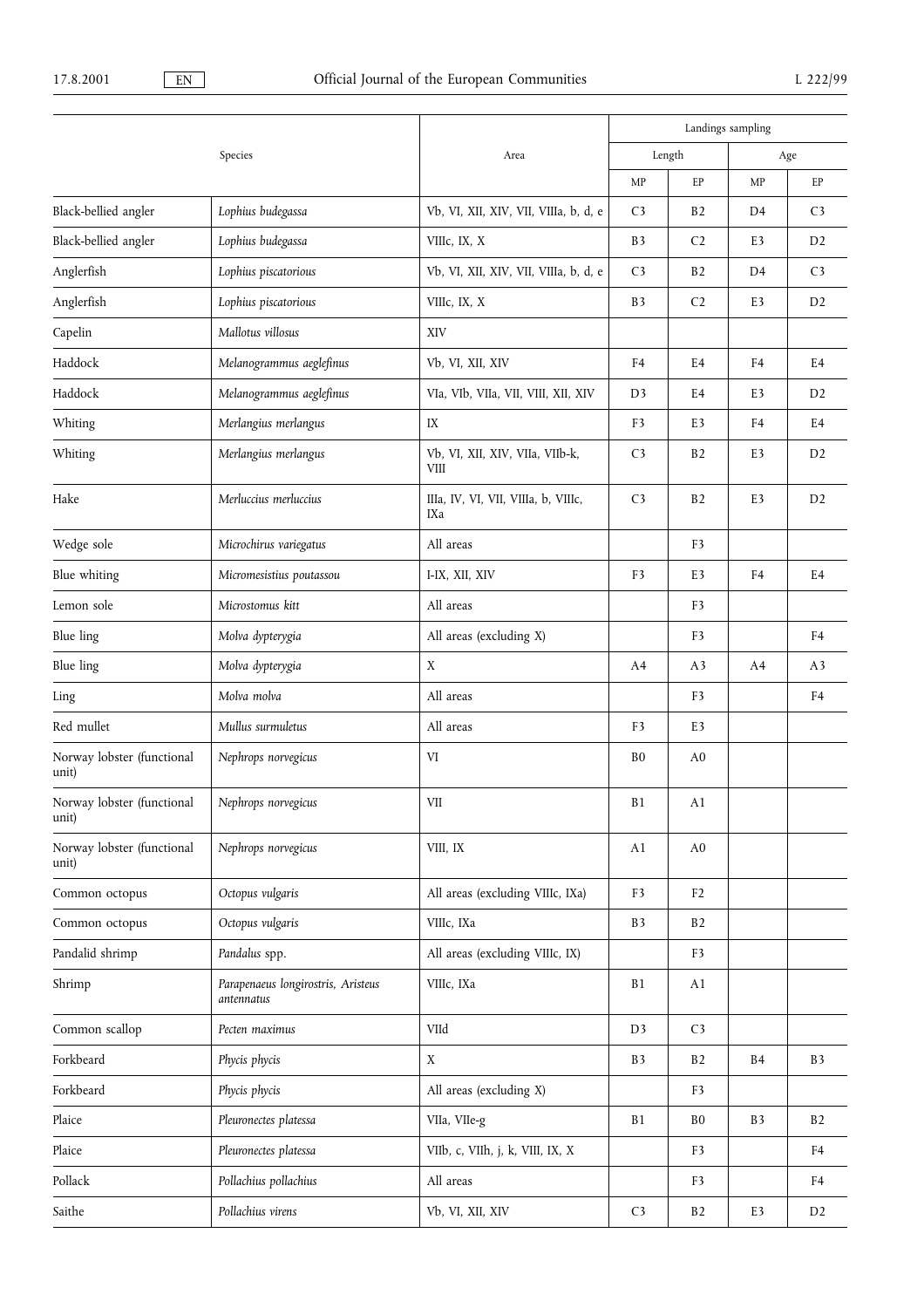|                                     |                                                  |                                                | Landings sampling |                |                |                   |  |
|-------------------------------------|--------------------------------------------------|------------------------------------------------|-------------------|----------------|----------------|-------------------|--|
|                                     | Species                                          | Area                                           | Length            |                |                | Age               |  |
|                                     |                                                  |                                                | MP                | EP             | MP             | EP                |  |
| Black-bellied angler                | Lophius budegassa                                | Vb, VI, XII, XIV, VII, VIIIa, b, d, e          | C <sub>3</sub>    | B2             | D4             | C <sub>3</sub>    |  |
| Black-bellied angler                | Lophius budegassa                                | VIIIc, IX, X                                   | B <sub>3</sub>    | C <sub>2</sub> | E3             | D2                |  |
| Anglerfish                          | Lophius piscatorious                             | Vb, VI, XII, XIV, VII, VIIIa, b, d, e          | C <sub>3</sub>    | B2             | D4             | C <sub>3</sub>    |  |
| Anglerfish                          | Lophius piscatorious                             | VIIIc, IX, X                                   | B <sub>3</sub>    | C <sub>2</sub> | E3             | D2                |  |
| Capelin                             | Mallotus villosus                                | XIV                                            |                   |                |                |                   |  |
| Haddock                             | Melanogrammus aeglefinus                         | Vb, VI, XII, XIV                               | F <sub>4</sub>    | E <sub>4</sub> | F <sub>4</sub> | E4                |  |
| Haddock                             | Melanogrammus aeglefinus                         | VIa, VIb, VIIa, VII, VIII, XII, XIV            | D <sub>3</sub>    | E4             | E3             | D <sub>2</sub>    |  |
| Whiting                             | Merlangius merlangus                             | IX                                             | F <sub>3</sub>    | E3             | F4             | E4                |  |
| Whiting                             | Merlangius merlangus                             | Vb, VI, XII, XIV, VIIa, VIIb-k,<br><b>VIII</b> | C <sub>3</sub>    | B2             | E3             | D <sub>2</sub>    |  |
| Hake                                | Merluccius merluccius                            | IIIa, IV, VI, VII, VIIIa, b, VIIIc,<br>IXa     | C <sub>3</sub>    | B2             | E3             | D2                |  |
| Wedge sole                          | Microchirus variegatus                           | All areas                                      |                   | F <sub>3</sub> |                |                   |  |
| Blue whiting                        | Micromesistius poutassou                         | I-IX, XII, XIV                                 | F3                | E3             | ${\rm F4}$     | E4                |  |
| Lemon sole                          | Microstomus kitt                                 | All areas                                      |                   | F <sub>3</sub> |                |                   |  |
| Blue ling                           | Molva dypterygia                                 | All areas (excluding X)                        |                   | F3             |                | F <sub>4</sub>    |  |
| Blue ling                           | Molva dypterygia                                 | X                                              | A <sub>4</sub>    | A <sub>3</sub> | A4             | A <sub>3</sub>    |  |
| Ling                                | Molva molva                                      | All areas                                      |                   | F <sub>3</sub> |                | F <sub>4</sub>    |  |
| Red mullet                          | Mullus surmuletus                                | All areas                                      | F <sub>3</sub>    | E3             |                |                   |  |
| Norway lobster (functional<br>unit) | Nephrops norvegicus                              | VI                                             | B <sub>0</sub>    | A <sub>0</sub> |                |                   |  |
| Norway lobster (functional<br>unit) | Nephrops norvegicus                              | VII                                            | <b>B1</b>         | A1             |                |                   |  |
| Norway lobster (functional<br>unit) | Nephrops norvegicus                              | VIII, IX                                       | A1                | A <sub>0</sub> |                |                   |  |
| Common octopus                      | Octopus vulgaris                                 | All areas (excluding VIIIc, IXa)               | F3                | F <sub>2</sub> |                |                   |  |
| Common octopus                      | Octopus vulgaris                                 | VIIIc, IXa                                     | B <sub>3</sub>    | B2             |                |                   |  |
| Pandalid shrimp                     | Pandalus spp.                                    | All areas (excluding VIIIc, IX)                |                   | F3             |                |                   |  |
| Shrimp                              | Parapenaeus longirostris, Aristeus<br>antennatus | VIIIc, IXa                                     | <b>B1</b>         | A1             |                |                   |  |
| Common scallop                      | Pecten maximus                                   | VIId                                           | D <sub>3</sub>    | C <sub>3</sub> |                |                   |  |
| Forkbeard                           | Phycis phycis                                    | $\mathbf X$                                    | B <sub>3</sub>    | B2             | B <sub>4</sub> | $\, {\bf B} \, 3$ |  |
| Forkbeard                           | Phycis phycis                                    | All areas (excluding X)                        |                   | F <sub>3</sub> |                |                   |  |
| Plaice                              | Pleuronectes platessa                            | VIIa, VIIe-g                                   | B1                | B <sub>0</sub> | B3             | B2                |  |
| Plaice                              | Pleuronectes platessa                            | VIIb, c, VIIh, j, k, VIII, IX, X               |                   | F3             |                | F4                |  |
| Pollack                             | Pollachius pollachius                            | All areas                                      |                   | F <sub>3</sub> |                | F <sub>4</sub>    |  |
| Saithe                              | Pollachius virens                                | Vb, VI, XII, XIV                               | C <sub>3</sub>    | B <sub>2</sub> | E3             | D <sub>2</sub>    |  |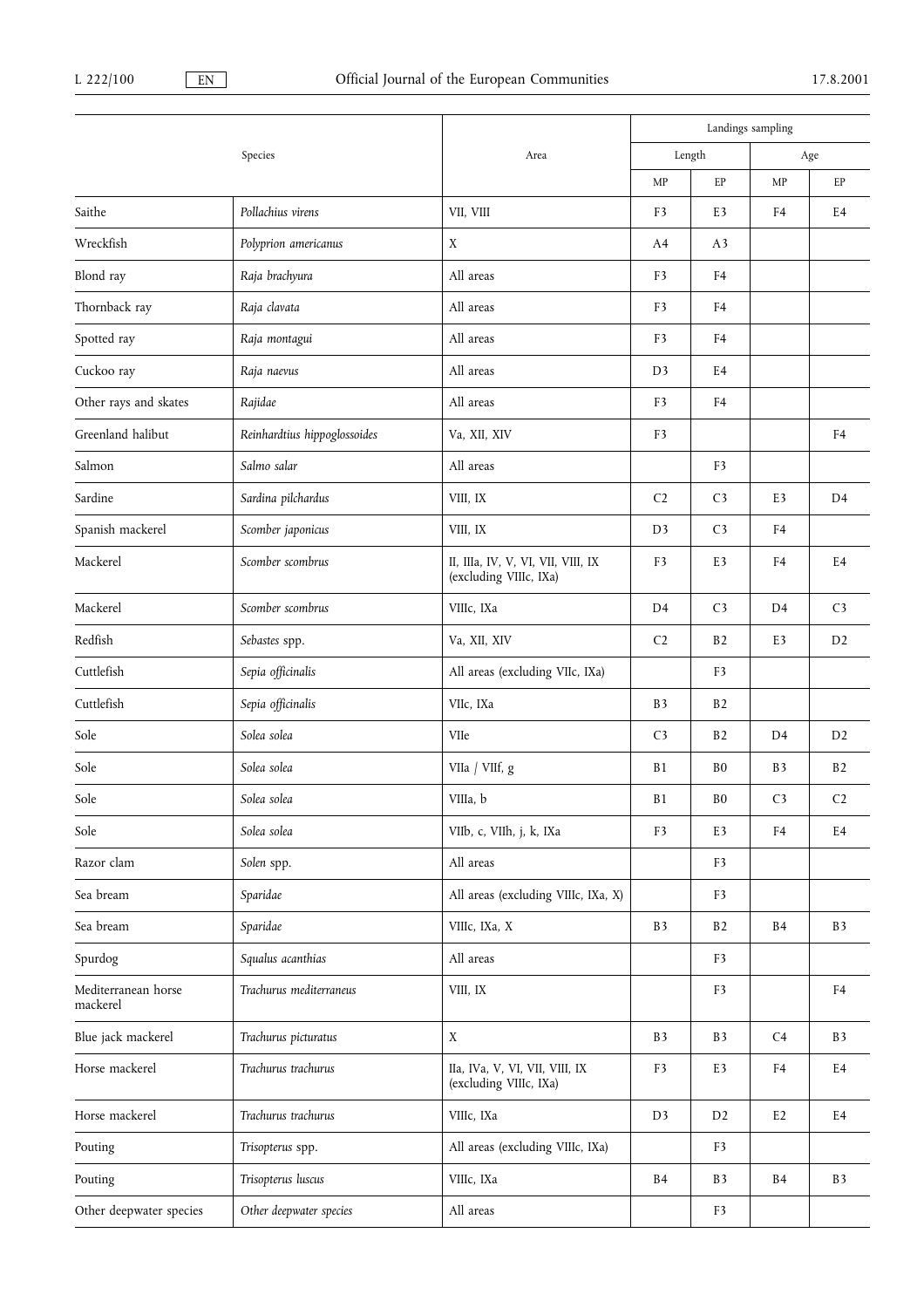|                                 |                              |                                                              | Landings sampling |                |                |                |
|---------------------------------|------------------------------|--------------------------------------------------------------|-------------------|----------------|----------------|----------------|
|                                 | Species                      | Area                                                         | Length            |                | Age            |                |
|                                 |                              |                                                              | MP                | EP             | MP             | EP             |
| Saithe                          | Pollachius virens            | VII, VIII                                                    | F <sub>3</sub>    | E3             | F4             | E4             |
| Wreckfish                       | Polyprion americanus         | X                                                            | A4                | A <sub>3</sub> |                |                |
| Blond ray                       | Raja brachyura               | All areas                                                    | F <sub>3</sub>    | F4             |                |                |
| Thornback ray                   | Raja clavata                 | All areas                                                    | F3                | F4             |                |                |
| Spotted ray                     | Raja montagui                | All areas                                                    | F3                | F4             |                |                |
| Cuckoo ray                      | Raja naevus                  | All areas                                                    | D <sub>3</sub>    | E4             |                |                |
| Other rays and skates           | Rajidae                      | All areas                                                    | F3                | F4             |                |                |
| Greenland halibut               | Reinhardtius hippoglossoides | Va, XII, XIV                                                 | F <sub>3</sub>    |                |                | F <sub>4</sub> |
| Salmon                          | Salmo salar                  | All areas                                                    |                   | F3             |                |                |
| Sardine                         | Sardina pilchardus           | VIII, IX                                                     | C <sub>2</sub>    | C <sub>3</sub> | E3             | D <sub>4</sub> |
| Spanish mackerel                | Scomber japonicus            | VIII, IX                                                     | D3                | C <sub>3</sub> | F <sub>4</sub> |                |
| Mackerel                        | Scomber scombrus             | II, IIIa, IV, V, VI, VII, VIII, IX<br>(excluding VIIIc, IXa) | F3                | E3             | F4             | E <sub>4</sub> |
| Mackerel                        | Scomber scombrus             | VIIIc, IXa                                                   | D4                | C <sub>3</sub> | D <sub>4</sub> | C <sub>3</sub> |
| Redfish                         | Sebastes spp.                | Va, XII, XIV                                                 | C <sub>2</sub>    | B <sub>2</sub> | E3             | D <sub>2</sub> |
| Cuttlefish                      | Sepia officinalis            | All areas (excluding VIIc, IXa)                              |                   | F3             |                |                |
| Cuttlefish                      | Sepia officinalis            | VIIc, IXa                                                    | B <sub>3</sub>    | B <sub>2</sub> |                |                |
| Sole                            | Solea solea                  | VIIe                                                         | C <sub>3</sub>    | B <sub>2</sub> | D4             | D2             |
| Sole                            | Solea solea                  | VIIa / VIIf, g                                               | <b>B1</b>         | B <sub>0</sub> | B <sub>3</sub> | B <sub>2</sub> |
| Sole                            | Solea solea                  | VIIIa, b                                                     | <b>B1</b>         | B <sub>0</sub> | C <sub>3</sub> | C <sub>2</sub> |
| Sole                            | Solea solea                  | VIIb, c, VIIh, j, k, IXa                                     | F <sub>3</sub>    | E3             | F4             | E4             |
| Razor clam                      | Solen spp.                   | All areas                                                    |                   | F3             |                |                |
| Sea bream                       | Sparidae                     | All areas (excluding VIIIc, IXa, X)                          |                   | F3             |                |                |
| Sea bream                       | Sparidae                     | VIIIc, IXa, X                                                | B <sub>3</sub>    | B <sub>2</sub> | B <sub>4</sub> | <b>B3</b>      |
| Spurdog                         | Squalus acanthias            | All areas                                                    |                   | F3             |                |                |
| Mediterranean horse<br>mackerel | Trachurus mediterraneus      | VIII, IX                                                     |                   | F <sub>3</sub> |                | F4             |
| Blue jack mackerel              | Trachurus picturatus         | X                                                            | B <sub>3</sub>    | B <sub>3</sub> | C4             | <b>B3</b>      |
| Horse mackerel                  | Trachurus trachurus          | IIa, IVa, V, VI, VII, VIII, IX<br>(excluding VIIIc, IXa)     | F <sub>3</sub>    | E3             | F4             | E4             |
| Horse mackerel                  | Trachurus trachurus          | VIIIc, IXa                                                   | D <sub>3</sub>    | D <sub>2</sub> | E <sub>2</sub> | E4             |
| Pouting                         | Trisopterus spp.             | All areas (excluding VIIIc, IXa)                             |                   | F3             |                |                |
| Pouting                         | Trisopterus luscus           | VIIIc, IXa                                                   | <b>B4</b>         | <b>B3</b>      | B <sub>4</sub> | B <sub>3</sub> |
| Other deepwater species         | Other deepwater species      | All areas                                                    |                   | F3             |                |                |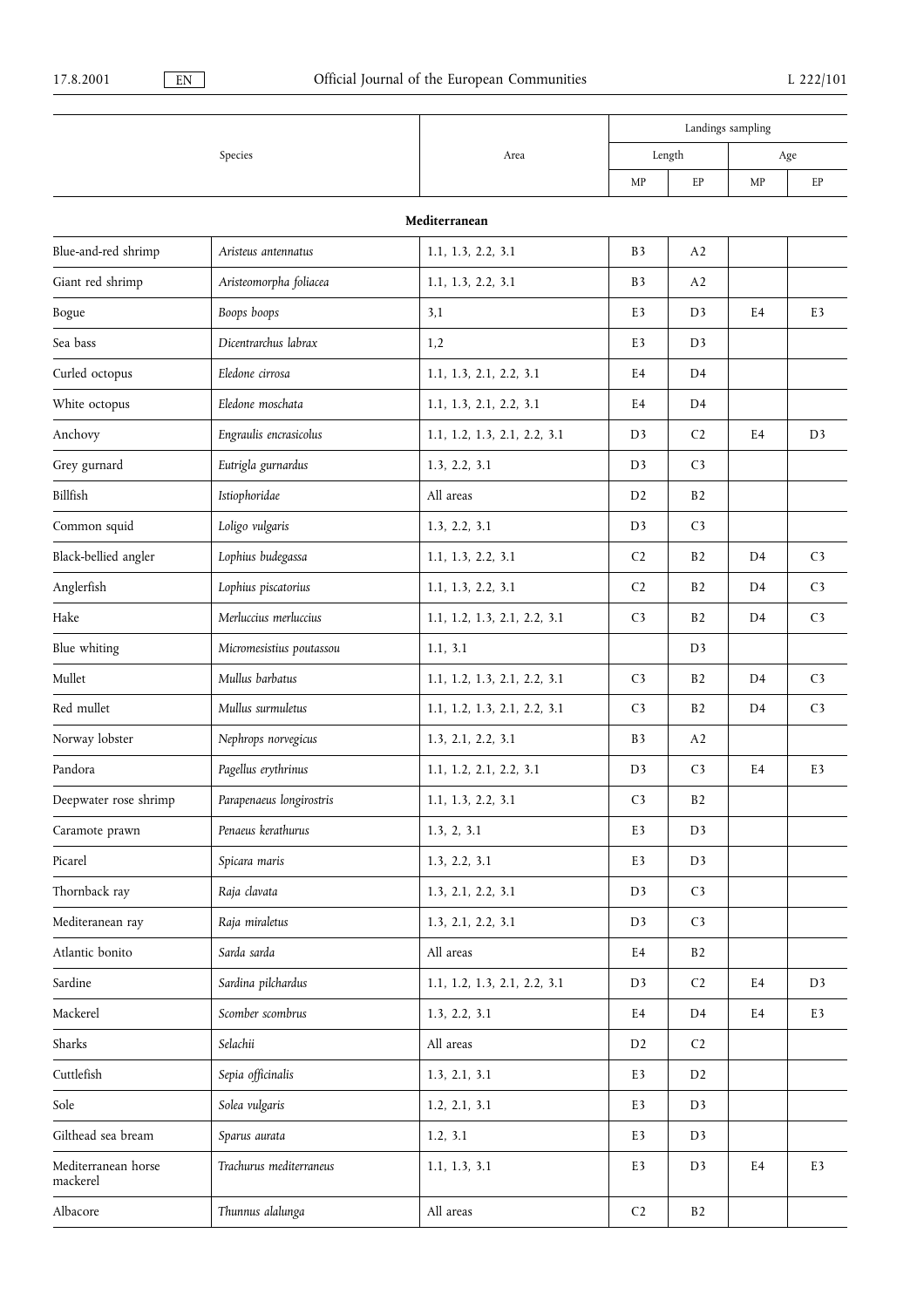|                                 |                          | Area                         | Landings sampling |                |                |                |  |  |  |
|---------------------------------|--------------------------|------------------------------|-------------------|----------------|----------------|----------------|--|--|--|
|                                 | Species                  |                              | Length            |                |                | Age            |  |  |  |
|                                 |                          |                              | MP                | EP             | MP             | EP             |  |  |  |
| Mediterranean                   |                          |                              |                   |                |                |                |  |  |  |
| Blue-and-red shrimp             | Aristeus antennatus      | 1.1, 1.3, 2.2, 3.1           | B <sub>3</sub>    | A2             |                |                |  |  |  |
| Giant red shrimp                | Aristeomorpha foliacea   | 1.1, 1.3, 2.2, 3.1           | B <sub>3</sub>    | A2             |                |                |  |  |  |
| Bogue                           | Boops boops              | 3,1                          | E3                | D <sub>3</sub> | E4             | E3             |  |  |  |
| Sea bass                        | Dicentrarchus labrax     | 1,2                          | E3                | D <sub>3</sub> |                |                |  |  |  |
| Curled octopus                  | Eledone cirrosa          | 1.1, 1.3, 2.1, 2.2, 3.1      | E4                | D <sub>4</sub> |                |                |  |  |  |
| White octopus                   | Eledone moschata         | 1.1, 1.3, 2.1, 2.2, 3.1      | E4                | D <sub>4</sub> |                |                |  |  |  |
| Anchovy                         | Engraulis encrasicolus   | 1.1, 1.2, 1.3, 2.1, 2.2, 3.1 | D3                | C <sub>2</sub> | E4             | D <sub>3</sub> |  |  |  |
| Grey gurnard                    | Eutrigla gurnardus       | 1.3, 2.2, 3.1                | D <sub>3</sub>    | C <sub>3</sub> |                |                |  |  |  |
| Billfish                        | Istiophoridae            | All areas                    | D <sub>2</sub>    | B2             |                |                |  |  |  |
| Common squid                    | Loligo vulgaris          | 1.3, 2.2, 3.1                | D <sub>3</sub>    | C <sub>3</sub> |                |                |  |  |  |
| Black-bellied angler            | Lophius budegassa        | 1.1, 1.3, 2.2, 3.1           | C <sub>2</sub>    | B <sub>2</sub> | D <sub>4</sub> | C <sub>3</sub> |  |  |  |
| Anglerfish                      | Lophius piscatorius      | 1.1, 1.3, 2.2, 3.1           | C <sub>2</sub>    | B <sub>2</sub> | D <sub>4</sub> | C <sub>3</sub> |  |  |  |
| Hake                            | Merluccius merluccius    | 1.1, 1.2, 1.3, 2.1, 2.2, 3.1 | C <sub>3</sub>    | B <sub>2</sub> | D <sub>4</sub> | C <sub>3</sub> |  |  |  |
| Blue whiting                    | Micromesistius poutassou | 1.1, 3.1                     |                   | D <sub>3</sub> |                |                |  |  |  |
| Mullet                          | Mullus barbatus          | 1.1, 1.2, 1.3, 2.1, 2.2, 3.1 | C <sub>3</sub>    | B <sub>2</sub> | D <sub>4</sub> | C <sub>3</sub> |  |  |  |
| Red mullet                      | Mullus surmuletus        | 1.1, 1.2, 1.3, 2.1, 2.2, 3.1 | C <sub>3</sub>    | B2             | D <sub>4</sub> | C <sub>3</sub> |  |  |  |
| Norway lobster                  | Nephrops norvegicus      | 1.3, 2.1, 2.2, 3.1           | B <sub>3</sub>    | A2             |                |                |  |  |  |
| Pandora                         | Pagellus erythrinus      | 1.1, 1.2, 2.1, 2.2, 3.1      | D <sub>3</sub>    | C <sub>3</sub> | E4             | E3             |  |  |  |
| Deepwater rose shrimp           | Parapenaeus longirostris | 1.1, 1.3, 2.2, 3.1           | C <sub>3</sub>    | B2             |                |                |  |  |  |
| Caramote prawn                  | Penaeus kerathurus       | 1.3, 2, 3.1                  | E3                | D <sub>3</sub> |                |                |  |  |  |
| Picarel                         | Spicara maris            | 1.3, 2.2, 3.1                | E3                | D <sub>3</sub> |                |                |  |  |  |
| Thornback ray                   | Raja clavata             | 1.3, 2.1, 2.2, 3.1           | D <sub>3</sub>    | C <sub>3</sub> |                |                |  |  |  |
| Mediteranean ray                | Raja miraletus           | 1.3, 2.1, 2.2, 3.1           | D <sub>3</sub>    | C <sub>3</sub> |                |                |  |  |  |
| Atlantic bonito                 | Sarda sarda              | All areas                    | E4                | B2             |                |                |  |  |  |
| Sardine                         | Sardina pilchardus       | 1.1, 1.2, 1.3, 2.1, 2.2, 3.1 | D <sub>3</sub>    | C <sub>2</sub> | E4             | D <sub>3</sub> |  |  |  |
| Mackerel                        | Scomber scombrus         | 1.3, 2.2, 3.1                | E4                | D <sub>4</sub> | E4             | E3             |  |  |  |
| Sharks                          | Selachii                 | All areas                    | D <sub>2</sub>    | C <sub>2</sub> |                |                |  |  |  |
| Cuttlefish                      | Sepia officinalis        | 1.3, 2.1, 3.1                | E3                | D <sub>2</sub> |                |                |  |  |  |
| Sole                            | Solea vulgaris           | 1.2, 2.1, 3.1                | E3                | D <sub>3</sub> |                |                |  |  |  |
| Gilthead sea bream              | Sparus aurata            | 1.2, 3.1                     | E3                | D <sub>3</sub> |                |                |  |  |  |
| Mediterranean horse<br>mackerel | Trachurus mediterraneus  | 1.1, 1.3, 3.1                | E3                | D <sub>3</sub> | E4             | E3             |  |  |  |
| Albacore                        | Thunnus alalunga         | All areas                    | C <sub>2</sub>    | B2             |                |                |  |  |  |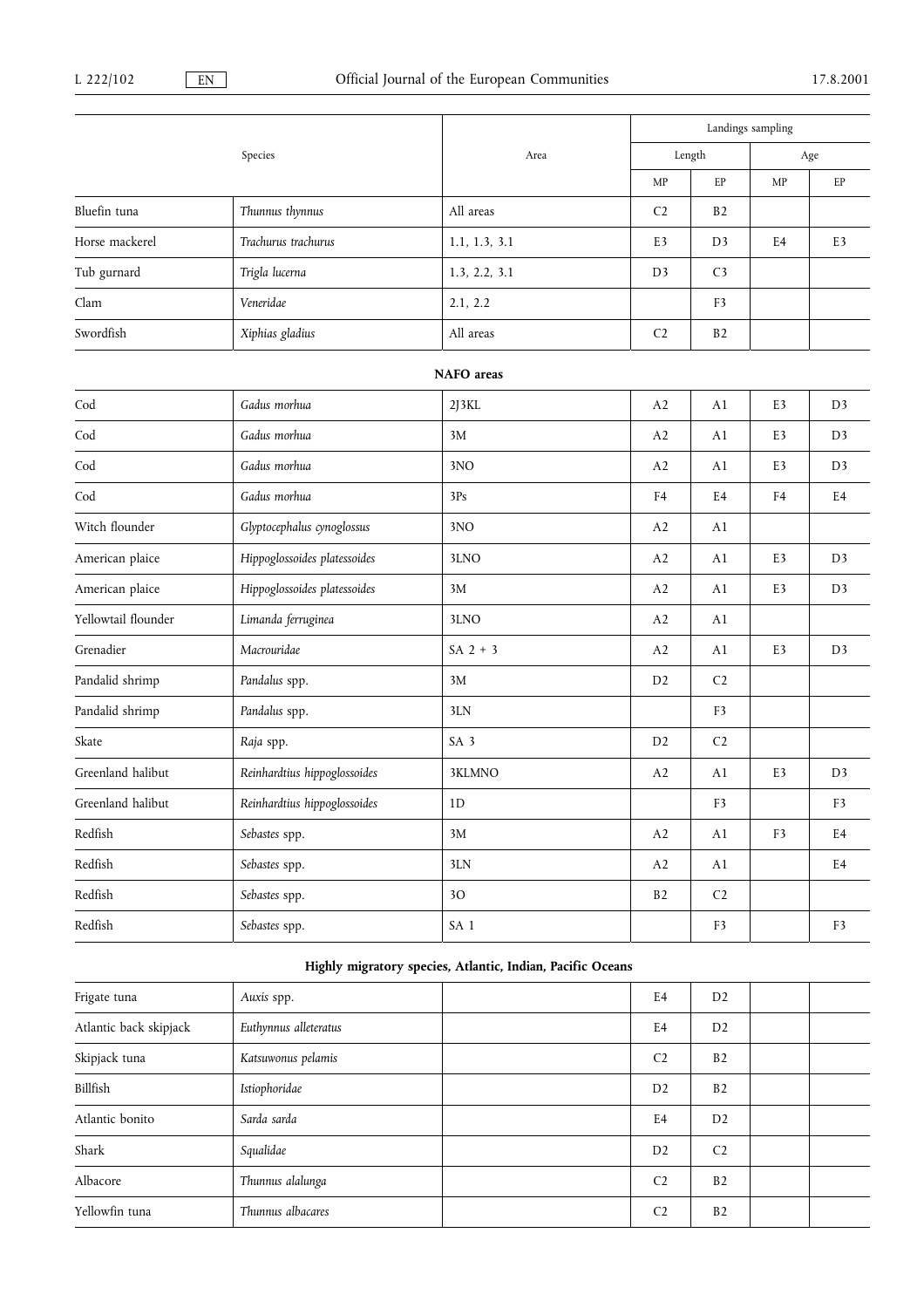|                          |                              |                 |                | Landings sampling |                |                |  |
|--------------------------|------------------------------|-----------------|----------------|-------------------|----------------|----------------|--|
|                          | Species                      | Area            |                | ${\rm Length}$    | Age            |                |  |
|                          |                              |                 | MP             | EP                | MP             | EP             |  |
| Bluefin tuna             | Thunnus thynnus              | All areas       | C <sub>2</sub> | B <sub>2</sub>    |                |                |  |
| Horse mackerel           | Trachurus trachurus          | 1.1, 1.3, 3.1   | E3             | D <sub>3</sub>    | E4             | E3             |  |
| Tub gurnard              | Trigla lucerna               | 1.3, 2.2, 3.1   | D <sub>3</sub> | C <sub>3</sub>    |                |                |  |
| Clam                     | Veneridae                    | 2.1, 2.2        |                | F <sub>3</sub>    |                |                |  |
| Swordfish                | Xiphias gladius              | All areas       | C <sub>2</sub> | B2                |                |                |  |
|                          |                              | NAFO areas      |                |                   |                |                |  |
| $\operatorname{Cod}$     | Gadus morhua                 | 2J3KL           | A2             | A1                | E3             | D <sub>3</sub> |  |
| Cod                      | Gadus morhua                 | 3M              | A2             | A1                | E3             | D <sub>3</sub> |  |
| Cod                      | Gadus morhua                 | 3NO             | A2             | A1                | E3             | D <sub>3</sub> |  |
| $\operatorname{Cod}$     | Gadus morhua                 | 3Ps             | F4             | E <sub>4</sub>    | F <sub>4</sub> | E <sub>4</sub> |  |
| Witch flounder           | Glyptocephalus cynoglossus   | 3NO             | A2             | A1                |                |                |  |
| American plaice          | Hippoglossoides platessoides | 3LNO            | A2             | A1                | E3             | D <sub>3</sub> |  |
| American plaice          | Hippoglossoides platessoides | 3M              | A2             | A1                | E3             | D <sub>3</sub> |  |
| Yellowtail flounder      | Limanda ferruginea           | 3LNO            | A2             | A1                |                |                |  |
| Grenadier                | Macrouridae                  | $SA$ 2 + 3      | A2             | A1                | E3             | D <sub>3</sub> |  |
| Pandalid shrimp          | Pandalus spp.                | 3M              | D <sub>2</sub> | C <sub>2</sub>    |                |                |  |
| Pandalid shrimp          | Pandalus spp.                | 3LN             |                | F <sub>3</sub>    |                |                |  |
| Skate                    | Raja spp.                    | SA <sub>3</sub> | D <sub>2</sub> | C <sub>2</sub>    |                |                |  |
| Greenland halibut        | Reinhardtius hippoglossoides | 3KLMNO          | A2             | A1                | E3             | D <sub>3</sub> |  |
| Greenland halibut        | Reinhardtius hippoglossoides | 1D              |                | F <sub>3</sub>    |                | F <sub>3</sub> |  |
| $\operatorname{Redfish}$ | Sebastes spp.                | 3M              | A2             | A1                | F3             | E4             |  |
| Redfish                  | Sebastes spp.                | 3LN             | A2             | A1                |                | E4             |  |
| Redfish                  | Sebastes spp.                | 30 <sup>°</sup> | B2             | $\mathsf{C2}$     |                |                |  |
| $\operatorname{Redfish}$ | Sebastes spp.                | SA <sub>1</sub> |                | F3                |                | F3             |  |

## Highly migratory species, Atlantic, Indian, Pacific Oceans

| Frigate tuna           | Auxis spp.            | E4             | D <sub>2</sub> |  |
|------------------------|-----------------------|----------------|----------------|--|
| Atlantic back skipjack | Euthynnus alleteratus | E <sub>4</sub> | D <sub>2</sub> |  |
| Skipjack tuna          | Katsuwonus pelamis    | C <sub>2</sub> | B <sub>2</sub> |  |
| Billfish               | Istiophoridae         | D <sub>2</sub> | B <sub>2</sub> |  |
| Atlantic bonito        | Sarda sarda           | E <sub>4</sub> | D <sub>2</sub> |  |
| Shark                  | Squalidae             | D <sub>2</sub> | C <sub>2</sub> |  |
| Albacore               | Thunnus alalunga      | C <sub>2</sub> | B <sub>2</sub> |  |
| Yellowfin tuna         | Thunnus albacares     | C <sub>2</sub> | B <sub>2</sub> |  |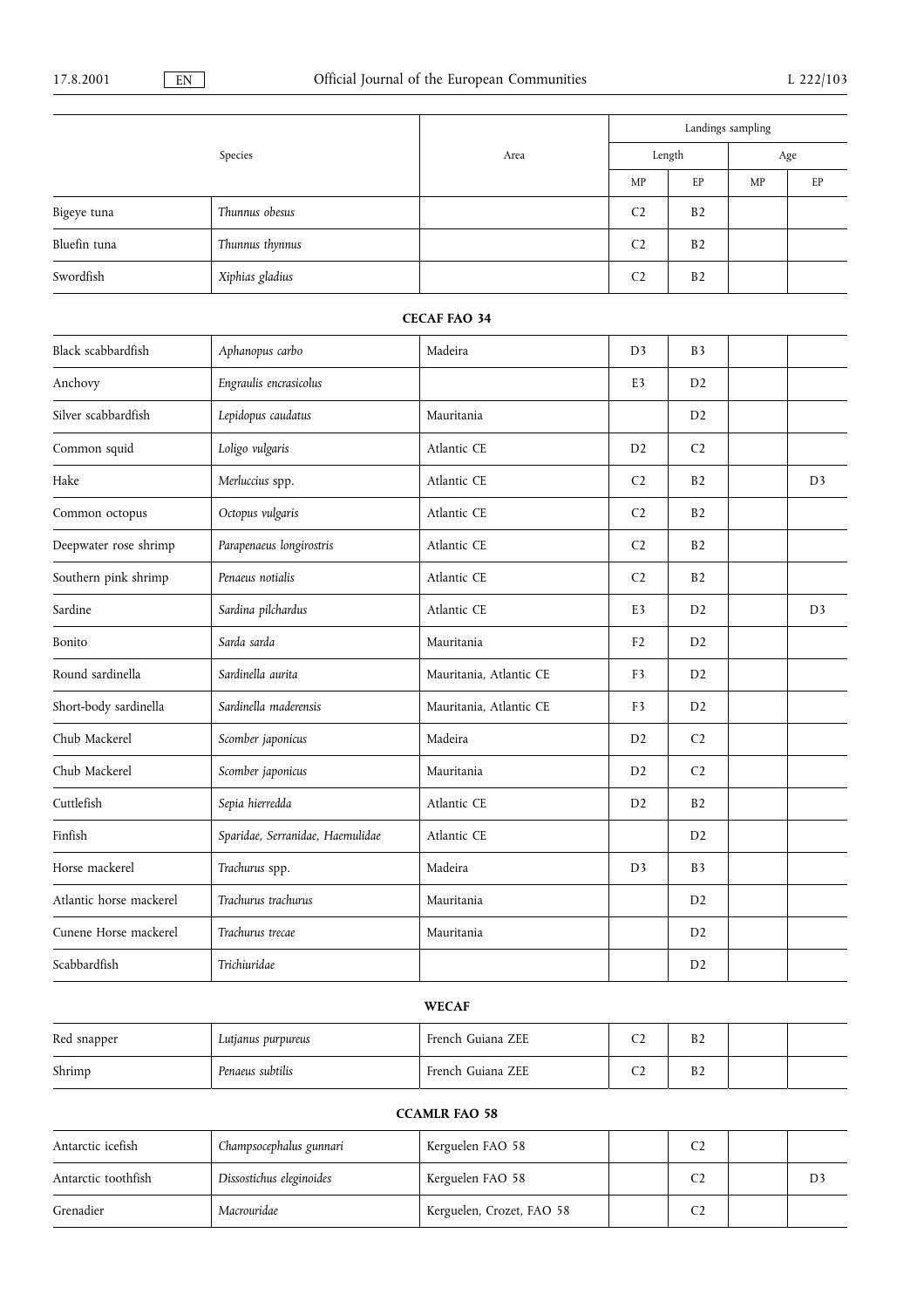|                       |                                  |                         |                |                | Landings sampling |                |
|-----------------------|----------------------------------|-------------------------|----------------|----------------|-------------------|----------------|
|                       | Species                          | Area                    |                | Length         |                   | Age            |
|                       |                                  |                         | MP             | $\rm EP$       | MP                | EP             |
| Bigeye tuna           | Thunnus obesus                   |                         | C <sub>2</sub> | B <sub>2</sub> |                   |                |
| Bluefin tuna          | Thunnus thynnus                  |                         | C <sub>2</sub> | B2             |                   |                |
| Swordfish             | Xiphias gladius                  |                         | C <sub>2</sub> | B <sub>2</sub> |                   |                |
|                       |                                  | <b>CECAF FAO 34</b>     |                |                |                   |                |
| Black scabbardfish    | Aphanopus carbo                  | Madeira                 | D <sub>3</sub> | B <sub>3</sub> |                   |                |
| Anchovy               | Engraulis encrasicolus           |                         | E <sub>3</sub> | D2             |                   |                |
| Silver scabbardfish   | Lepidopus caudatus               | Mauritania              |                | D <sub>2</sub> |                   |                |
| Common squid          | Loligo vulgaris                  | Atlantic CE             | D2             | C <sub>2</sub> |                   |                |
| Hake                  | Merluccius spp.                  | Atlantic CE             | C <sub>2</sub> | B2             |                   | D <sub>3</sub> |
| Common octopus        | Octopus vulgaris                 | Atlantic CE             | C <sub>2</sub> | B <sub>2</sub> |                   |                |
| Deepwater rose shrimp | Parapenaeus longirostris         | Atlantic CE             | C <sub>2</sub> | B <sub>2</sub> |                   |                |
| Southern pink shrimp  | Penaeus notialis                 | Atlantic CE             | C <sub>2</sub> | B <sub>2</sub> |                   |                |
| Sardine               | Sardina pilchardus               | Atlantic CE             | E <sub>3</sub> | D2             |                   | D <sub>3</sub> |
| Bonito                | Sarda sarda                      | Mauritania              | F <sub>2</sub> | D2             |                   |                |
| Round sardinella      | Sardinella aurita                | Mauritania, Atlantic CE | F3             | D <sub>2</sub> |                   |                |
| Short-body sardinella | Sardinella maderensis            | Mauritania, Atlantic CE | F <sub>3</sub> | D2             |                   |                |
| Chub Mackerel         | Scomber japonicus                | Madeira                 | D2             | C <sub>2</sub> |                   |                |
| Chub Mackerel         | Scomber japonicus                | Mauritania              | D2             | C <sub>2</sub> |                   |                |
| Cuttlefish            | Sepia hierredda                  | Atlantic CE             | D2             | B <sub>2</sub> |                   |                |
| Finfish               | Sparidae, Serranidae, Haemulidae | Atlantic CE             |                | D <sub>2</sub> |                   |                |

## WECAF

Horse mackerel Trachurus spp. Madeira Madeira D3 B3 Atlantic horse mackerel Trachurus trachurus Mauritania Mauritania D2

Cunene Horse mackerel Trachurus trecae Mauritania Mauritania de la D2

Scabbardfish Trichiuridae D2

| Red snapper | Lutjanus purpureus | French Guiana ZEE | $\sim$ | B <sub>2</sub> |  |
|-------------|--------------------|-------------------|--------|----------------|--|
| Shrimp      | Penaeus subtilis   | French Guiana ZEE | $\sim$ | B <sub>2</sub> |  |

## CCAMLR FAO 58

| Antarctic icefish   | Champsocephalus gunnari  | Kerguelen FAO 58          |                |    |
|---------------------|--------------------------|---------------------------|----------------|----|
| Antarctic toothfish | Dissostichus eleginoides | Kerguelen FAO 58          |                | D3 |
| Grenadier           | Macrouridae              | Kerguelen, Crozet, FAO 58 | C <sub>2</sub> |    |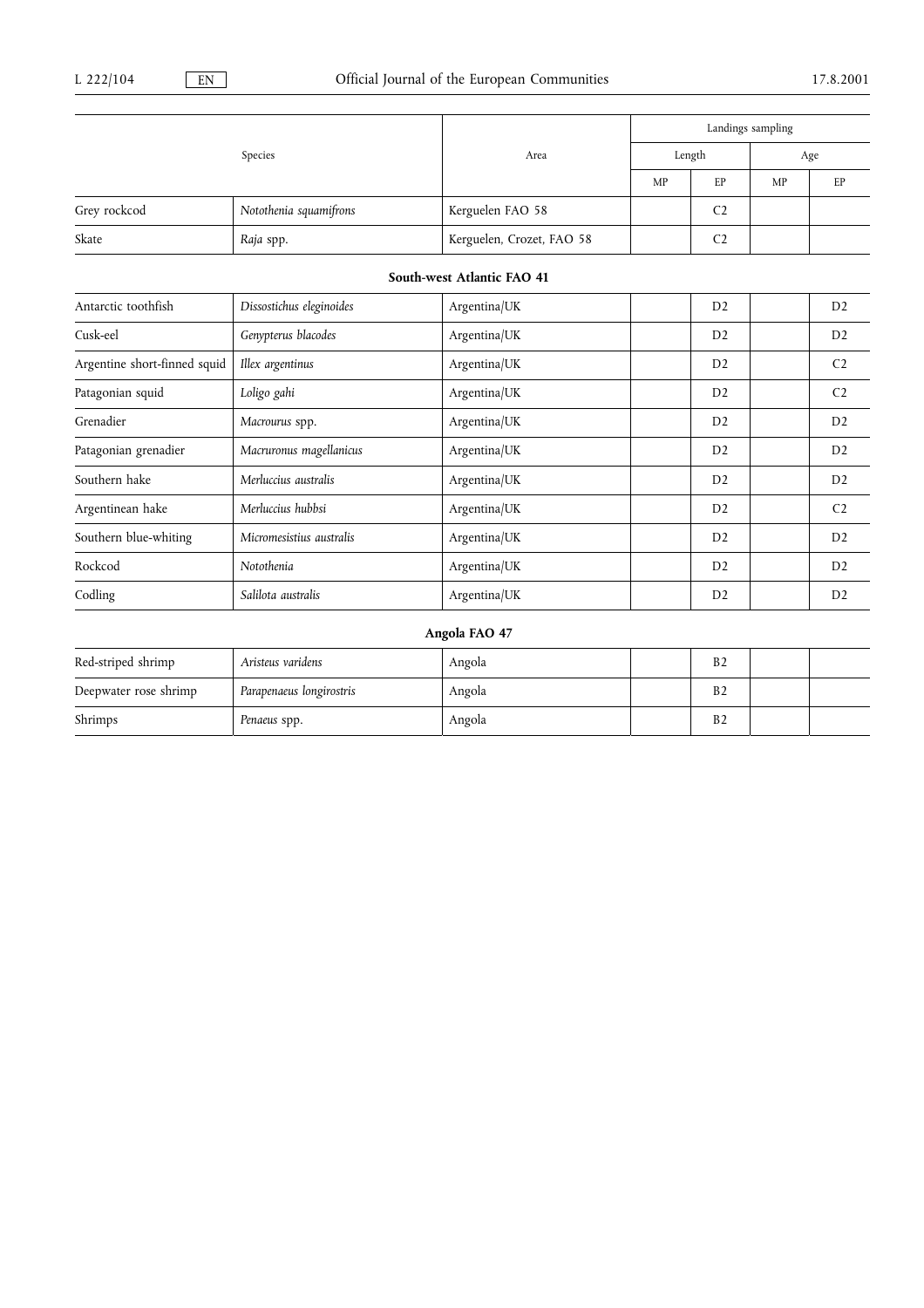|                              |                          |                            | Landings sampling |                |    |                |  |  |
|------------------------------|--------------------------|----------------------------|-------------------|----------------|----|----------------|--|--|
|                              | Species                  | Area                       |                   | Length         |    | Age            |  |  |
|                              |                          |                            | MP                | EP             | MP | EP             |  |  |
| Grey rockcod                 | Notothenia squamifrons   | Kerguelen FAO 58           |                   | C <sub>2</sub> |    |                |  |  |
| Skate                        | Raja spp.                | Kerguelen, Crozet, FAO 58  |                   | C <sub>2</sub> |    |                |  |  |
|                              |                          | South-west Atlantic FAO 41 |                   |                |    |                |  |  |
| Antarctic toothfish          | Dissostichus eleginoides | Argentina/UK               |                   | D <sub>2</sub> |    | D <sub>2</sub> |  |  |
| Cusk-eel                     | Genypterus blacodes      | Argentina/UK               |                   | D <sub>2</sub> |    | D <sub>2</sub> |  |  |
| Argentine short-finned squid | Illex argentinus         | Argentina/UK               |                   | D2             |    | C <sub>2</sub> |  |  |
| Patagonian squid             | Loligo gahi              | Argentina/UK               |                   | D2             |    | C <sub>2</sub> |  |  |
| Grenadier                    | Macrourus spp.           | Argentina/UK               |                   | D <sub>2</sub> |    | D <sub>2</sub> |  |  |
| Patagonian grenadier         | Macruronus magellanicus  | Argentina/UK               |                   | D <sub>2</sub> |    | D <sub>2</sub> |  |  |
| Southern hake                | Merluccius australis     | Argentina/UK               |                   | D <sub>2</sub> |    | D <sub>2</sub> |  |  |
| Argentinean hake             | Merluccius hubbsi        | Argentina/UK               |                   | D2             |    | C <sub>2</sub> |  |  |
| Southern blue-whiting        | Micromesistius australis | Argentina/UK               |                   | D2             |    | D <sub>2</sub> |  |  |
| Rockcod                      | Notothenia               | Argentina/UK               |                   | D2             |    | D <sub>2</sub> |  |  |
| Codling                      | Salilota australis       | Argentina/UK               |                   | D <sub>2</sub> |    | D2             |  |  |

## Angola FAO 47

| Red-striped shrimp    | Aristeus varidens        | Angola | B <sub>2</sub> |  |
|-----------------------|--------------------------|--------|----------------|--|
| Deepwater rose shrimp | Parapenaeus longirostris | Angola | B <sub>2</sub> |  |
| Shrimps               | Penaeus spp.             | Angola | B <sub>2</sub> |  |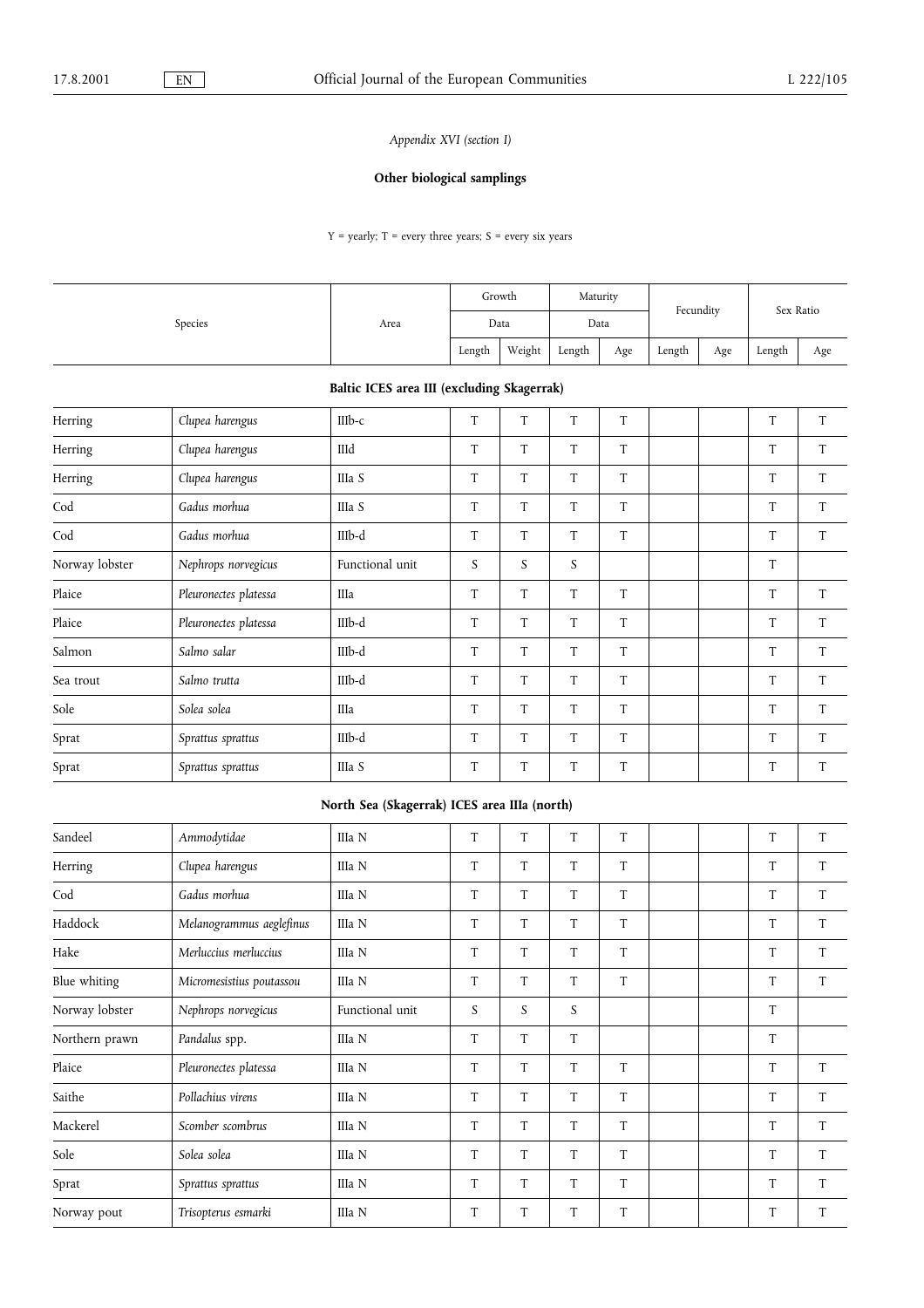## Appendix XVI (section I)

## Other biological samplings

 $Y = \text{yearly; } T = \text{every three years; } S = \text{every six years}$ 

| Species | Area | Growth |        | Maturity |     | Fecundity |     | Sex Ratio |     |
|---------|------|--------|--------|----------|-----|-----------|-----|-----------|-----|
|         |      | Data   |        | Data     |     |           |     |           |     |
|         |      | Length | Weight | Length   | Age | Length    | Age | Length    | Age |

## Baltic ICES area III (excluding Skagerrak)

| Herring        | Clupea harengus       | $IIIb-c$        | T | T | T | T |  | T | T |
|----------------|-----------------------|-----------------|---|---|---|---|--|---|---|
| Herring        | Clupea harengus       | IIId            | T | T | T | T |  | T | T |
| Herring        | Clupea harengus       | IIIa S          | T | T | T | T |  | T | T |
| Cod            | Gadus morhua          | IIIa S          | T | T | T | T |  | T | T |
| Cod            | Gadus morhua          | IIIb-d          | T | T | T | T |  | T | T |
| Norway lobster | Nephrops norvegicus   | Functional unit | S | S | S |   |  | T |   |
| Plaice         | Pleuronectes platessa | IIIa            | T | T | T | T |  | T | T |
| Plaice         | Pleuronectes platessa | IIIb-d          | T | T | T | T |  | T | T |
| Salmon         | Salmo salar           | IIIb-d          | T | T | T | T |  | T | T |
| Sea trout      | Salmo trutta          | IIIb-d          | T | T | T | T |  | T | T |
| Sole           | Solea solea           | IIIa            | T | T | T | T |  | T | T |
| Sprat          | Sprattus sprattus     | IIIb-d          | T | T | T | T |  | T | T |
| Sprat          | Sprattus sprattus     | IIIa S          | T | T | T | T |  | T | T |

## North Sea (Skagerrak) ICES area IIIa (north)

| Sandeel        | Ammodytidae              | IIIa N          | T | T | T | T |  | T | T |
|----------------|--------------------------|-----------------|---|---|---|---|--|---|---|
| Herring        | Clupea harengus          | IIIa N          | T | T | T | T |  | T | T |
| Cod            | Gadus morhua             | IIIa N          | T | T | T | T |  | T | T |
| Haddock        | Melanogrammus aeglefinus | IIIa N          | T | T | T | T |  | T | T |
| Hake           | Merluccius merluccius    | IIIa N          | T | T | T | T |  | T | T |
| Blue whiting   | Micromesistius poutassou | IIIa N          | T | T | T | T |  | T | T |
| Norway lobster | Nephrops norvegicus      | Functional unit | S | S | S |   |  | T |   |
| Northern prawn | Pandalus spp.            | IIIa N          | T | T | T |   |  | T |   |
| Plaice         | Pleuronectes platessa    | IIIa N          | T | T | T | T |  | T | T |
| Saithe         | Pollachius virens        | IIIa N          | T | T | T | T |  | T | T |
| Mackerel       | Scomber scombrus         | IIIa N          | T | T | T | T |  | T | T |
| Sole           | Solea solea              | IIIa N          | T | T | T | T |  | T | T |
| Sprat          | Sprattus sprattus        | IIIa N          | T | T | T | T |  | T | T |
| Norway pout    | Trisopterus esmarki      | IIIa N          | T | T | T | T |  | T | T |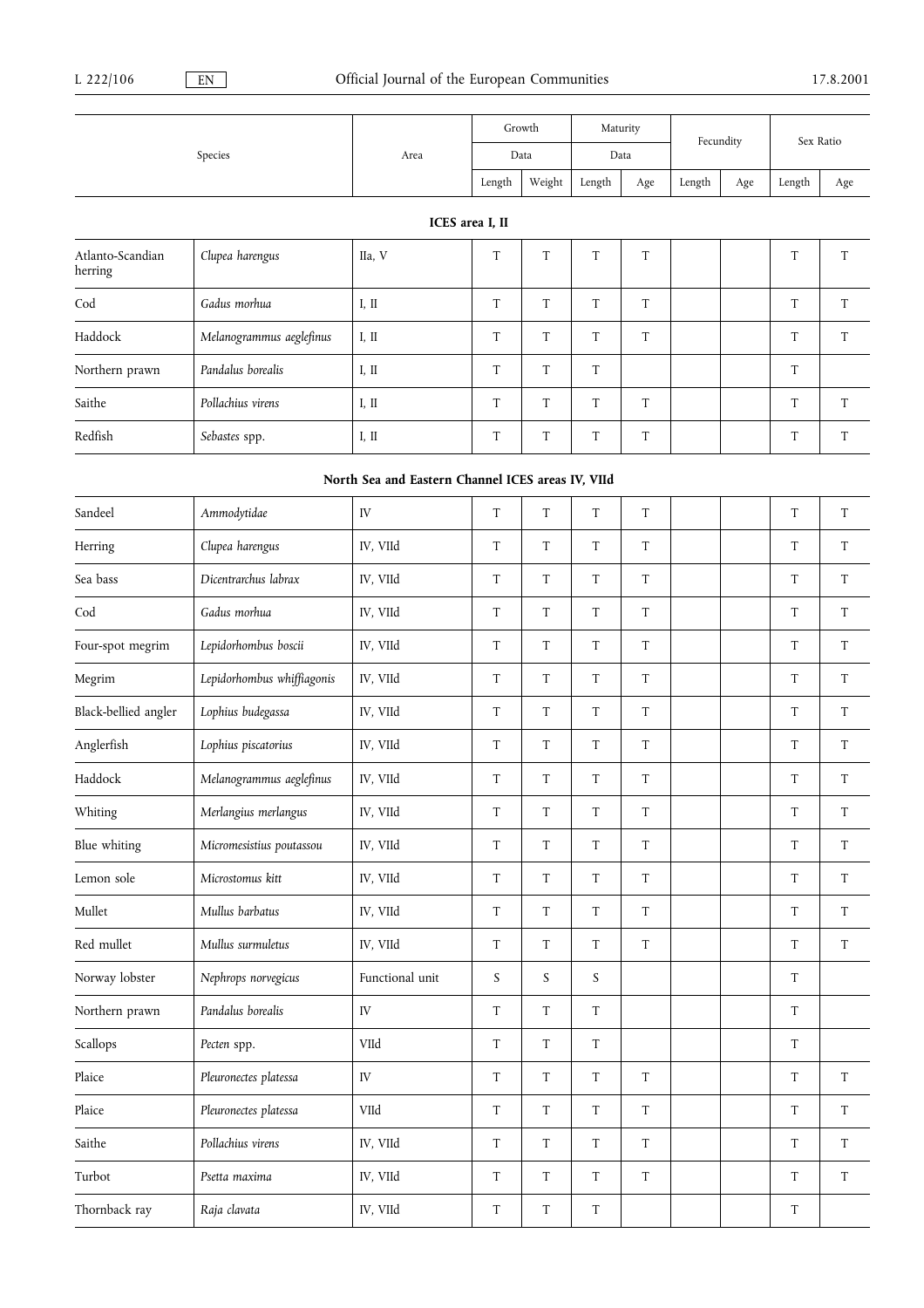|                             |                            |                                                   |                 | Growth                    | Maturity                  |                           | Fecundity |     |                           | Sex Ratio                 |
|-----------------------------|----------------------------|---------------------------------------------------|-----------------|---------------------------|---------------------------|---------------------------|-----------|-----|---------------------------|---------------------------|
|                             | Species                    | Area                                              |                 | Data                      |                           | Data                      |           |     |                           |                           |
|                             |                            |                                                   | ${\rm Length}$  | Weight                    | Length                    | Age                       | Length    | Age | Length                    | Age                       |
|                             |                            |                                                   | ICES area I, II |                           |                           |                           |           |     |                           |                           |
| Atlanto-Scandian<br>herring | Clupea harengus            | IIa, V                                            | T               | $\ensuremath{\mathrm{T}}$ | $\ensuremath{\mathrm{T}}$ | $\ensuremath{\mathrm{T}}$ |           |     | $\rm T$                   | T                         |
| Cod                         | Gadus morhua               | I, II                                             | $\mathbf T$     | T                         | ${\rm T}$                 | $\mathbf T$               |           |     | $\rm T$                   | T                         |
| Haddock                     | Melanogrammus aeglefinus   | I, II                                             | T               | $\ensuremath{\mathrm{T}}$ | ${\rm T}$                 | $\rm T$                   |           |     | $\rm T$                   | $\ensuremath{\mathrm{T}}$ |
| Northern prawn              | Pandalus borealis          | I, II                                             | T               | $\ensuremath{\mathrm{T}}$ | $\ensuremath{\mathrm{T}}$ |                           |           |     | $\rm T$                   |                           |
| Saithe                      | Pollachius virens          | I, II                                             | T               | T                         | T                         | T                         |           |     | T                         | T                         |
| Redfish                     | Sebastes spp.              | I, II                                             | T               | T                         | T                         | T                         |           |     | T                         | T                         |
|                             |                            | North Sea and Eastern Channel ICES areas IV, VIId |                 |                           |                           |                           |           |     |                           |                           |
| Sandeel                     | Ammodytidae                | IV                                                | T               | T                         | T                         | T                         |           |     | T                         | T                         |
| Herring                     | Clupea harengus            | IV, VIId                                          | $\rm T$         | $\ensuremath{\mathrm{T}}$ | ${\rm T}$                 | $\ensuremath{\mathrm{T}}$ |           |     | $\rm T$                   | T                         |
| Sea bass                    | Dicentrarchus labrax       | IV, VIId                                          | T               | $\ensuremath{\mathrm{T}}$ | ${\rm T}$                 | $\rm T$                   |           |     | $\rm T$                   | $\ensuremath{\mathrm{T}}$ |
| Cod                         | Gadus morhua               | IV, VIId                                          | T               | T                         | T                         | T                         |           |     | T                         | T                         |
| Four-spot megrim            | Lepidorhombus boscii       | IV, VIId                                          | T               | T                         | T                         | $\mathbf T$               |           |     | T                         | T                         |
| Megrim                      | Lepidorhombus whiffiagonis | IV, VIId                                          | T               | T                         | T                         | T                         |           |     | T                         | T                         |
| Black-bellied angler        | Lophius budegassa          | IV, VIId                                          | T               | $\ensuremath{\mathrm{T}}$ | ${\rm T}$                 | $\ensuremath{\mathrm{T}}$ |           |     | $\rm T$                   | $\ensuremath{\mathrm{T}}$ |
| Anglerfish                  | Lophius piscatorius        | IV, VIId                                          | T               | $\ensuremath{\mathrm{T}}$ | ${\rm T}$                 | T                         |           |     | T                         | T                         |
| Haddock                     | Melanogrammus aeglefinus   | IV, VIId                                          | T               | T                         | T                         | T                         |           |     | T                         | T                         |
| Whiting                     | Merlangius merlangus       | IV, VIId                                          | T               | T                         | T                         | T                         |           |     | $\ensuremath{\mathrm{T}}$ | T                         |
| Blue whiting                | Micromesistius poutassou   | IV, VIId                                          | $\rm T$         | $\mathbf T$               | $\rm T$                   | $\ensuremath{\mathrm{T}}$ |           |     | $\rm T$                   | $\ensuremath{\mathrm{T}}$ |
| Lemon sole                  | Microstomus kitt           | IV, VIId                                          | $\mathbf T$     | $\rm T$                   | $\ensuremath{\mathrm{T}}$ | $\mathbf T$               |           |     | T                         | $\ensuremath{\mathrm{T}}$ |
| Mullet                      | Mullus barbatus            | IV, VIId                                          | T               | $\ensuremath{\mathrm{T}}$ | $\ensuremath{\mathrm{T}}$ | $\mathbf T$               |           |     | $\ensuremath{\mathsf{T}}$ | T                         |
| Red mullet                  | Mullus surmuletus          | IV, VIId                                          | T               | $\ensuremath{\mathrm{T}}$ | $\ensuremath{\mathrm{T}}$ | $\ensuremath{\mathrm{T}}$ |           |     | T                         | T                         |
| Norway lobster              | Nephrops norvegicus        | Functional unit                                   | S               | S                         | $\boldsymbol{S}$          |                           |           |     | $\ensuremath{\mathrm{T}}$ |                           |
| Northern prawn              | Pandalus borealis          | ${\rm IV}$                                        | $\rm T$         | $\rm T$                   | $\rm T$                   |                           |           |     | $\rm T$                   |                           |
| Scallops                    | Pecten spp.                | VIId                                              | $\mathbf T$     | $\mathbf T$               | $\rm T$                   |                           |           |     | $\rm T$                   |                           |
| Plaice                      | Pleuronectes platessa      | ${\rm IV}$                                        | $\mathbf T$     | $\ensuremath{\mathrm{T}}$ | $\ensuremath{\mathrm{T}}$ | $\mathbf T$               |           |     | $\ensuremath{\mathrm{T}}$ | $\ensuremath{\mathrm{T}}$ |
| Plaice                      | Pleuronectes platessa      | VIId                                              | T               | $\ensuremath{\mathrm{T}}$ | $\ensuremath{\mathrm{T}}$ | $\mathbf T$               |           |     | $\ensuremath{\mathsf{T}}$ | T                         |
| Saithe                      | Pollachius virens          | IV, VIId                                          | $\mathbf T$     | $\ensuremath{\mathrm{T}}$ | $\ensuremath{\mathrm{T}}$ | $\ensuremath{\mathrm{T}}$ |           |     | $\ensuremath{\mathrm{T}}$ | T                         |
| Turbot                      | Psetta maxima              | IV, VIId                                          | T               | $\ensuremath{\mathrm{T}}$ | $\ensuremath{\mathrm{T}}$ | $\ensuremath{\mathsf{T}}$ |           |     | $\ensuremath{\mathsf{T}}$ | $\ensuremath{\mathrm{T}}$ |
| Thornback ray               | Raja clavata               | IV, VIId                                          | $\mathbf T$     | $\ensuremath{\mathrm{T}}$ | $\mathbf T$               |                           |           |     | $\mathbf T$               |                           |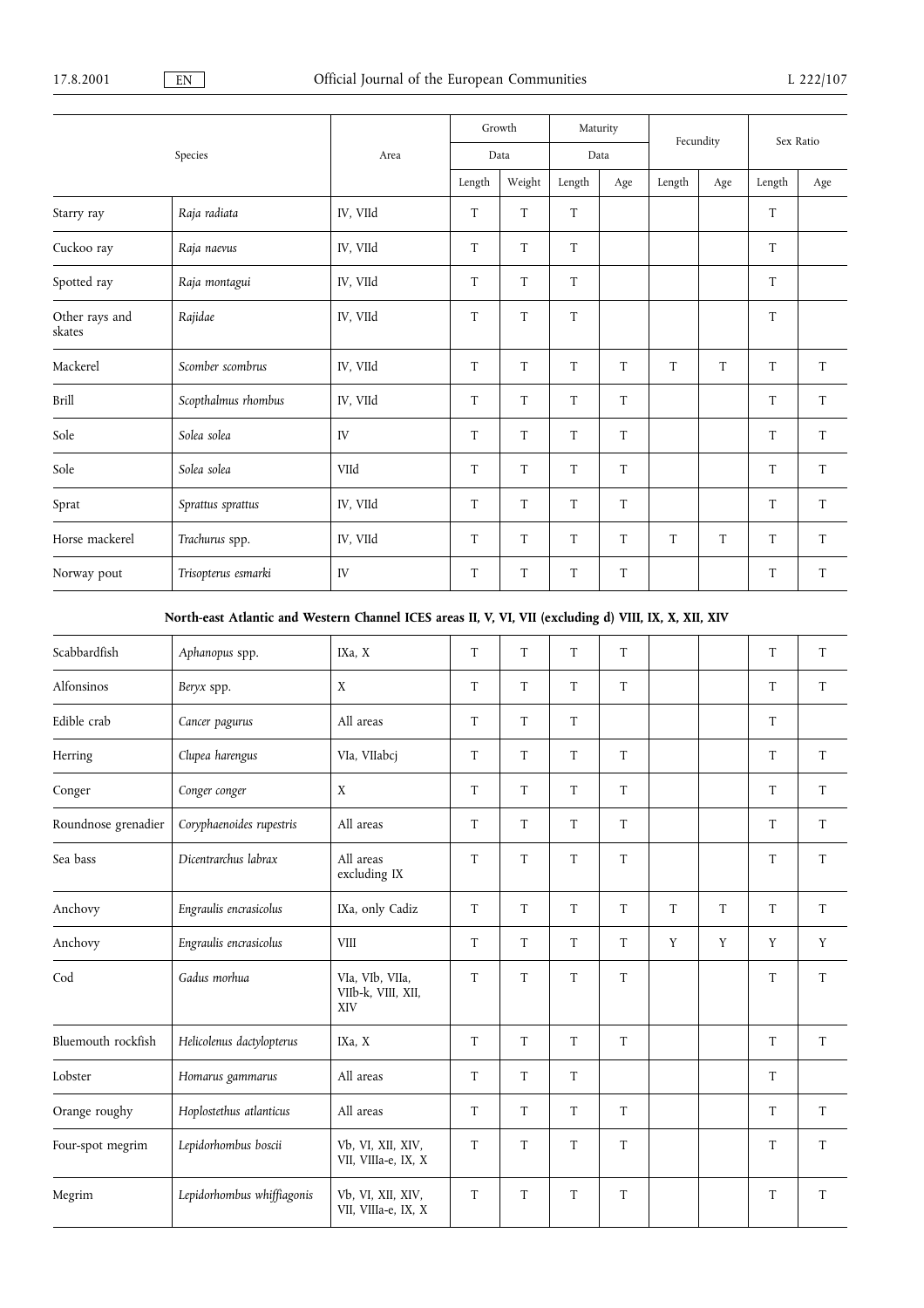|                          |                     |          |             | Growth | Maturity |     | Fecundity |     | Sex Ratio |     |
|--------------------------|---------------------|----------|-------------|--------|----------|-----|-----------|-----|-----------|-----|
|                          | Species             | Area     | Data        |        | Data     |     |           |     |           |     |
|                          |                     |          | Length      | Weight | Length   | Age | Length    | Age | Length    | Age |
| Starry ray               | Raja radiata        | IV, VIId | T           | T      | T        |     |           |     | T         |     |
| Cuckoo ray               | Raja naevus         | IV, VIId | T           | T      | T        |     |           |     | T         |     |
| Spotted ray              | Raja montagui       | IV, VIId | T           | T      | T        |     |           |     | T         |     |
| Other rays and<br>skates | Rajidae             | IV, VIId | T           | T      | T        |     |           |     | T         |     |
| Mackerel                 | Scomber scombrus    | IV, VIId | T           | T      | T        | T   | T         | T   | T         | T   |
| Brill                    | Scopthalmus rhombus | IV, VIId | T           | T      | T        | T   |           |     | T         | T   |
| Sole                     | Solea solea         | IV       | T           | T      | T        | T   |           |     | T         | T   |
| Sole                     | Solea solea         | VIId     | T           | T      | T        | T   |           |     | T         | T   |
| Sprat                    | Sprattus sprattus   | IV, VIId | $\mathbf T$ | T      | T        | T   |           |     | $\rm T$   | T   |
| Horse mackerel           | Trachurus spp.      | IV, VIId | T           | T      | T        | T   | T         | T   | T         | T   |
| Norway pout              | Trisopterus esmarki | IV       | T           | T      | T        | T   |           |     | T         | T   |

## North-east Atlantic and Western Channel ICES areas II, V, VI, VII (excluding d) VIII, IX, X, XII, XIV

| Scabbardfish        | Aphanopus spp.             | IXa, X                                       | T | T | T | T |   |   | T       | T           |
|---------------------|----------------------------|----------------------------------------------|---|---|---|---|---|---|---------|-------------|
| Alfonsinos          | Beryx spp.                 | X                                            | T | T | T | T |   |   | T       | T           |
| Edible crab         | Cancer pagurus             | All areas                                    | T | T | T |   |   |   | T       |             |
| Herring             | Clupea harengus            | VIa, VIIabcj                                 | T | T | T | T |   |   | T       | T           |
| Conger              | Conger conger              | X                                            | T | T | T | T |   |   | T       | T           |
| Roundnose grenadier | Coryphaenoides rupestris   | All areas                                    | T | T | T | T |   |   | T       | T           |
| Sea bass            | Dicentrarchus labrax       | All areas<br>excluding IX                    | T | T | T | T |   |   | T       | T           |
| Anchovy             | Engraulis encrasicolus     | IXa, only Cadiz                              | T | T | T | T | T | T | T       | T           |
| Anchovy             | Engraulis encrasicolus     | <b>VIII</b>                                  | T | T | T | T | Y | Y | Y       | Y           |
| Cod                 | Gadus morhua               | VIa, VIb, VIIa,<br>VIIb-k, VIII, XII,<br>XIV | T | T | T | T |   |   | $\rm T$ | T           |
| Bluemouth rockfish  | Helicolenus dactylopterus  | IXa, X                                       | T | T | T | T |   |   | T       | $\mathbf T$ |
| Lobster             | Homarus gammarus           | All areas                                    | T | T | T |   |   |   | T       |             |
| Orange roughy       | Hoplostethus atlanticus    | All areas                                    | T | T | T | T |   |   | T       | T           |
| Four-spot megrim    | Lepidorhombus boscii       | Vb, VI, XII, XIV,<br>VII, VIIIa-e, IX, X     | T | T | T | T |   |   | T       | T           |
| Megrim              | Lepidorhombus whiffiagonis | Vb, VI, XII, XIV,<br>VII, VIIIa-e, IX, X     | T | T | T | T |   |   | T       | $\mathbf T$ |
|                     |                            |                                              |   |   |   |   |   |   |         |             |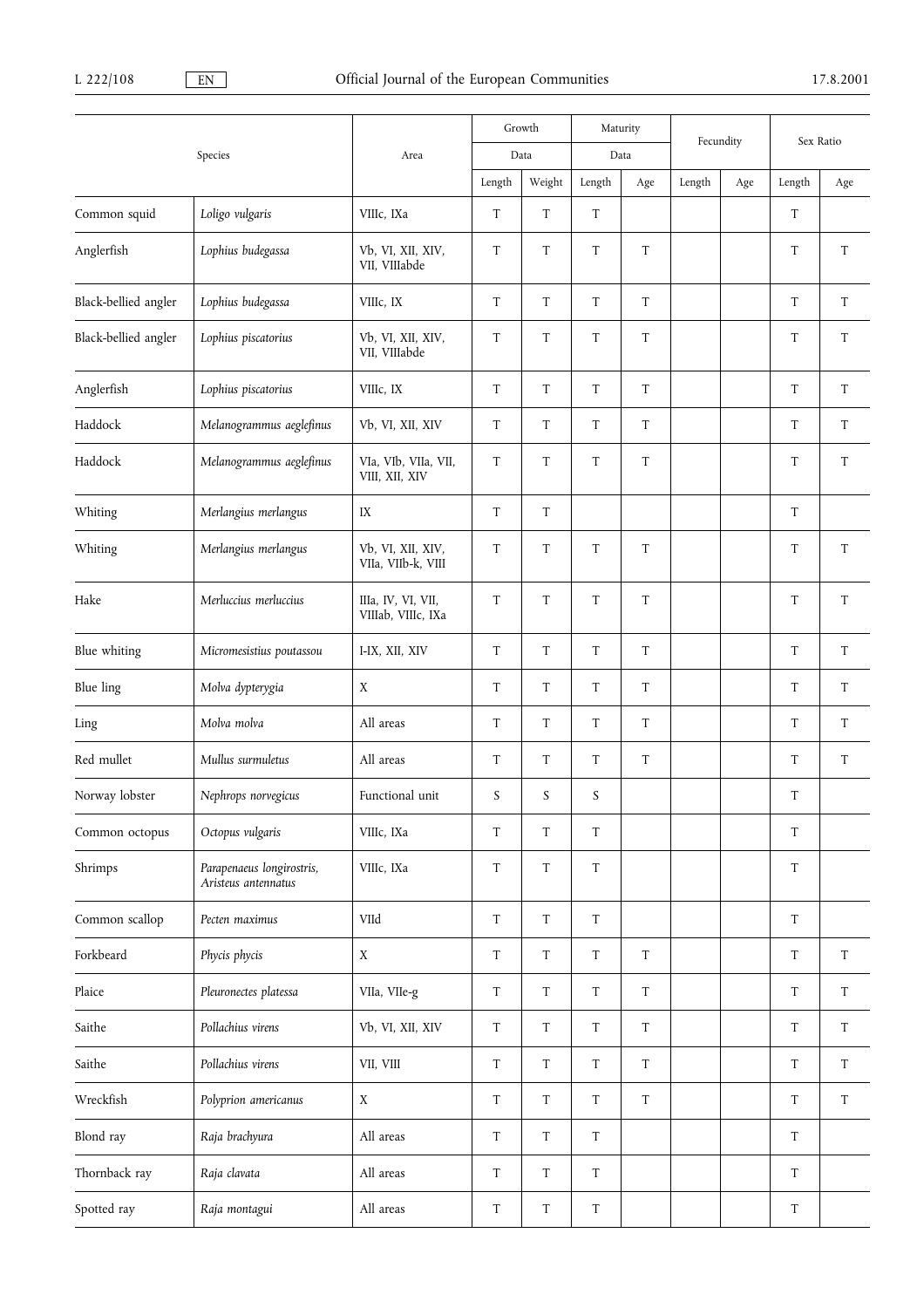|                      |                                                  |                                          |                           | Growth                    | Maturity                  |                           | Fecundity |     |                           |                           |  |
|----------------------|--------------------------------------------------|------------------------------------------|---------------------------|---------------------------|---------------------------|---------------------------|-----------|-----|---------------------------|---------------------------|--|
|                      | Species                                          | Area                                     |                           | Data                      |                           | Data                      |           |     | Sex Ratio                 |                           |  |
|                      |                                                  |                                          | Length                    | Weight                    | Length                    | Age                       | Length    | Age | Length                    | Age                       |  |
| Common squid         | Loligo vulgaris                                  | VIIIc, IXa                               | $\ensuremath{\mathrm{T}}$ | $\ensuremath{\mathrm{T}}$ | ${\rm T}$                 |                           |           |     | $\ensuremath{\mathrm{T}}$ |                           |  |
| Anglerfish           | Lophius budegassa                                | Vb, VI, XII, XIV,<br>VII, VIIIabde       | $\ensuremath{\mathrm{T}}$ | $\ensuremath{\mathrm{T}}$ | ${\rm T}$                 | T                         |           |     | T                         | ${\rm T}$                 |  |
| Black-bellied angler | Lophius budegassa                                | VIIIc, IX                                | T                         | T                         | T                         | T                         |           |     | T                         | T                         |  |
| Black-bellied angler | Lophius piscatorius                              | Vb, VI, XII, XIV,<br>VII, VIIIabde       | T                         | $\ensuremath{\mathrm{T}}$ | T                         | T                         |           |     | $\ensuremath{\mathrm{T}}$ | T                         |  |
| Anglerfish           | Lophius piscatorius                              | VIIIc, IX                                | $\mathbf T$               | $\ensuremath{\mathrm{T}}$ | $\ensuremath{\mathrm{T}}$ | $\ensuremath{\mathrm{T}}$ |           |     | $\ensuremath{\mathrm{T}}$ | T                         |  |
| Haddock              | Melanogrammus aeglefinus                         | Vb, VI, XII, XIV                         | $\mathbf T$               | T                         | T                         | T                         |           |     | T                         | T                         |  |
| Haddock              | Melanogrammus aeglefinus                         | VIa, VIb, VIIa, VII,<br>VIII, XII, XIV   | T                         | $\ensuremath{\mathrm{T}}$ | T                         | $\ensuremath{\mathrm{T}}$ |           |     | $\ensuremath{\mathrm{T}}$ | T                         |  |
| Whiting              | Merlangius merlangus                             | IX                                       | $\ensuremath{\mathrm{T}}$ | $\ensuremath{\mathrm{T}}$ |                           |                           |           |     | $\rm T$                   |                           |  |
| Whiting              | Merlangius merlangus                             | Vb, VI, XII, XIV,<br>VIIa, VIIb-k, VIII  | $\mathbf T$               | $\ensuremath{\mathrm{T}}$ | $\ensuremath{\mathrm{T}}$ | T                         |           |     | $\ensuremath{\mathrm{T}}$ | $\ensuremath{\mathrm{T}}$ |  |
| Hake                 | Merluccius merluccius                            | IIIa, IV, VI, VII,<br>VIIIab, VIIIc, IXa | $\rm T$                   | T                         | T                         | T                         |           |     | $\ensuremath{\mathrm{T}}$ | T                         |  |
| Blue whiting         | Micromesistius poutassou                         | I-IX, XII, XIV                           | $\mathbf T$               | T                         | T                         | T                         |           |     | T                         | T                         |  |
| Blue ling            | Molva dypterygia                                 | X                                        | $\mathbf T$               | T                         | T                         | T                         |           |     | T                         | T                         |  |
| Ling                 | Molva molva                                      | All areas                                | T                         | T                         | T                         | T                         |           |     | T                         | T                         |  |
| Red mullet           | Mullus surmuletus                                | All areas                                | T                         | T                         | T                         | T                         |           |     | $\ensuremath{\mathrm{T}}$ | $\ensuremath{\mathrm{T}}$ |  |
| Norway lobster       | Nephrops norvegicus                              | Functional unit                          | $\boldsymbol{S}$          | S                         | S                         |                           |           |     | T                         |                           |  |
| Common octopus       | Octopus vulgaris                                 | VIIIc, IXa                               | $\mathbf T$               | $\ensuremath{\mathrm{T}}$ | $\ensuremath{\mathrm{T}}$ |                           |           |     | T                         |                           |  |
| Shrimps              | Parapenaeus longirostris,<br>Aristeus antennatus | VIIIc, IXa                               | $\mathbf T$               | $\ensuremath{\mathrm{T}}$ | $\ensuremath{\mathrm{T}}$ |                           |           |     | $\rm T$                   |                           |  |
| Common scallop       | Pecten maximus                                   | VIId                                     | $\mathbf T$               | T                         | T                         |                           |           |     | T                         |                           |  |
| Forkbeard            | Phycis phycis                                    | $\mathbf X$                              | $\mathbf T$               | $\mathbf T$               | $\mathbf T$               | $\mathbf T$               |           |     | $\ensuremath{\mathrm{T}}$ | $\ensuremath{\mathrm{T}}$ |  |
| Plaice               | Pleuronectes platessa                            | VIIa, VIIe-g                             | $\mathbf T$               | $\ensuremath{\mathrm{T}}$ | T                         | $\mathbf T$               |           |     | $\mathbf T$               | T                         |  |
| Saithe               | Pollachius virens                                | Vb, VI, XII, XIV                         | $\mathbf T$               | $\ensuremath{\mathrm{T}}$ | T                         | $\mathbf T$               |           |     | $\mathbf T$               | T                         |  |
| Saithe               | Pollachius virens                                | VII, VIII                                | $\mathbf T$               | $\ensuremath{\mathrm{T}}$ | T                         | T                         |           |     | $\mathbf T$               | T                         |  |
| Wreckfish            | Polyprion americanus                             | X                                        | $\mathbf T$               | T                         | T                         | T                         |           |     | $\mathbf T$               | T                         |  |
| Blond ray            | Raja brachyura                                   | All areas                                | $\mathbf T$               | $\ensuremath{\mathrm{T}}$ | $\ensuremath{\mathrm{T}}$ |                           |           |     | $\ensuremath{\mathrm{T}}$ |                           |  |
| Thornback ray        | Raja clavata                                     | All areas                                | $\mathbf T$               | T                         | $\ensuremath{\mathrm{T}}$ |                           |           |     | $\ensuremath{\mathrm{T}}$ |                           |  |
| Spotted ray          | Raja montagui                                    | All areas                                | $\ensuremath{\mathrm{T}}$ | $\mathbf T$               | T                         |                           |           |     | $\ensuremath{\mathrm{T}}$ |                           |  |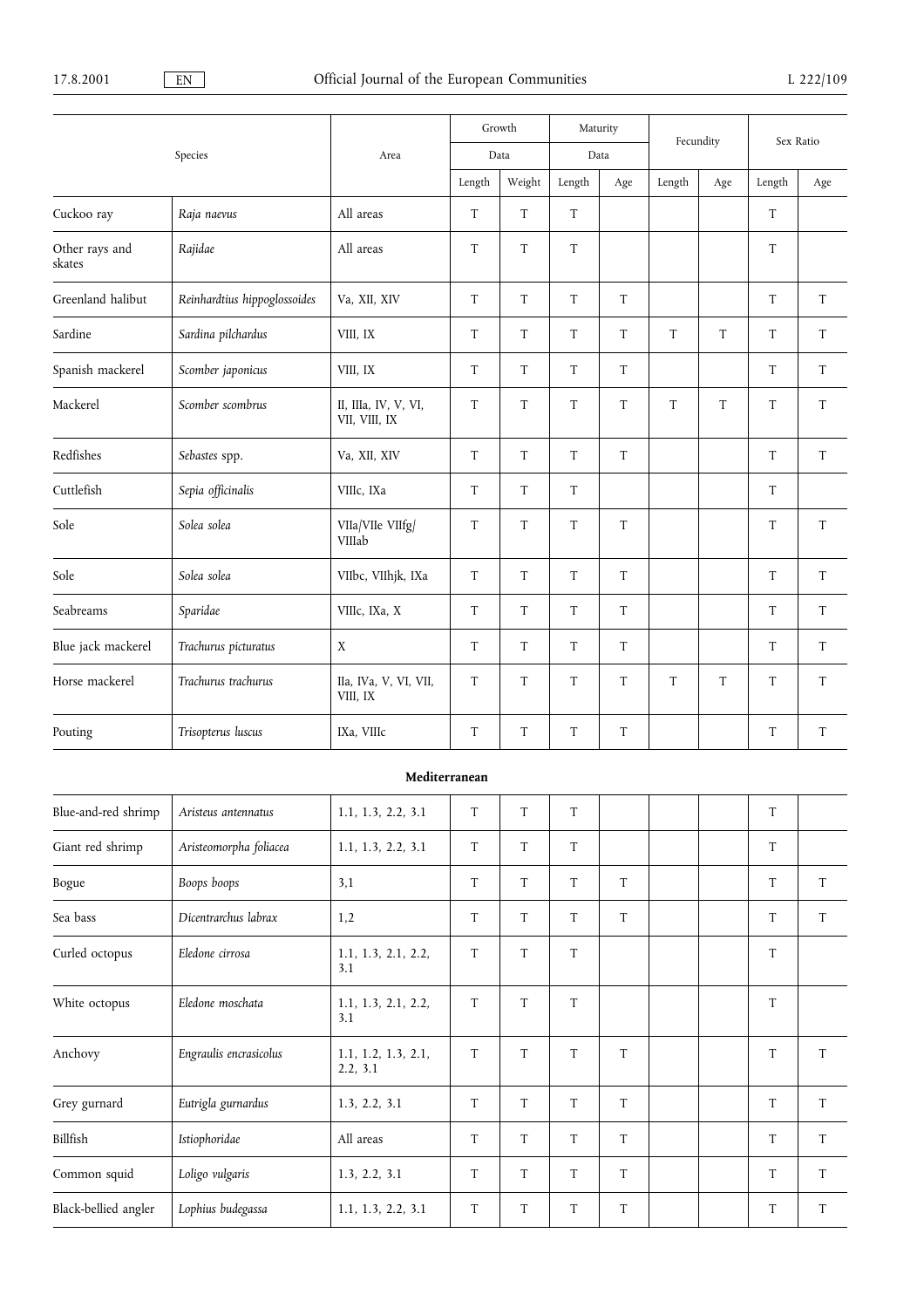|                          |                              |                                       |             | Growth                    | Maturity                  |             | Fecundity |     | Sex Ratio                 |     |
|--------------------------|------------------------------|---------------------------------------|-------------|---------------------------|---------------------------|-------------|-----------|-----|---------------------------|-----|
|                          | Species                      | Area                                  |             | Data                      | Data                      |             |           |     |                           |     |
|                          |                              |                                       | Length      | Weight                    | Length                    | Age         | Length    | Age | Length                    | Age |
| Cuckoo ray               | Raja naevus                  | All areas                             | T           | T                         | T                         |             |           |     | T                         |     |
| Other rays and<br>skates | Rajidae                      | All areas                             | T           | T                         | T                         |             |           |     | T                         |     |
| Greenland halibut        | Reinhardtius hippoglossoides | Va, XII, XIV                          | T           | T                         | T                         | T           |           |     | T                         | T   |
| Sardine                  | Sardina pilchardus           | VIII, IX                              | T           | T                         | T                         | T           | T         | T   | T                         | T   |
| Spanish mackerel         | Scomber japonicus            | VIII, IX                              | $\mathbf T$ | $\ensuremath{\mathrm{T}}$ | $\mathbf T$               | $\mathbf T$ |           |     | $\ensuremath{\mathrm{T}}$ | T   |
| Mackerel                 | Scomber scombrus             | II, IIIa, IV, V, VI,<br>VII, VIII, IX | T           | $\ensuremath{\mathrm{T}}$ | T                         | T           | T         | T   | T                         | T   |
| Redfishes                | Sebastes spp.                | Va, XII, XIV                          | T           | T                         | T                         | T           |           |     | T                         | T   |
| Cuttlefish               | Sepia officinalis            | VIIIc, IXa                            | T           | T                         | T                         |             |           |     | T                         |     |
| Sole                     | Solea solea                  | VIIa/VIIe VIIfg/<br>VIIIab            | $\mathbf T$ | $\ensuremath{\mathrm{T}}$ | $\ensuremath{\mathrm{T}}$ | T           |           |     | $\rm T$                   | T   |
| Sole                     | Solea solea                  | VIIbc, VIIhjk, IXa                    | T           | T                         | T                         | T           |           |     | T                         | T   |
| Seabreams                | Sparidae                     | VIIIc, IXa, X                         | T           | T                         | T                         | T           |           |     | T                         | T   |
| Blue jack mackerel       | Trachurus picturatus         | X                                     | T           | T                         | T                         | T           |           |     | T                         | T   |
| Horse mackerel           | Trachurus trachurus          | IIa, IVa, V, VI, VII,<br>VIII, IX     | T           | $\ensuremath{\mathrm{T}}$ | $\ensuremath{\mathrm{T}}$ | T           | T         | T   | $\rm T$                   | T   |
| Pouting                  | Trisopterus luscus           | IXa, VIIIc                            | T           | T                         | $\ensuremath{\mathrm{T}}$ | T           |           |     | $\ensuremath{\mathrm{T}}$ | T   |

## Mediterranean

| Blue-and-red shrimp  | Aristeus antennatus    | 1.1, 1.3, 2.2, 3.1              | T           | T | T |   |  | T |   |
|----------------------|------------------------|---------------------------------|-------------|---|---|---|--|---|---|
| Giant red shrimp     | Aristeomorpha foliacea | 1.1, 1.3, 2.2, 3.1              | T           | T | T |   |  | T |   |
| Bogue                | Boops boops            | 3,1                             | T           | T | T | T |  | T | T |
| Sea bass             | Dicentrarchus labrax   | 1,2                             | T           | T | T | T |  | T | T |
| Curled octopus       | Eledone cirrosa        | 1.1, 1.3, 2.1, 2.2,<br>3.1      | T           | T | T |   |  | T |   |
| White octopus        | Eledone moschata       | 1.1, 1.3, 2.1, 2.2,<br>3.1      | T           | T | T |   |  | T |   |
| Anchovy              | Engraulis encrasicolus | 1.1, 1.2, 1.3, 2.1,<br>2.2, 3.1 | T           | T | T | T |  | T | T |
| Grey gurnard         | Eutrigla gurnardus     | 1.3, 2.2, 3.1                   | T           | T | T | T |  | T | T |
| Billfish             | Istiophoridae          | All areas                       | T           | T | T | T |  | T | T |
| Common squid         | Loligo vulgaris        | 1.3, 2.2, 3.1                   | T           | T | T | T |  | T | T |
| Black-bellied angler | Lophius budegassa      | 1.1, 1.3, 2.2, 3.1              | $\mathbf T$ | T | T | T |  | T | T |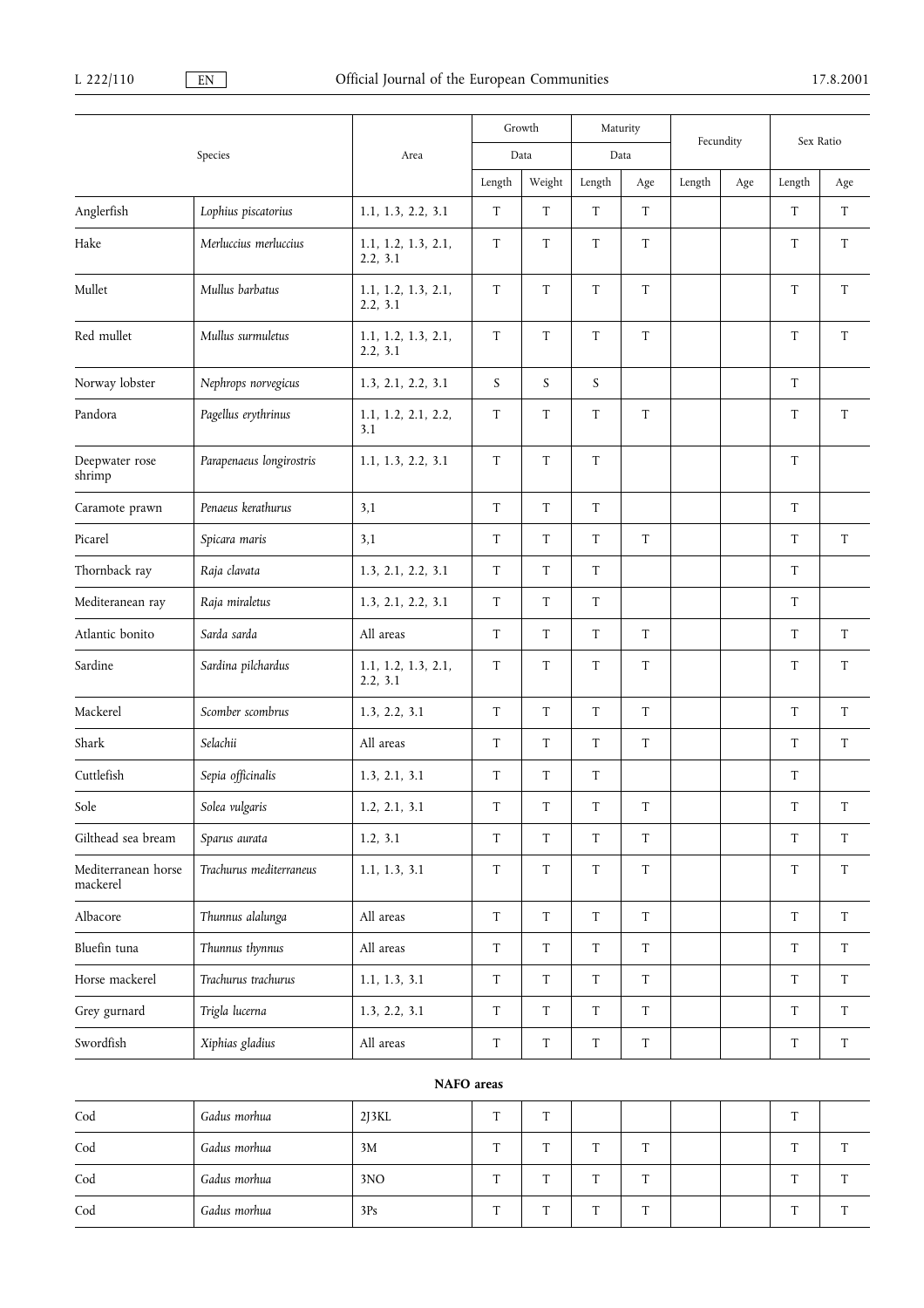|                                 |                          |                                 |                           | Growth                    | Maturity                  |                           | Fecundity |     |                           | Sex Ratio                 |
|---------------------------------|--------------------------|---------------------------------|---------------------------|---------------------------|---------------------------|---------------------------|-----------|-----|---------------------------|---------------------------|
|                                 | Species                  | Area                            |                           | Data                      | Data                      |                           |           |     |                           |                           |
|                                 |                          |                                 | Length                    | Weight                    | Length                    | Age                       | Length    | Age | Length                    | Age                       |
| Anglerfish                      | Lophius piscatorius      | 1.1, 1.3, 2.2, 3.1              | T                         | T                         | T                         | T                         |           |     | T                         | T                         |
| Hake                            | Merluccius merluccius    | 1.1, 1.2, 1.3, 2.1,<br>2.2, 3.1 | T                         | T                         | T                         | $\mathbf T$               |           |     | T                         | T                         |
| Mullet                          | Mullus barbatus          | 1.1, 1.2, 1.3, 2.1,<br>2.2, 3.1 | $\mathbf T$               | $\ensuremath{\mathrm{T}}$ | T                         | $\ensuremath{\mathrm{T}}$ |           |     | $\ensuremath{\mathrm{T}}$ | T                         |
| Red mullet                      | Mullus surmuletus        | 1.1, 1.2, 1.3, 2.1,<br>2.2, 3.1 | T                         | $\ensuremath{\mathrm{T}}$ | $\ensuremath{\mathsf{T}}$ | $\ensuremath{\mathrm{T}}$ |           |     | $\ensuremath{\mathrm{T}}$ | $\ensuremath{\mathrm{T}}$ |
| Norway lobster                  | Nephrops norvegicus      | 1.3, 2.1, 2.2, 3.1              | S                         | $\boldsymbol{S}$          | $\boldsymbol{S}$          |                           |           |     | $\ensuremath{\mathrm{T}}$ |                           |
| Pandora                         | Pagellus erythrinus      | 1.1, 1.2, 2.1, 2.2,<br>3.1      | T                         | T                         | $\ensuremath{\mathsf{T}}$ | $\ensuremath{\mathrm{T}}$ |           |     | $\ensuremath{\mathrm{T}}$ | $\ensuremath{\mathrm{T}}$ |
| Deepwater rose<br>shrimp        | Parapenaeus longirostris | 1.1, 1.3, 2.2, 3.1              | $\mathbf T$               | $\ensuremath{\mathsf{T}}$ | $\ensuremath{\mathsf{T}}$ |                           |           |     | $\mathbf T$               |                           |
| Caramote prawn                  | Penaeus kerathurus       | 3,1                             | T                         | $\ensuremath{\mathsf{T}}$ | $\ensuremath{\mathsf{T}}$ |                           |           |     | $\ensuremath{\mathrm{T}}$ |                           |
| Picarel                         | Spicara maris            | 3,1                             | $\mathbf T$               | $\ensuremath{\mathrm{T}}$ | $\rm T$                   | $\ensuremath{\mathrm{T}}$ |           |     | $\rm T$                   | $\ensuremath{\mathrm{T}}$ |
| Thornback ray                   | Raja clavata             | 1.3, 2.1, 2.2, 3.1              | $\ensuremath{\mathrm{T}}$ | $\ensuremath{\mathsf{T}}$ | $\ensuremath{\mathsf{T}}$ |                           |           |     | $\ensuremath{\mathrm{T}}$ |                           |
| Mediteranean ray                | Raja miraletus           | 1.3, 2.1, 2.2, 3.1              | T                         | $\ensuremath{\mathrm{T}}$ | T                         |                           |           |     | $\ensuremath{\mathrm{T}}$ |                           |
| Atlantic bonito                 | Sarda sarda              | All areas                       | $\ensuremath{\mathrm{T}}$ | $\ensuremath{\mathrm{T}}$ | $\ensuremath{\mathsf{T}}$ | $\ensuremath{\mathrm{T}}$ |           |     | $\ensuremath{\mathrm{T}}$ | T                         |
| Sardine                         | Sardina pilchardus       | 1.1, 1.2, 1.3, 2.1,<br>2.2, 3.1 | $\mathbf T$               | T                         | T                         | T                         |           |     | T                         | T                         |
| Mackerel                        | Scomber scombrus         | 1.3, 2.2, 3.1                   | T                         | $\ensuremath{\mathrm{T}}$ | $\ensuremath{\mathsf{T}}$ | T                         |           |     | $\ensuremath{\mathrm{T}}$ | T                         |
| Shark                           | Selachii                 | All areas                       | $\mathbf T$               | $\ensuremath{\mathrm{T}}$ | $\rm T$                   | $\mathbf T$               |           |     | $\rm T$                   | ${\rm T}$                 |
| Cuttlefish                      | Sepia officinalis        | 1.3, 2.1, 3.1                   | T                         | T                         | T                         |                           |           |     | T                         |                           |
| Sole                            | Solea vulgaris           | 1.2, 2.1, 3.1                   | T                         | T                         | T                         | T                         |           |     | T                         | T                         |
| Gilthead sea bream              | Sparus aurata            | 1.2, 3.1                        | T                         | $\ensuremath{\mathsf{T}}$ | $\mathbf T$               | T                         |           |     | $\mathbf T$               | T                         |
| Mediterranean horse<br>mackerel | Trachurus mediterraneus  | 1.1, 1.3, 3.1                   | T                         | $\ensuremath{\mathrm{T}}$ | T                         | T                         |           |     | $\mathbf T$               | T                         |
| Albacore                        | Thunnus alalunga         | All areas                       | T                         | $\mathbf T$               | $\mathbf T$               | T                         |           |     | $\ensuremath{\mathrm{T}}$ | T                         |
| Bluefin tuna                    | Thunnus thynnus          | All areas                       | $\mathbf T$               | $\ensuremath{\mathrm{T}}$ | $\rm T$                   | $\mathbf T$               |           |     | $\ensuremath{\mathrm{T}}$ | T                         |
| Horse mackerel                  | Trachurus trachurus      | 1.1, 1.3, 3.1                   | T                         | T                         | T                         | T                         |           |     | $\ensuremath{\mathrm{T}}$ | T                         |
| Grey gurnard                    | Trigla lucerna           | 1.3, 2.2, 3.1                   | $\mathbf T$               | T                         | T                         | T                         |           |     | T                         | T                         |
| Swordfish                       | Xiphias gladius          | All areas                       | $\mathbf T$               | $\mathbf T$               | $\rm T$                   | $\mathbf T$               |           |     | $\ensuremath{\mathrm{T}}$ | T                         |

| Cod | Gadus morhua | $2$ [3 $KL$ ] | m            | Ē      |   |              |  | $\sim$ |  |
|-----|--------------|---------------|--------------|--------|---|--------------|--|--------|--|
| Cod | Gadus morhua | 3M            | Ŧ            | Ē      |   | $\mathbf{r}$ |  | $\sim$ |  |
| Cod | Gadus morhua | 3NO           | $\mathbf{r}$ | m      |   | $\mathbf{r}$ |  | $\sim$ |  |
| Cod | Gadus morhua | 3Ps           | $\mathbf{r}$ | $\sim$ | m | $\mathbf{r}$ |  | $\sim$ |  |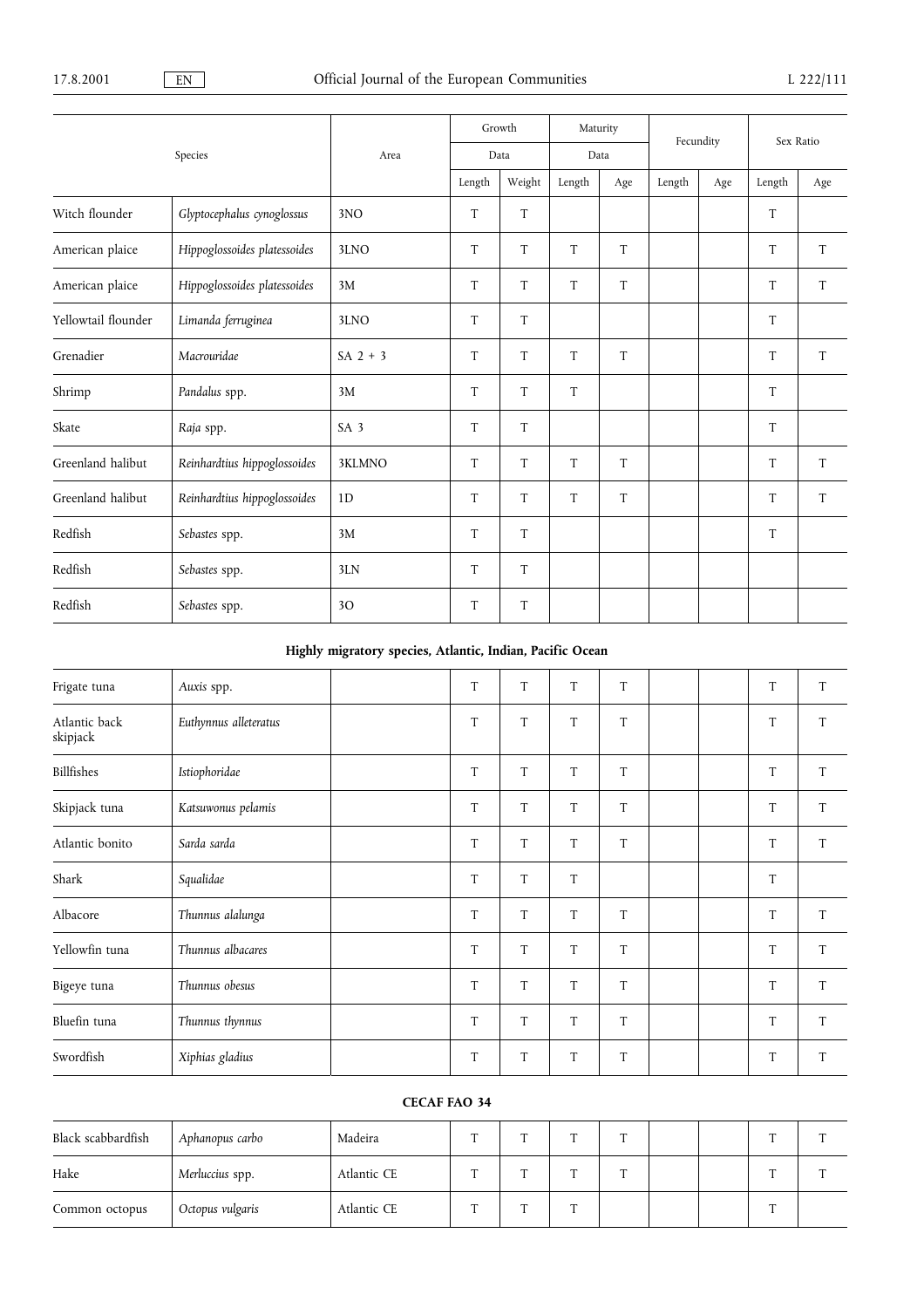|                     |                              |                 | Growth |        | Maturity |     | Fecundity |     | Sex Ratio |     |
|---------------------|------------------------------|-----------------|--------|--------|----------|-----|-----------|-----|-----------|-----|
|                     | Species                      | Area            |        | Data   | Data     |     |           |     |           |     |
|                     |                              |                 | Length | Weight | Length   | Age | Length    | Age | Length    | Age |
| Witch flounder      | Glyptocephalus cynoglossus   | 3NO             | T      | T      |          |     |           |     | T         |     |
| American plaice     | Hippoglossoides platessoides | 3LNO            | T      | T      | T        | T   |           |     | T         | T   |
| American plaice     | Hippoglossoides platessoides | 3M              | T      | T      | T        | T   |           |     | T         | T   |
| Yellowtail flounder | Limanda ferruginea           | 3LNO            | T      | T      |          |     |           |     | $\rm T$   |     |
| Grenadier           | Macrouridae                  | SA $2 + 3$      | T      | T      | T        | T   |           |     | T         | T   |
| Shrimp              | Pandalus spp.                | 3M              | T      | T      | T        |     |           |     | T         |     |
| Skate               | Raja spp.                    | SA <sub>3</sub> | T      | T      |          |     |           |     | T         |     |
| Greenland halibut   | Reinhardtius hippoglossoides | 3KLMNO          | T      | T      | T        | T   |           |     | T         | T   |
| Greenland halibut   | Reinhardtius hippoglossoides | 1D              | T      | T      | T        | T   |           |     | T         | T   |
| Redfish             | Sebastes spp.                | 3M              | T      | T      |          |     |           |     | T         |     |
| Redfish             | Sebastes spp.                | 3LN             | T      | T      |          |     |           |     |           |     |
| Redfish             | Sebastes spp.                | 30              | T      | T      |          |     |           |     |           |     |

## Highly migratory species, Atlantic, Indian, Pacific Ocean

| Frigate tuna              | Auxis spp.            | T | T | T | T           |  | $\rm T$ | $\rm T$ |
|---------------------------|-----------------------|---|---|---|-------------|--|---------|---------|
| Atlantic back<br>skipjack | Euthynnus alleteratus | T | T | T | $\mathsf T$ |  | T       | T       |
| Billfishes                | Istiophoridae         | T | T | T | T           |  | $\rm T$ | $\rm T$ |
| Skipjack tuna             | Katsuwonus pelamis    | T | T | T | T           |  | $\rm T$ | T       |
| Atlantic bonito           | Sarda sarda           | T | T | T | T           |  | T       | T       |
| Shark                     | Squalidae             | T | T | T |             |  | T       |         |
| Albacore                  | Thunnus alalunga      | T | T | T | T           |  | $\rm T$ | T       |
| Yellowfin tuna            | Thunnus albacares     | T | T | T | T           |  | $\rm T$ | T       |
| Bigeye tuna               | Thunnus obesus        | T | T | T | T           |  | T       | T       |
| Bluefin tuna              | Thunnus thynnus       | T | T | T | T           |  | $\rm T$ | T       |
| Swordfish                 | Xiphias gladius       | T | T | T | T           |  | T       | T       |

## CECAF FAO 34

| Black scabbardfish | Aphanopus carbo  | Madeira     | $\sim$ | $\sim$ |  |  | $\blacksquare$ |  |
|--------------------|------------------|-------------|--------|--------|--|--|----------------|--|
| Hake               | Merluccius spp.  | Atlantic CE | $\sim$ | m      |  |  |                |  |
| Common octopus     | Octopus vulgaris | Atlantic CE | $\sim$ | m      |  |  | m              |  |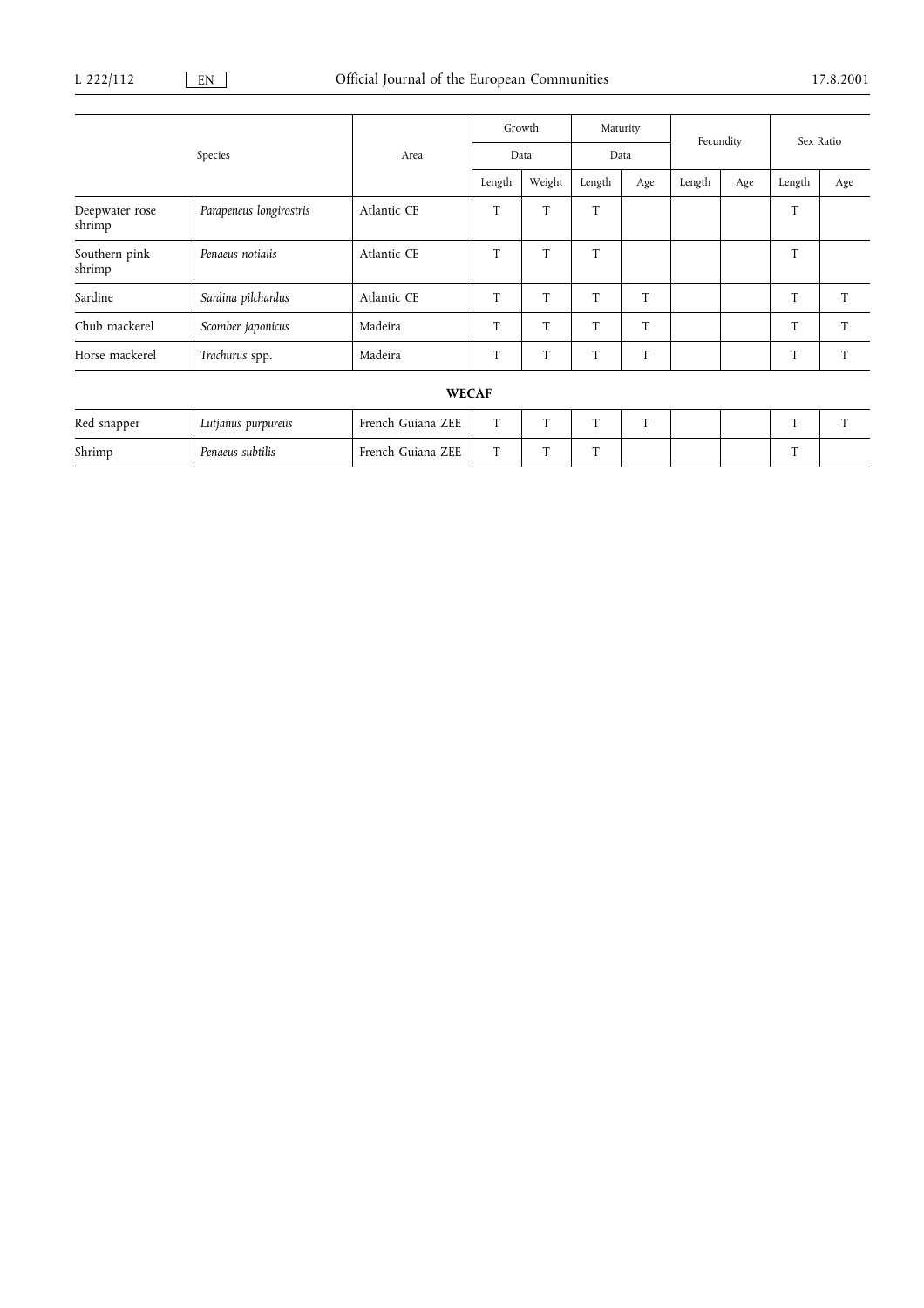|                          |                         |             | Growth |        | Maturity |     | Fecundity |     | Sex Ratio |     |
|--------------------------|-------------------------|-------------|--------|--------|----------|-----|-----------|-----|-----------|-----|
|                          | Species                 |             | Data   |        | Data     |     |           |     |           |     |
|                          |                         |             | Length | Weight | Length   | Age | Length    | Age | Length    | Age |
| Deepwater rose<br>shrimp | Parapeneus longirostris | Atlantic CE | T      | T      | T        |     |           |     | T         |     |
| Southern pink<br>shrimp  | Penaeus notialis        | Atlantic CE | T      | T      | T        |     |           |     | T         |     |
| Sardine                  | Sardina pilchardus      | Atlantic CE | T      | T      | T        | T   |           |     | T         | T   |
| Chub mackerel            | Scomber japonicus       | Madeira     | T      | T      | T        | T   |           |     | T         | т   |
| Horse mackerel           | Trachurus spp.          | Madeira     | T      | T      | T        | T   |           |     | T         |     |
|                          |                         |             |        |        |          |     |           |     |           |     |

## WECAF

| Red snapper | Lutjanus purpureus | French Guiana ZEE     | m | $\sim$ | - | - |  | $\overline{ }$ | $\overline{\phantom{0}}$ |
|-------------|--------------------|-----------------------|---|--------|---|---|--|----------------|--------------------------|
| Shrimp      | Penaeus subtilis   | ZEE<br>French Guiana. | m | $\sim$ |   |   |  | $\overline{ }$ |                          |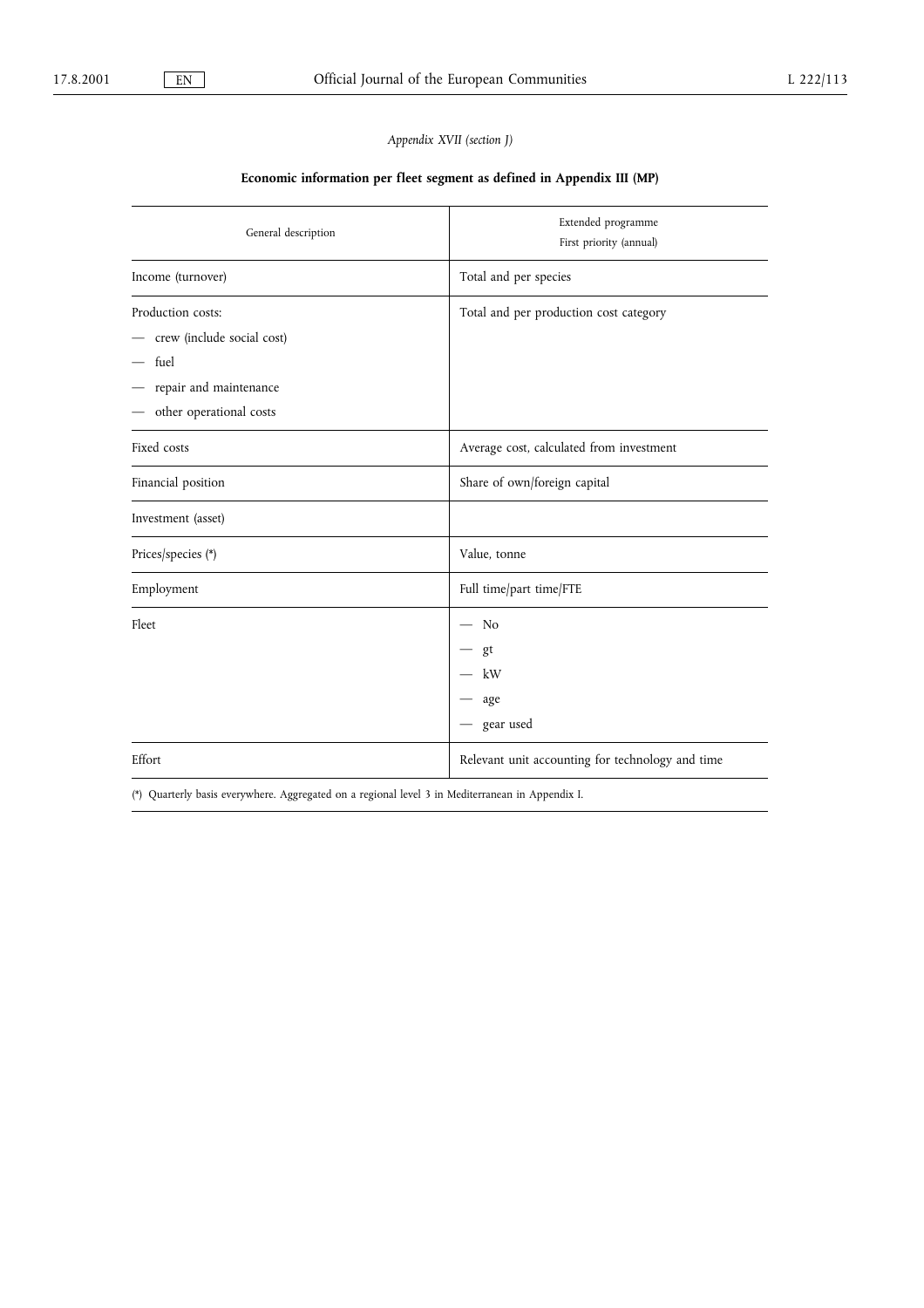## Appendix XVII (section J)

## Economic information per fleet segment as defined in Appendix III (MP)

| General description                                                                                                | Extended programme<br>First priority (annual)    |
|--------------------------------------------------------------------------------------------------------------------|--------------------------------------------------|
| Income (turnover)                                                                                                  | Total and per species                            |
| Production costs:<br>crew (include social cost)<br>$-$ fuel<br>repair and maintenance<br>- other operational costs | Total and per production cost category           |
| Fixed costs                                                                                                        | Average cost, calculated from investment         |
| Financial position                                                                                                 | Share of own/foreign capital                     |
| Investment (asset)                                                                                                 |                                                  |
| Prices/species (*)                                                                                                 | Value, tonne                                     |
| Employment                                                                                                         | Full time/part time/FTE                          |
| Fleet                                                                                                              | No<br>gt<br>kW<br>age<br>gear used               |
| Effort                                                                                                             | Relevant unit accounting for technology and time |
| (*) Quarterly basis everywhere. Aggregated on a regional level 3 in Mediterranean in Appendix I.                   |                                                  |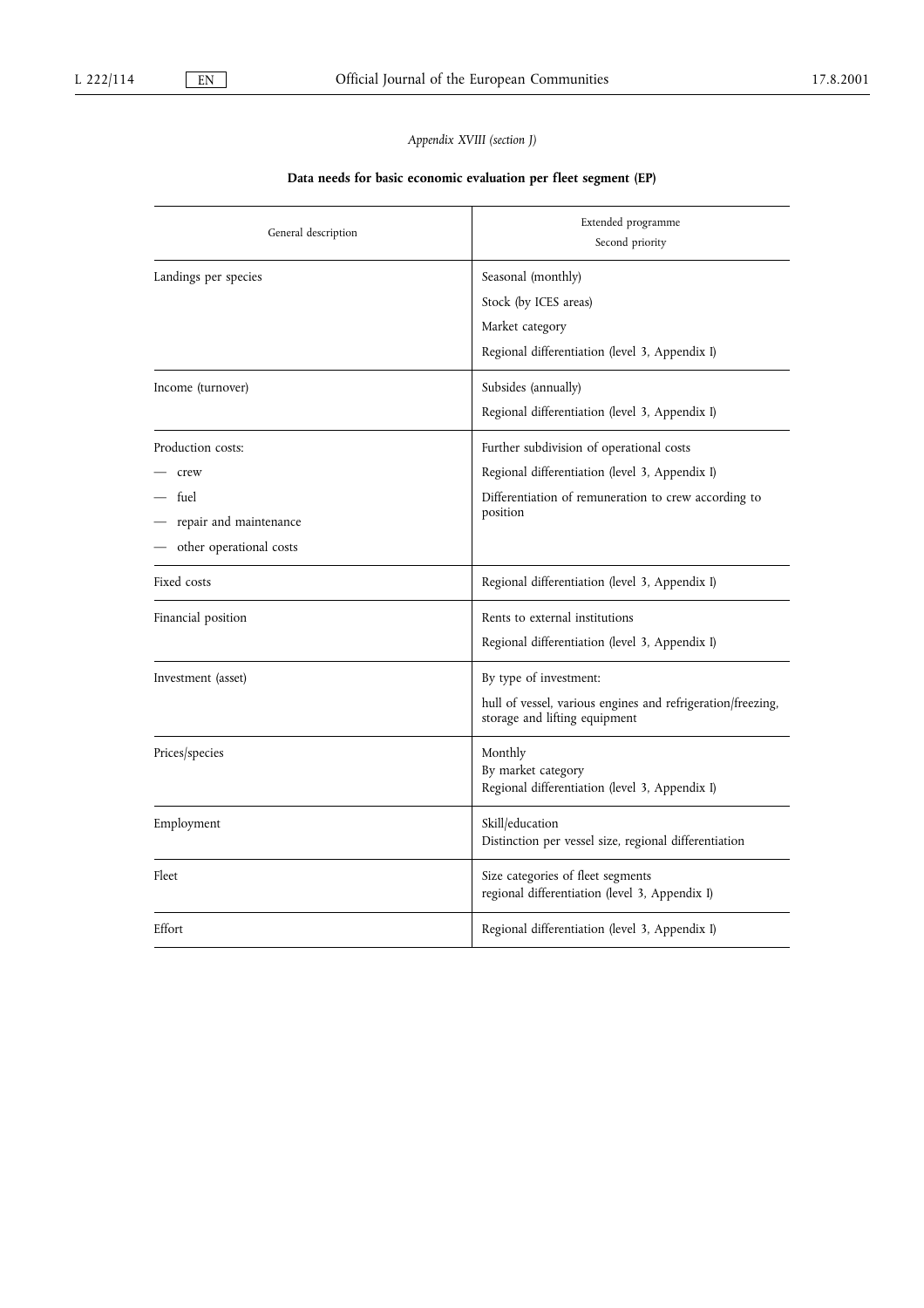## Appendix XVIII (section J)

## Data needs for basic economic evaluation per fleet segment (EP)

| General description                                                                    | Extended programme<br>Second priority                                                                                                                          |
|----------------------------------------------------------------------------------------|----------------------------------------------------------------------------------------------------------------------------------------------------------------|
| Landings per species                                                                   | Seasonal (monthly)<br>Stock (by ICES areas)<br>Market category<br>Regional differentiation (level 3, Appendix I)                                               |
| Income (turnover)                                                                      | Subsides (annually)<br>Regional differentiation (level 3, Appendix I)                                                                                          |
| Production costs:<br>crew<br>fuel<br>repair and maintenance<br>other operational costs | Further subdivision of operational costs<br>Regional differentiation (level 3, Appendix I)<br>Differentiation of remuneration to crew according to<br>position |
| Fixed costs                                                                            | Regional differentiation (level 3, Appendix I)                                                                                                                 |
| Financial position                                                                     | Rents to external institutions<br>Regional differentiation (level 3, Appendix I)                                                                               |
| Investment (asset)                                                                     | By type of investment:<br>hull of vessel, various engines and refrigeration/freezing,<br>storage and lifting equipment                                         |
| Prices/species                                                                         | Monthly<br>By market category<br>Regional differentiation (level 3, Appendix I)                                                                                |
| Employment                                                                             | Skill/education<br>Distinction per vessel size, regional differentiation                                                                                       |
| Fleet                                                                                  | Size categories of fleet segments<br>regional differentiation (level 3, Appendix I)                                                                            |
| Effort                                                                                 | Regional differentiation (level 3, Appendix I)                                                                                                                 |